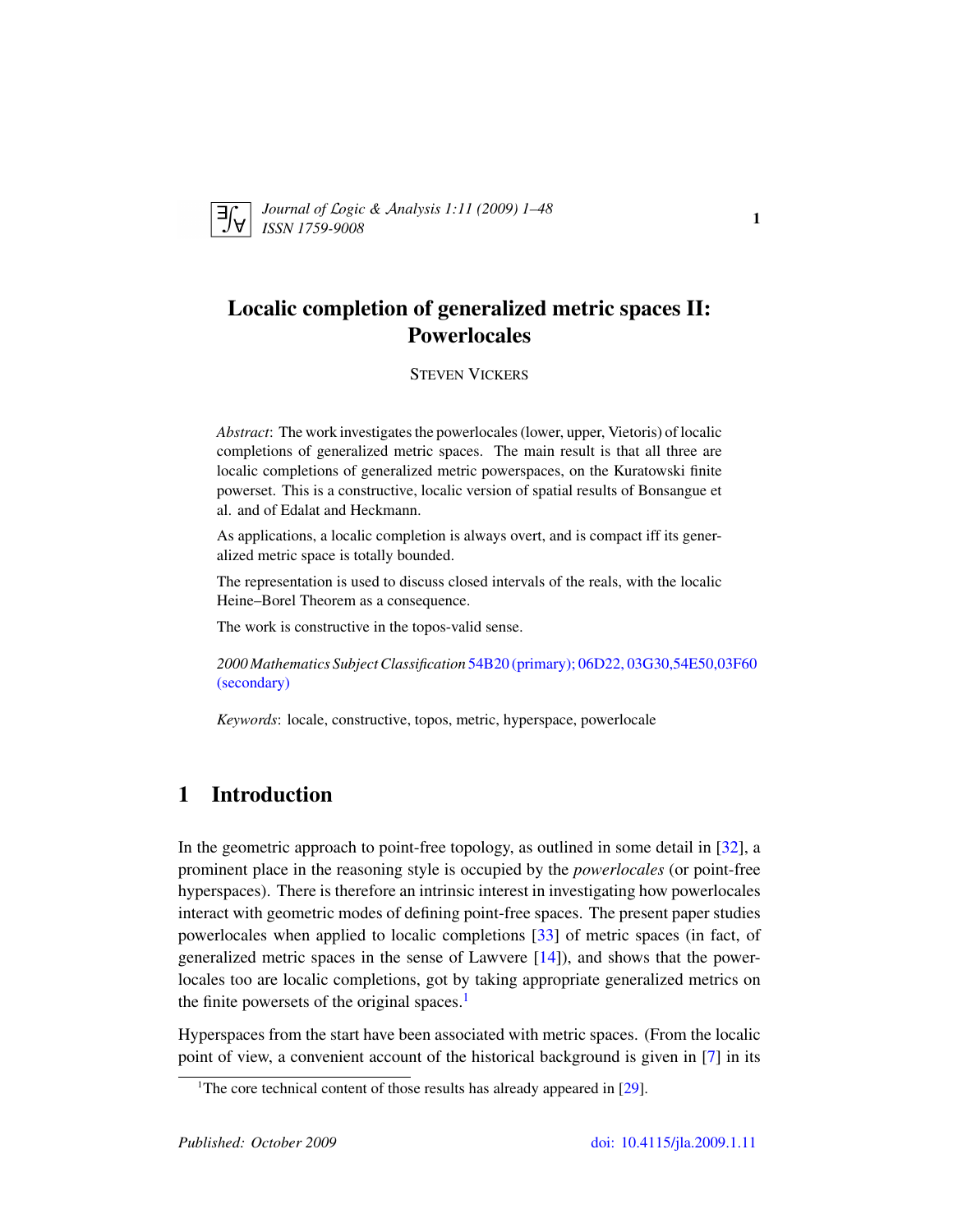

*Journal of* L*ogic &* A*nalysis 1:11 (2009) 1–48 ISSN 1759-9008* 1758-9008

# Localic completion of generalized metric spaces II: **Powerlocales**

### STEVEN VICKERS

*Abstract*: The work investigates the powerlocales (lower, upper, Vietoris) of localic completions of generalized metric spaces. The main result is that all three are localic completions of generalized metric powerspaces, on the Kuratowski finite powerset. This is a constructive, localic version of spatial results of Bonsangue et al. and of Edalat and Heckmann.

As applications, a localic completion is always overt, and is compact iff its generalized metric space is totally bounded.

The representation is used to discuss closed intervals of the reals, with the localic Heine–Borel Theorem as a consequence.

The work is constructive in the topos-valid sense.

*2000 Mathematics Subject Classification* [54B20 \(primary\); 06D22, 03G30,54E50,03F60](http://www.ams.org/mathscinet/search/mscdoc.html?code=54B20,(06D22, 03G30,54E50,03F60)) [\(secondary\)](http://www.ams.org/mathscinet/search/mscdoc.html?code=54B20,(06D22, 03G30,54E50,03F60))

*Keywords*: locale, constructive, topos, metric, hyperspace, powerlocale

# 1 Introduction

In the geometric approach to point-free topology, as outlined in some detail in [\[32\]](#page-47-0), a prominent place in the reasoning style is occupied by the *powerlocales* (or point-free hyperspaces). There is therefore an intrinsic interest in investigating how powerlocales interact with geometric modes of defining point-free spaces. The present paper studies powerlocales when applied to localic completions [\[33\]](#page-47-1) of metric spaces (in fact, of generalized metric spaces in the sense of Lawvere [\[14\]](#page-46-0)), and shows that the powerlocales too are localic completions, got by taking appropriate generalized metrics on the finite powersets of the original spaces. $<sup>1</sup>$  $<sup>1</sup>$  $<sup>1</sup>$ </sup>

Hyperspaces from the start have been associated with metric spaces. (From the localic point of view, a convenient account of the historical background is given in [\[7\]](#page-45-0) in its

<span id="page-0-0"></span><sup>&</sup>lt;sup>1</sup>The core technical content of those results has already appeared in  $[29]$ .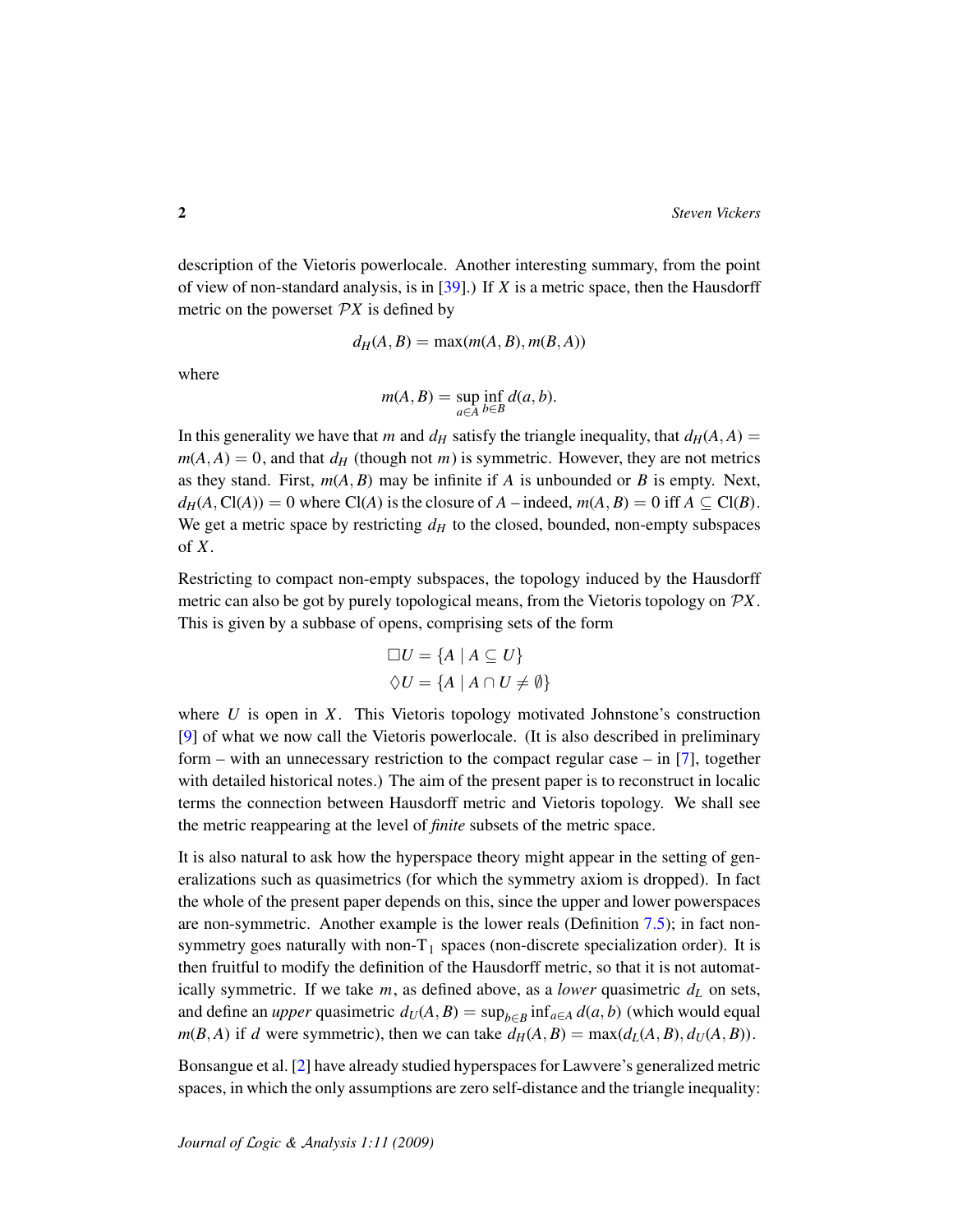description of the Vietoris powerlocale. Another interesting summary, from the point of view of non-standard analysis, is in [\[39\]](#page-47-3).) If *X* is a metric space, then the Hausdorff metric on the powerset  $\mathcal{P}X$  is defined by

$$
d_H(A, B) = \max(m(A, B), m(B, A))
$$

where

$$
m(A, B) = \sup_{a \in A} \inf_{b \in B} d(a, b).
$$

In this generality we have that *m* and  $d_H$  satisfy the triangle inequality, that  $d_H(A, A)$  =  $m(A, A) = 0$ , and that  $d_H$  (though not *m*) is symmetric. However, they are not metrics as they stand. First,  $m(A, B)$  may be infinite if *A* is unbounded or *B* is empty. Next,  $d_H(A, C(A)) = 0$  where  $C(A)$  is the closure of *A* – indeed,  $m(A, B) = 0$  iff  $A \subseteq C(B)$ . We get a metric space by restricting  $d<sub>H</sub>$  to the closed, bounded, non-empty subspaces of *X*.

Restricting to compact non-empty subspaces, the topology induced by the Hausdorff metric can also be got by purely topological means, from the Vietoris topology on P*X*. This is given by a subbase of opens, comprising sets of the form

$$
\Box U = \{ A \mid A \subseteq U \}
$$
  

$$
\Diamond U = \{ A \mid A \cap U \neq \emptyset \}
$$

where *U* is open in *X*. This Vietoris topology motivated Johnstone's construction [\[9\]](#page-45-1) of what we now call the Vietoris powerlocale. (It is also described in preliminary form – with an unnecessary restriction to the compact regular case – in [\[7\]](#page-45-0), together with detailed historical notes.) The aim of the present paper is to reconstruct in localic terms the connection between Hausdorff metric and Vietoris topology. We shall see the metric reappearing at the level of *finite* subsets of the metric space.

It is also natural to ask how the hyperspace theory might appear in the setting of generalizations such as quasimetrics (for which the symmetry axiom is dropped). In fact the whole of the present paper depends on this, since the upper and lower powerspaces are non-symmetric. Another example is the lower reals (Definition [7.5\)](#page-36-0); in fact nonsymmetry goes naturally with non- $T_1$  spaces (non-discrete specialization order). It is then fruitful to modify the definition of the Hausdorff metric, so that it is not automatically symmetric. If we take  $m$ , as defined above, as a *lower* quasimetric  $d<sub>L</sub>$  on sets, and define an *upper* quasimetric  $d_U(A, B) = \sup_{b \in B} \inf_{a \in A} d(a, b)$  (which would equal  $m(B, A)$  if *d* were symmetric), then we can take  $d_H(A, B) = \max(d_L(A, B), d_U(A, B))$ .

Bonsangue et al. [\[2\]](#page-45-2) have already studied hyperspaces for Lawvere's generalized metric spaces, in which the only assumptions are zero self-distance and the triangle inequality: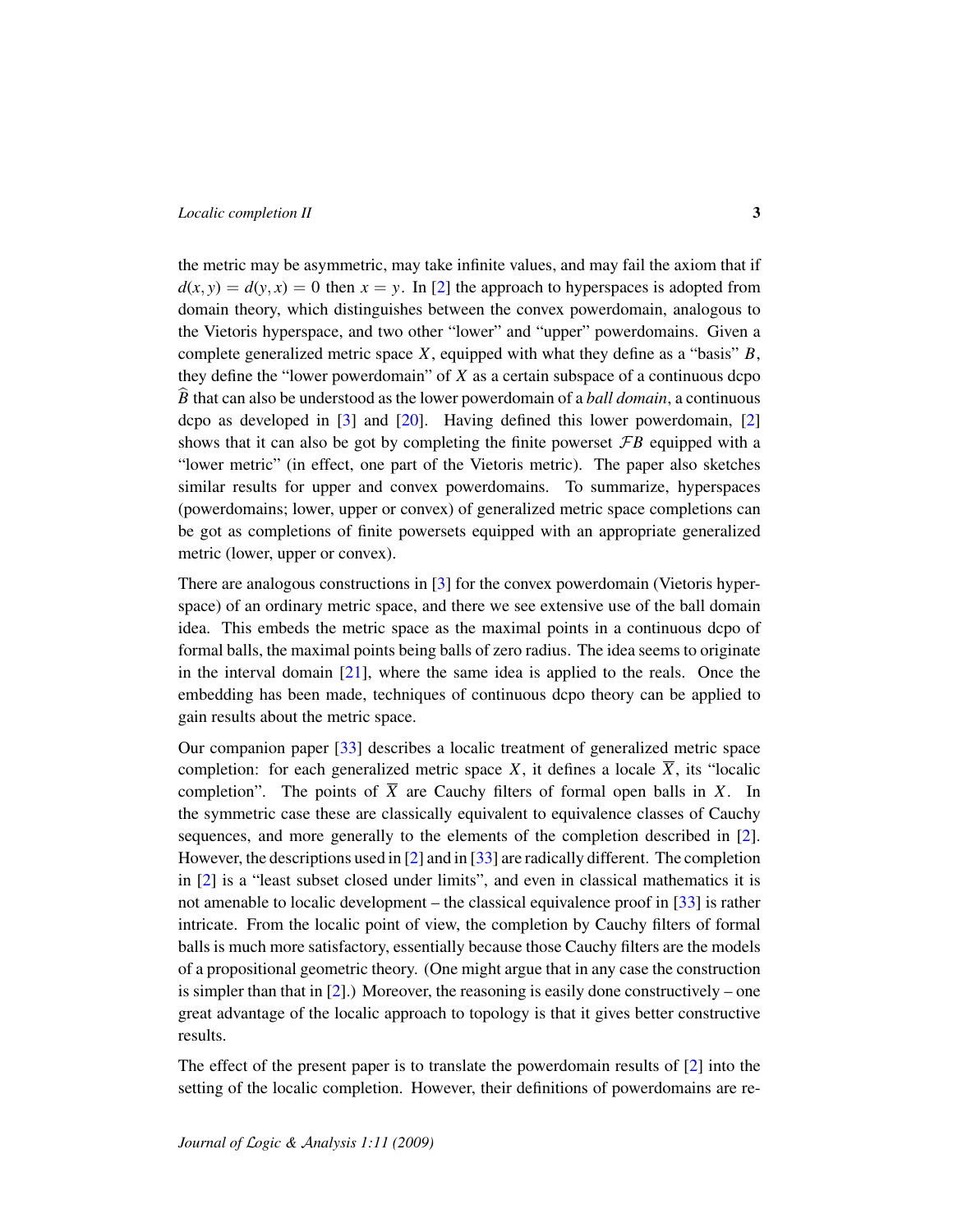the metric may be asymmetric, may take infinite values, and may fail the axiom that if  $d(x, y) = d(y, x) = 0$  then  $x = y$ . In [\[2\]](#page-45-2) the approach to hyperspaces is adopted from domain theory, which distinguishes between the convex powerdomain, analogous to the Vietoris hyperspace, and two other "lower" and "upper" powerdomains. Given a complete generalized metric space *X*, equipped with what they define as a "basis" *B*, they define the "lower powerdomain" of *X* as a certain subspace of a continuous dcpo *B* that can also be understood as the lower powerdomain of a *ball domain*, a continuous dcpo as developed in  $\lceil 3 \rceil$  and  $\lceil 20 \rceil$ . Having defined this lower powerdomain,  $\lceil 2 \rceil$ shows that it can also be got by completing the finite powerset  $\mathcal{F}B$  equipped with a "lower metric" (in effect, one part of the Vietoris metric). The paper also sketches similar results for upper and convex powerdomains. To summarize, hyperspaces (powerdomains; lower, upper or convex) of generalized metric space completions can be got as completions of finite powersets equipped with an appropriate generalized metric (lower, upper or convex).

There are analogous constructions in [\[3\]](#page-45-3) for the convex powerdomain (Vietoris hyperspace) of an ordinary metric space, and there we see extensive use of the ball domain idea. This embeds the metric space as the maximal points in a continuous dcpo of formal balls, the maximal points being balls of zero radius. The idea seems to originate in the interval domain  $[21]$ , where the same idea is applied to the reals. Once the embedding has been made, techniques of continuous dcpo theory can be applied to gain results about the metric space.

Our companion paper [\[33\]](#page-47-1) describes a localic treatment of generalized metric space completion: for each generalized metric space *X*, it defines a locale  $\overline{X}$ , its "localic completion". The points of  $\overline{X}$  are Cauchy filters of formal open balls in *X*. In the symmetric case these are classically equivalent to equivalence classes of Cauchy sequences, and more generally to the elements of the completion described in [\[2\]](#page-45-2). However, the descriptions used in [\[2\]](#page-45-2) and in [\[33\]](#page-47-1) are radically different. The completion in [\[2\]](#page-45-2) is a "least subset closed under limits", and even in classical mathematics it is not amenable to localic development – the classical equivalence proof in [\[33\]](#page-47-1) is rather intricate. From the localic point of view, the completion by Cauchy filters of formal balls is much more satisfactory, essentially because those Cauchy filters are the models of a propositional geometric theory. (One might argue that in any case the construction is simpler than that in  $[2]$ .) Moreover, the reasoning is easily done constructively – one great advantage of the localic approach to topology is that it gives better constructive results.

The effect of the present paper is to translate the powerdomain results of [\[2\]](#page-45-2) into the setting of the localic completion. However, their definitions of powerdomains are re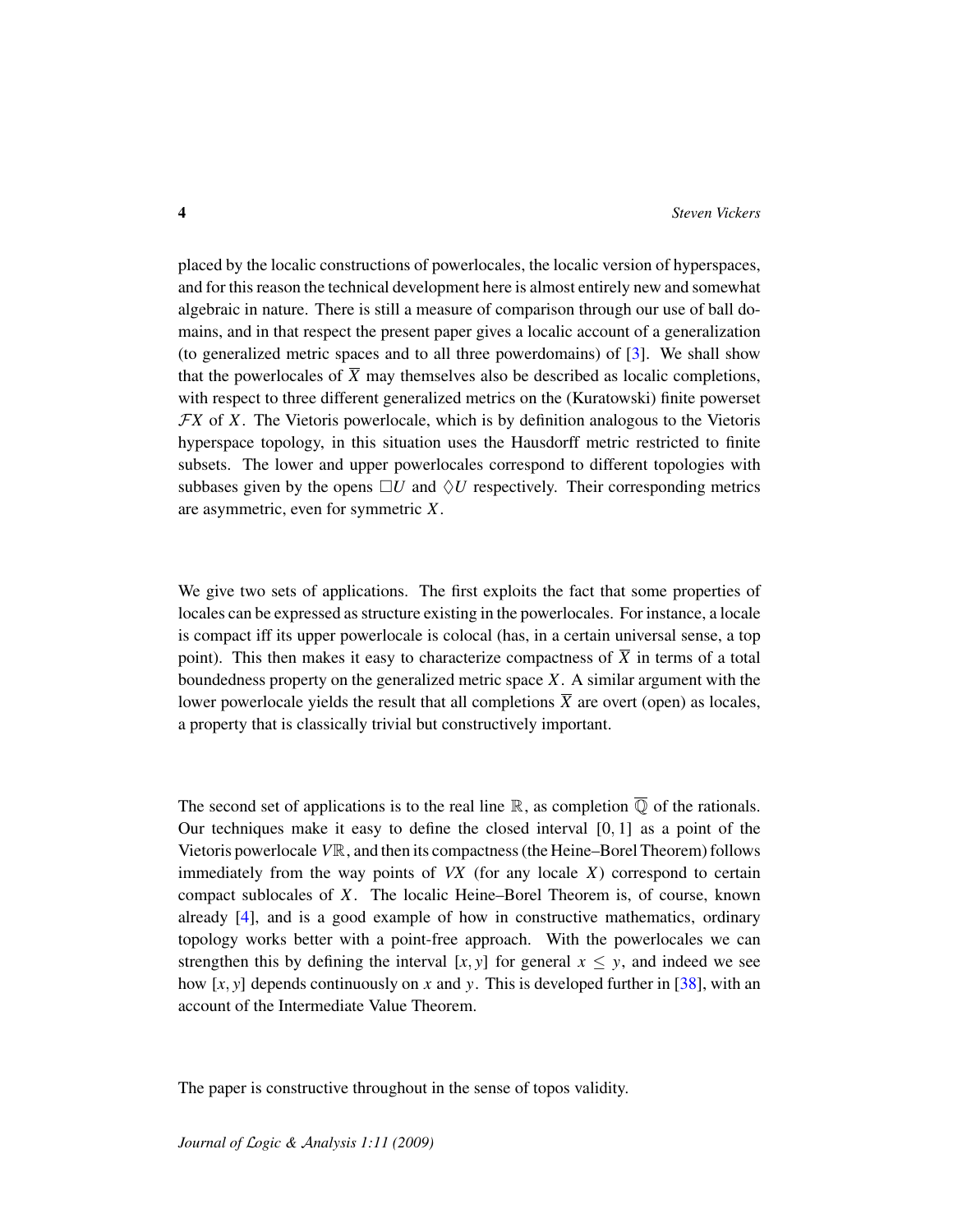placed by the localic constructions of powerlocales, the localic version of hyperspaces, and for this reason the technical development here is almost entirely new and somewhat algebraic in nature. There is still a measure of comparison through our use of ball domains, and in that respect the present paper gives a localic account of a generalization (to generalized metric spaces and to all three powerdomains) of [\[3\]](#page-45-3). We shall show that the powerlocales of  $\overline{X}$  may themselves also be described as localic completions, with respect to three different generalized metrics on the (Kuratowski) finite powerset F*X* of *X*. The Vietoris powerlocale, which is by definition analogous to the Vietoris hyperspace topology, in this situation uses the Hausdorff metric restricted to finite subsets. The lower and upper powerlocales correspond to different topologies with subbases given by the opens  $\Box U$  and  $\Diamond U$  respectively. Their corresponding metrics are asymmetric, even for symmetric *X*.

We give two sets of applications. The first exploits the fact that some properties of locales can be expressed as structure existing in the powerlocales. For instance, a locale is compact iff its upper powerlocale is colocal (has, in a certain universal sense, a top point). This then makes it easy to characterize compactness of  $\overline{X}$  in terms of a total boundedness property on the generalized metric space *X*. A similar argument with the lower powerlocale yields the result that all completions  $\overline{X}$  are overt (open) as locales, a property that is classically trivial but constructively important.

The second set of applications is to the real line  $\mathbb R$ , as completion  $\overline{\mathbb Q}$  of the rationals. Our techniques make it easy to define the closed interval  $[0, 1]$  as a point of the Vietoris powerlocale *V*R, and then its compactness (the Heine–Borel Theorem) follows immediately from the way points of *VX* (for any locale *X*) correspond to certain compact sublocales of *X*. The localic Heine–Borel Theorem is, of course, known already [\[4\]](#page-45-4), and is a good example of how in constructive mathematics, ordinary topology works better with a point-free approach. With the powerlocales we can strengthen this by defining the interval  $[x, y]$  for general  $x \leq y$ , and indeed we see how [*x*, *y*] depends continuously on *x* and *y*. This is developed further in [\[38\]](#page-47-4), with an account of the Intermediate Value Theorem.

The paper is constructive throughout in the sense of topos validity.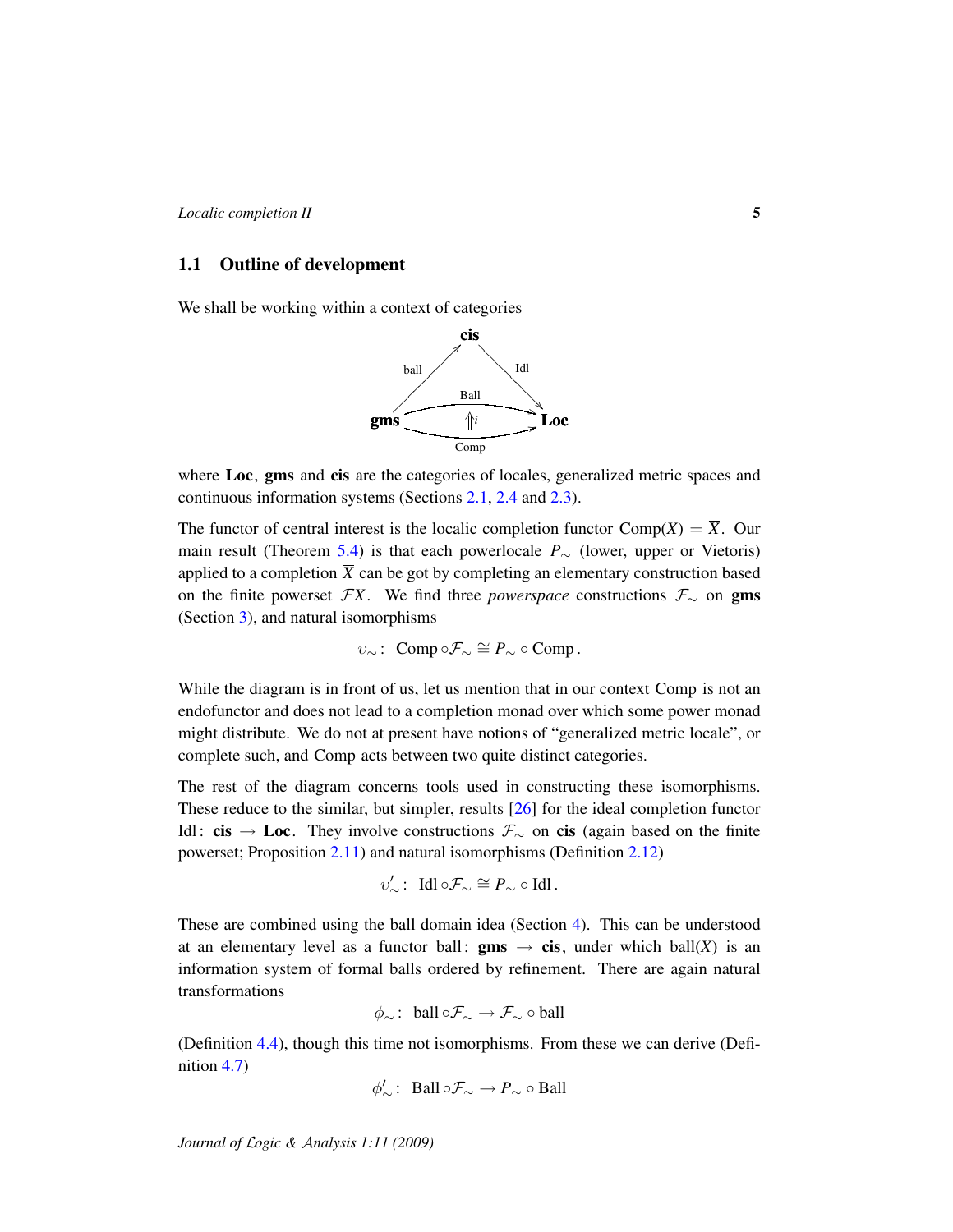### <span id="page-4-0"></span>1.1 Outline of development

We shall be working within a context of categories



where Loc, gms and cis are the categories of locales, generalized metric spaces and continuous information systems (Sections [2.1,](#page-5-0) [2.4](#page-16-0) and [2.3\)](#page-12-0).

The functor of central interest is the localic completion functor  $Comp(X) = \overline{X}$ . Our main result (Theorem [5.4\)](#page-29-0) is that each powerlocale *P*<sup>∼</sup> (lower, upper or Vietoris) applied to a completion  $\overline{X}$  can be got by completing an elementary construction based on the finite powerset  $FX$ . We find three *powerspace* constructions  $\mathcal{F}_{\sim}$  on gms (Section [3\)](#page-18-0), and natural isomorphisms

$$
v_{\sim}:\ \text{Comp}\circ\mathcal{F}_{\sim}\cong P_{\sim}\circ\text{Comp}.
$$

While the diagram is in front of us, let us mention that in our context Comp is not an endofunctor and does not lead to a completion monad over which some power monad might distribute. We do not at present have notions of "generalized metric locale", or complete such, and Comp acts between two quite distinct categories.

The rest of the diagram concerns tools used in constructing these isomorphisms. These reduce to the similar, but simpler, results [\[26\]](#page-46-3) for the ideal completion functor Idl: cis → Loc. They involve constructions  $\mathcal{F}_{\sim}$  on cis (again based on the finite powerset; Proposition [2.11\)](#page-14-0) and natural isomorphisms (Definition [2.12\)](#page-14-1)

$$
v'_{\sim}: \ \text{Idl}\circ \mathcal{F}_{\sim}\cong P_{\sim}\circ \text{Idl}.
$$

These are combined using the ball domain idea (Section [4\)](#page-20-0). This can be understood at an elementary level as a functor ball: **gms**  $\rightarrow$  **cis**, under which ball(*X*) is an information system of formal balls ordered by refinement. There are again natural transformations

$$
\phi_{\sim}
$$
: ball  $\circ \mathcal{F}_{\sim} \to \mathcal{F}_{\sim} \circ \text{ball}$ 

(Definition [4.4\)](#page-21-0), though this time not isomorphisms. From these we can derive (Definition [4.7\)](#page-22-0)

$$
\phi'_\sim\colon \text{ Ball}\circ \mathcal{F}_\sim \to P_\sim \circ \text{Ball}
$$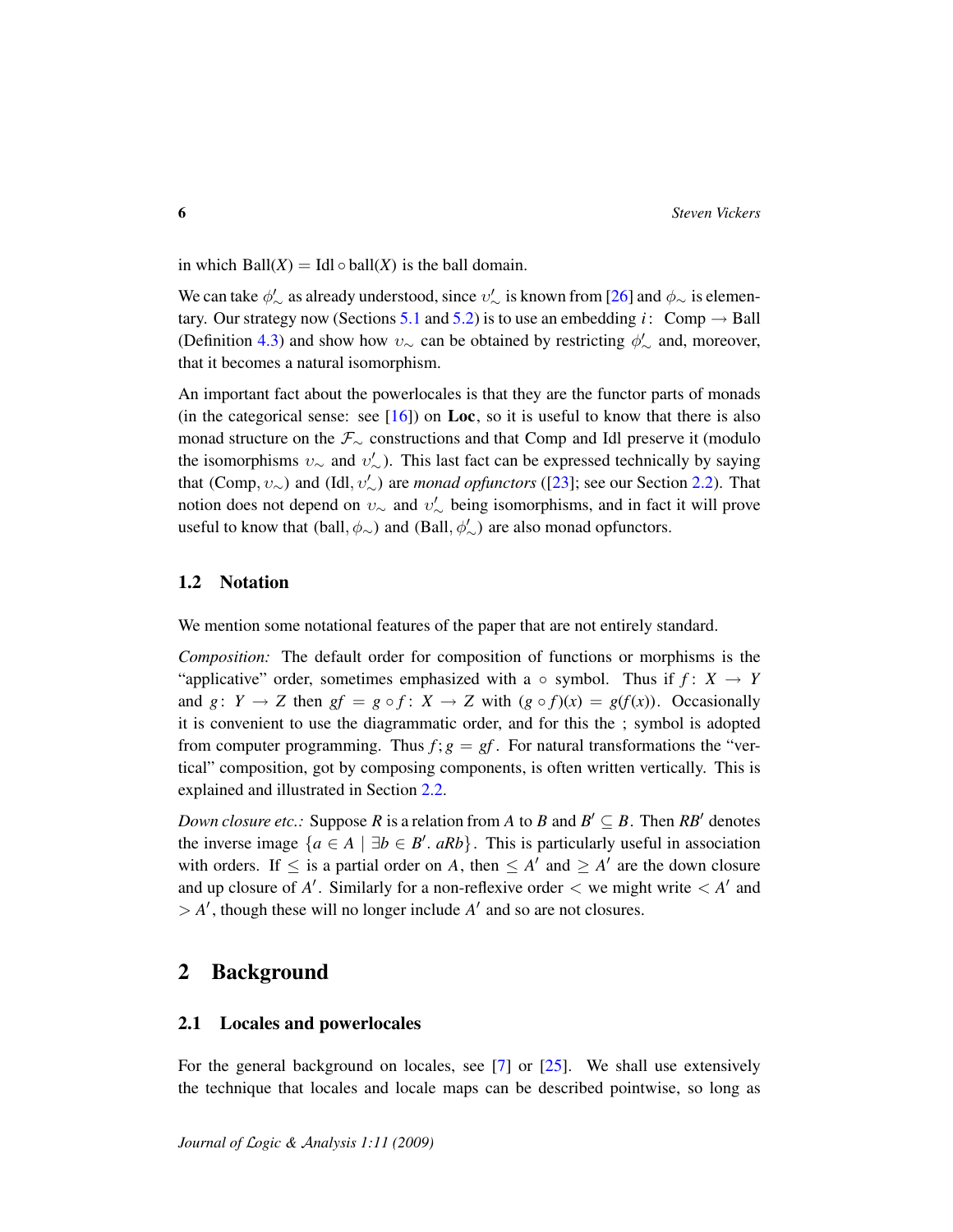in which  $Ball(X) = Id \circ ball(X)$  is the ball domain.

We can take  $\phi'_\sim$  as already understood, since  $v'_\sim$  is known from [\[26\]](#page-46-3) and  $\phi_\sim$  is elemen-tary. Our strategy now (Sections [5.1](#page-24-0) and [5.2\)](#page-28-0) is to use an embedding *i*: Comp  $\rightarrow$  Ball (Definition [4.3\)](#page-21-1) and show how  $v_{\sim}$  can be obtained by restricting  $\phi'_{\sim}$  and, moreover, that it becomes a natural isomorphism.

An important fact about the powerlocales is that they are the functor parts of monads (in the categorical sense: see  $[16]$ ) on Loc, so it is useful to know that there is also monad structure on the  $\mathcal{F}_{\sim}$  constructions and that Comp and Idl preserve it (modulo the isomorphisms  $v_{\sim}$  and  $v'_{\sim}$ ). This last fact can be expressed technically by saying that (Comp,  $v_{\sim}$ ) and (Idl,  $v'_{\sim}$ ) are *monad opfunctors* ([\[23\]](#page-46-5); see our Section [2.2\)](#page-8-0). That notion does not depend on  $v_{\sim}$  and  $v'_{\sim}$  being isomorphisms, and in fact it will prove useful to know that (ball,  $\phi_{\sim}$ ) and (Ball,  $\phi'_{\sim}$ ) are also monad opfunctors.

### <span id="page-5-1"></span>1.2 Notation

We mention some notational features of the paper that are not entirely standard.

*Composition:* The default order for composition of functions or morphisms is the "applicative" order, sometimes emphasized with a  $\circ$  symbol. Thus if  $f: X \rightarrow Y$ and  $g: Y \to Z$  then  $gf = g \circ f: X \to Z$  with  $(g \circ f)(x) = g(f(x))$ . Occasionally it is convenient to use the diagrammatic order, and for this the ; symbol is adopted from computer programming. Thus  $f$ ;  $g = gf$ . For natural transformations the "vertical" composition, got by composing components, is often written vertically. This is explained and illustrated in Section [2.2.](#page-8-0)

*Down closure etc.:* Suppose *R* is a relation from *A* to *B* and  $B' \subseteq B$ . Then  $RB'$  denotes the inverse image  $\{a \in A \mid \exists b \in B'. aRb\}$ . This is particularly useful in association with orders. If  $\leq$  is a partial order on *A*, then  $\leq$  *A'* and  $\geq$  *A'* are the down closure and up closure of  $A'$ . Similarly for a non-reflexive order  $\lt$  we might write  $\lt A'$  and  $> A'$ , though these will no longer include  $A'$  and so are not closures.

### 2 Background

#### <span id="page-5-0"></span>2.1 Locales and powerlocales

For the general background on locales, see [\[7\]](#page-45-0) or [\[25\]](#page-46-6). We shall use extensively the technique that locales and locale maps can be described pointwise, so long as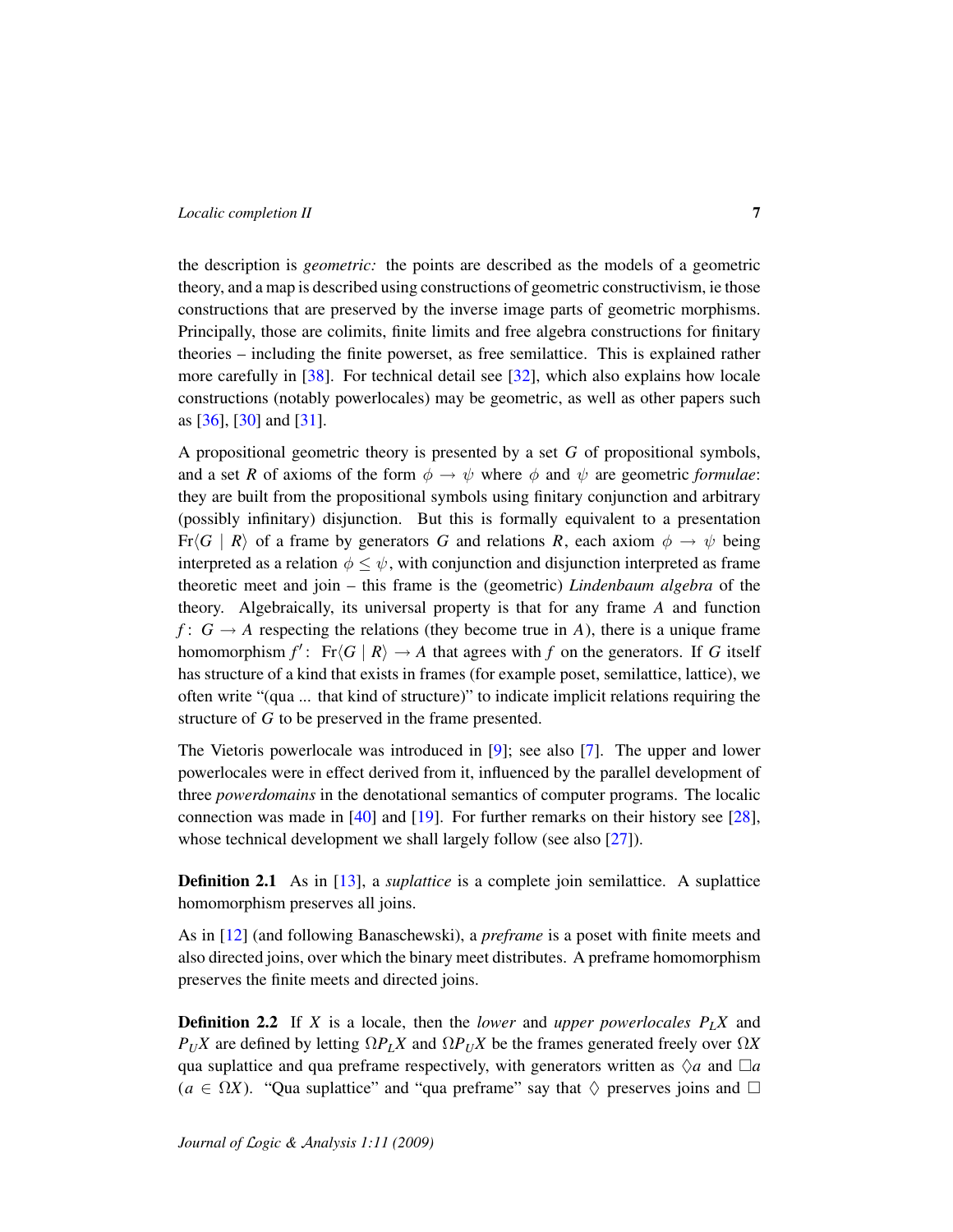the description is *geometric:* the points are described as the models of a geometric theory, and a map is described using constructions of geometric constructivism, ie those constructions that are preserved by the inverse image parts of geometric morphisms. Principally, those are colimits, finite limits and free algebra constructions for finitary theories – including the finite powerset, as free semilattice. This is explained rather more carefully in [\[38\]](#page-47-4). For technical detail see [\[32\]](#page-47-0), which also explains how locale constructions (notably powerlocales) may be geometric, as well as other papers such as [\[36\]](#page-47-5), [\[30\]](#page-47-6) and [\[31\]](#page-47-7).

A propositional geometric theory is presented by a set *G* of propositional symbols, and a set *R* of axioms of the form  $\phi \rightarrow \psi$  where  $\phi$  and  $\psi$  are geometric *formulae*: they are built from the propositional symbols using finitary conjunction and arbitrary (possibly infinitary) disjunction. But this is formally equivalent to a presentation  $Fr\langle G | R \rangle$  of a frame by generators *G* and relations *R*, each axiom  $\phi \rightarrow \psi$  being interpreted as a relation  $\phi \leq \psi$ , with conjunction and disjunction interpreted as frame theoretic meet and join – this frame is the (geometric) *Lindenbaum algebra* of the theory. Algebraically, its universal property is that for any frame *A* and function *f* :  $G \rightarrow A$  respecting the relations (they become true in *A*), there is a unique frame homomorphism  $f'$ : Fr $\langle G \mid R \rangle \rightarrow A$  that agrees with *f* on the generators. If *G* itself has structure of a kind that exists in frames (for example poset, semilattice, lattice), we often write "(qua ... that kind of structure)" to indicate implicit relations requiring the structure of *G* to be preserved in the frame presented.

The Vietoris powerlocale was introduced in [\[9\]](#page-45-1); see also [\[7\]](#page-45-0). The upper and lower powerlocales were in effect derived from it, influenced by the parallel development of three *powerdomains* in the denotational semantics of computer programs. The localic connection was made in [\[40\]](#page-47-8) and [\[19\]](#page-46-7). For further remarks on their history see [\[28\]](#page-47-9), whose technical development we shall largely follow (see also [\[27\]](#page-46-8)).

**Definition 2.1** As in [\[13\]](#page-46-9), a *suplattice* is a complete join semilattice. A suplattice homomorphism preserves all joins.

As in [\[12\]](#page-46-10) (and following Banaschewski), a *preframe* is a poset with finite meets and also directed joins, over which the binary meet distributes. A preframe homomorphism preserves the finite meets and directed joins.

Definition 2.2 If *X* is a locale, then the *lower* and *upper powerlocales PLX* and  $P_U X$  are defined by letting  $\Omega P_L X$  and  $\Omega P_U X$  be the frames generated freely over  $\Omega X$ qua suplattice and qua preframe respectively, with generators written as  $\Diamond a$  and  $\Box a$  $(a \in \Omega X)$ . "Qua suplattice" and "qua preframe" say that  $\Diamond$  preserves joins and  $\Box$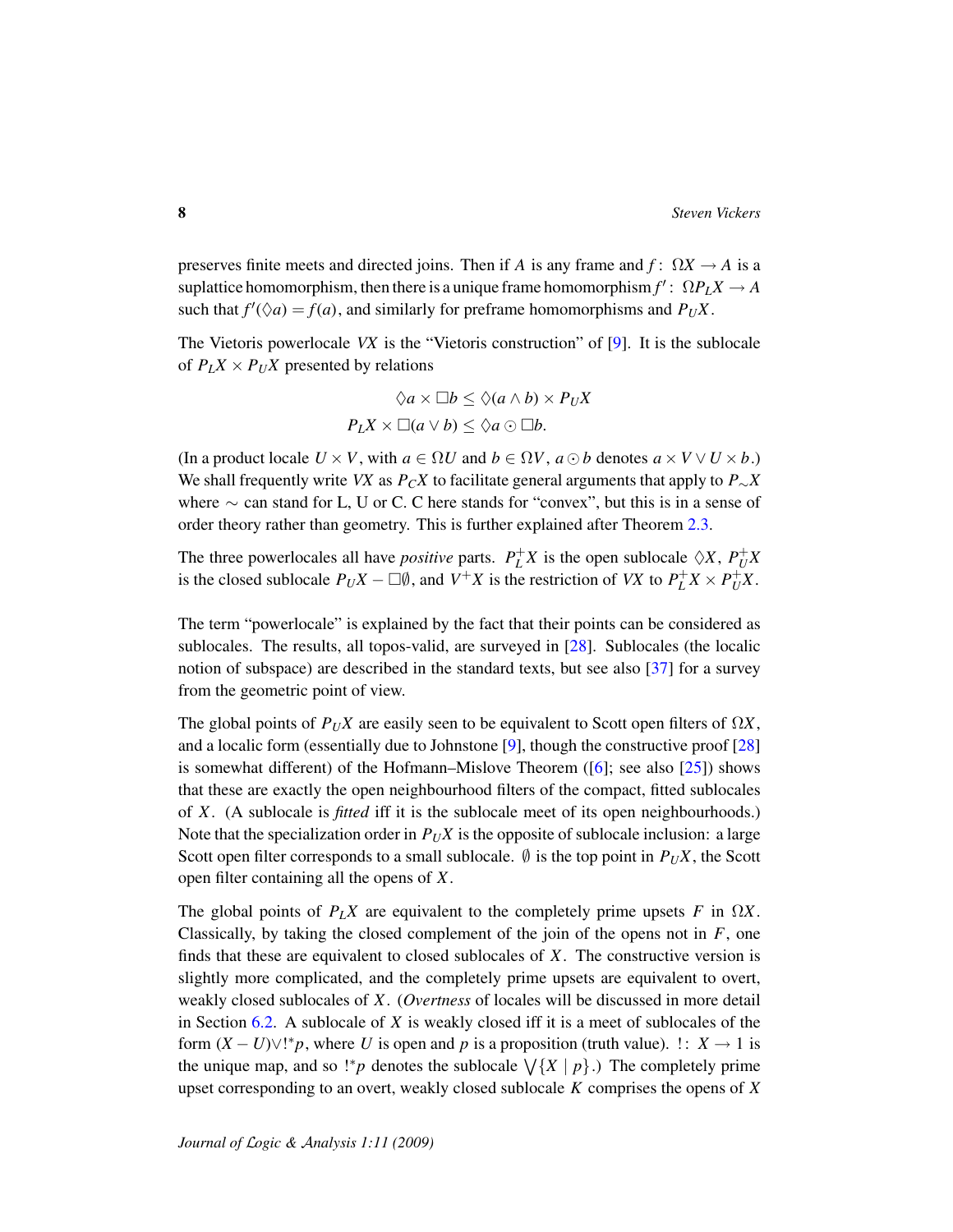preserves finite meets and directed joins. Then if *A* is any frame and  $f: \Omega X \to A$  is a  $\sup$  suplattice homomorphism, then there is a unique frame homomorphism  $f' : \Omega P_L X \to A$ such that  $f'(\Diamond a) = f(a)$ , and similarly for preframe homomorphisms and  $P_UX$ .

The Vietoris powerlocale *VX* is the "Vietoris construction" of [\[9\]](#page-45-1). It is the sublocale of  $P_L X \times P_U X$  presented by relations

$$
\Diamond a \times \Box b \leq \Diamond (a \land b) \times P_U X
$$

$$
P_L X \times \Box (a \lor b) \leq \Diamond a \odot \Box b.
$$

(In a product locale  $U \times V$ , with  $a \in \Omega U$  and  $b \in \Omega V$ ,  $a \odot b$  denotes  $a \times V \vee U \times b$ .) We shall frequently write *VX* as  $P_C X$  to facilitate general arguments that apply to  $P_{\sim} X$ where  $\sim$  can stand for L, U or C. C here stands for "convex", but this is in a sense of order theory rather than geometry. This is further explained after Theorem [2.3.](#page-8-1)

The three powerlocales all have *positive* parts.  $P_L^+X$  is the open sublocale  $\Diamond X$ ,  $P_U^+X$ is the closed sublocale  $P_U X - \Box \emptyset$ , and  $V^+ X$  is the restriction of *VX* to  $P_L^+ X \times P_U^+ X$ .

The term "powerlocale" is explained by the fact that their points can be considered as sublocales. The results, all topos-valid, are surveyed in [\[28\]](#page-47-9). Sublocales (the localic notion of subspace) are described in the standard texts, but see also [\[37\]](#page-47-10) for a survey from the geometric point of view.

The global points of  $P_U X$  are easily seen to be equivalent to Scott open filters of  $\Omega X$ , and a localic form (essentially due to Johnstone [\[9\]](#page-45-1), though the constructive proof [\[28\]](#page-47-9) is somewhat different) of the Hofmann–Mislove Theorem ([\[6\]](#page-45-5); see also [\[25\]](#page-46-6)) shows that these are exactly the open neighbourhood filters of the compact, fitted sublocales of *X*. (A sublocale is *fitted* iff it is the sublocale meet of its open neighbourhoods.) Note that the specialization order in  $P_UX$  is the opposite of sublocale inclusion: a large Scott open filter corresponds to a small sublocale.  $\emptyset$  is the top point in  $P_U X$ , the Scott open filter containing all the opens of *X*.

The global points of  $P_L X$  are equivalent to the completely prime upsets *F* in  $\Omega X$ . Classically, by taking the closed complement of the join of the opens not in  $F$ , one finds that these are equivalent to closed sublocales of *X*. The constructive version is slightly more complicated, and the completely prime upsets are equivalent to overt, weakly closed sublocales of *X*. (*Overtness* of locales will be discussed in more detail in Section [6.2.](#page-34-0) A sublocale of *X* is weakly closed iff it is a meet of sublocales of the form  $(X - U) \vee !^*p$ , where *U* is open and *p* is a proposition (truth value). !:  $X \to 1$  is the unique map, and so !\**p* denotes the sublocale  $\sqrt{\{X \mid p\}}$ .) The completely prime upset corresponding to an overt, weakly closed sublocale *K* comprises the opens of *X*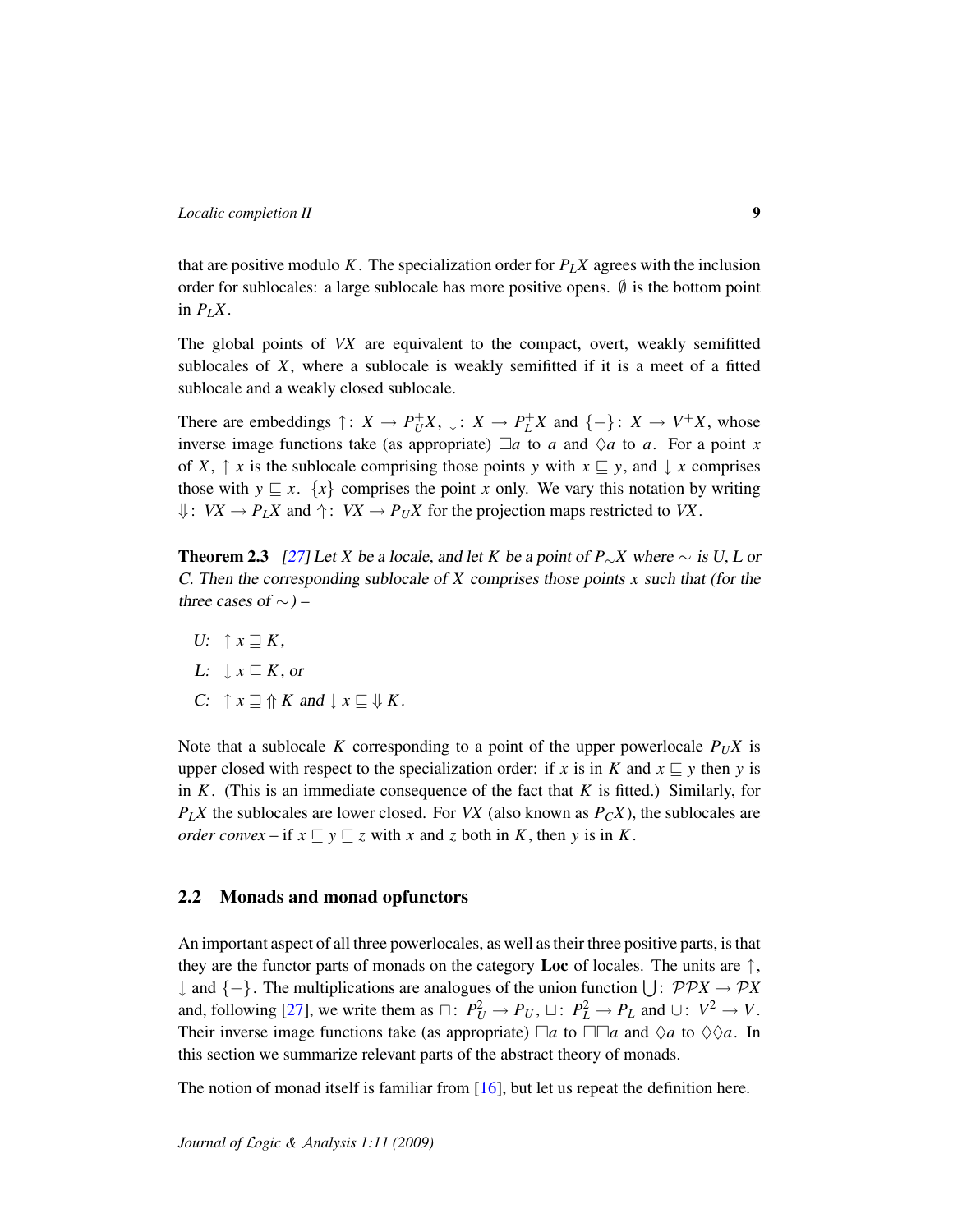that are positive modulo *K*. The specialization order for  $P_L X$  agrees with the inclusion order for sublocales: a large sublocale has more positive opens.  $\emptyset$  is the bottom point in  $P_IX$ .

The global points of *VX* are equivalent to the compact, overt, weakly semifitted sublocales of *X*, where a sublocale is weakly semifitted if it is a meet of a fitted sublocale and a weakly closed sublocale.

There are embeddings  $\uparrow$ :  $X \rightarrow P_U^+ X$ ,  $\downarrow$ :  $X \rightarrow P_L^+ X$  and  $\{-\}$ :  $X \rightarrow V^+ X$ , whose inverse image functions take (as appropriate)  $\Box a$  to *a* and  $\Diamond a$  to *a*. For a point *x* of *X*,  $\uparrow$  *x* is the sublocale comprising those points *y* with  $x \sqsubseteq y$ , and  $\downarrow$  *x* comprises those with  $y \subseteq x$ .  $\{x\}$  comprises the point *x* only. We vary this notation by writing  $\downarrow$ : *VX*  $\rightarrow$  *P<sub>L</sub>X* and  $\uparrow$ : *VX*  $\rightarrow$  *P<sub>U</sub>X* for the projection maps restricted to *VX*.

<span id="page-8-1"></span>**Theorem 2.3** [\[27\]](#page-46-8) Let *X* be a locale, and let *K* be a point of *P*∼*X* where ∼ is U, L or C. Then the corresponding sublocale of *X* comprises those points *x* such that (for the three cases of  $\sim$ ) –

- $U: \quad \uparrow x \sqsupset K$ ,
- L:  $x \sqsubset K$ , or
- $C: \quad \uparrow x \sqsupseteq \Uparrow K$  and  $\downarrow x \sqsubseteq \Downarrow K$ .

Note that a sublocale *K* corresponding to a point of the upper powerlocale  $P_UX$  is upper closed with respect to the specialization order: if *x* is in *K* and  $x \subseteq y$  then *y* is in *K*. (This is an immediate consequence of the fact that *K* is fitted.) Similarly, for  $P_L X$  the sublocales are lower closed. For *VX* (also known as  $P_C X$ ), the sublocales are *order convex* – if  $x \sqsubseteq y \sqsubseteq z$  with  $x$  and  $z$  both in  $K$ , then  $y$  is in  $K$ .

### <span id="page-8-0"></span>2.2 Monads and monad opfunctors

An important aspect of all three powerlocales, as well as their three positive parts, is that they are the functor parts of monads on the category **Loc** of locales. The units are  $\uparrow$ , ↓ and {−}. The multiplications are analogues of the union function S : PP*X* → P*X* and, following [\[27\]](#page-46-8), we write them as  $\Box: P_U^2 \to P_U$ ,  $\Box: P_L^2 \to P_L$  and  $\cup: V^2 \to V$ . Their inverse image functions take (as appropriate)  $\Box a$  to  $\Box \Box a$  and  $\Diamond a$  to  $\Diamond \Diamond a$ . In this section we summarize relevant parts of the abstract theory of monads.

The notion of monad itself is familiar from  $[16]$ , but let us repeat the definition here.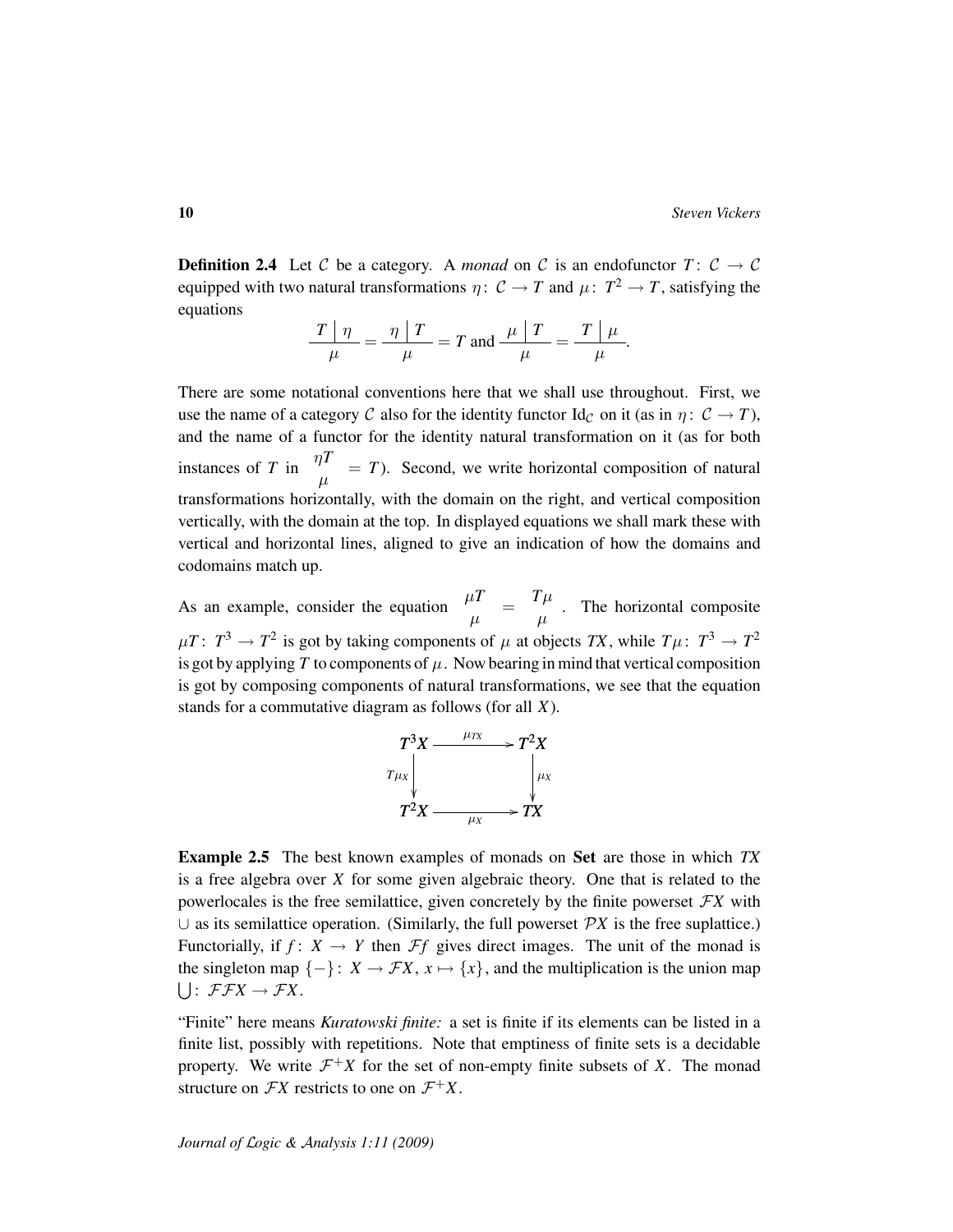**Definition 2.4** Let C be a category. A *monad* on C is an endofunctor  $T: C \rightarrow C$ equipped with two natural transformations  $\eta: \mathcal{C} \to T$  and  $\mu: T^2 \to T$ , satisfying the equations

$$
\frac{T|\eta}{\mu} = \frac{\eta|T}{\mu} = T \text{ and } \frac{\mu|T}{\mu} = \frac{T|\mu}{\mu}.
$$

There are some notational conventions here that we shall use throughout. First, we use the name of a category C also for the identity functor  $\mathrm{Id}_{\mathcal{C}}$  on it (as in  $\eta: \mathcal{C} \to T$ ), and the name of a functor for the identity natural transformation on it (as for both instances of *T* in  $\frac{\eta T}{\mu} = T$ ). Second, we write horizontal composition of natural transformations horizontally, with the domain on the right, and vertical composition vertically, with the domain at the top. In displayed equations we shall mark these with vertical and horizontal lines, aligned to give an indication of how the domains and codomains match up.

As an example, consider the equation  $\frac{\mu T}{\mu} = \frac{T\mu}{\mu}$  $\mu$ . The horizontal composite  $\mu$ *T*:  $T^3 \to T^2$  is got by taking components of  $\mu$  at objects *TX*, while  $T\mu$ :  $T^3 \to T^2$ is got by applying  $T$  to components of  $\mu$ . Now bearing in mind that vertical composition is got by composing components of natural transformations, we see that the equation stands for a commutative diagram as follows (for all *X*).



<span id="page-9-0"></span>Example 2.5 The best known examples of monads on Set are those in which *TX* is a free algebra over *X* for some given algebraic theory. One that is related to the powerlocales is the free semilattice, given concretely by the finite powerset  $\mathcal{F}X$  with  $\cup$  as its semilattice operation. (Similarly, the full powerset  $\mathcal{P}X$  is the free suplattice.) Functorially, if  $f: X \to Y$  then  $\mathcal{F}f$  gives direct images. The unit of the monad is the singleton map  $\{-\}$ :  $X \to \mathcal{F}X$ ,  $x \mapsto \{x\}$ , and the multiplication is the union map  $\bigcup: \mathcal{F}\mathcal{F}X \to \mathcal{F}X.$ 

"Finite" here means *Kuratowski finite:* a set is finite if its elements can be listed in a finite list, possibly with repetitions. Note that emptiness of finite sets is a decidable property. We write  $\mathcal{F}^+X$  for the set of non-empty finite subsets of X. The monad structure on  $FX$  restricts to one on  $\mathcal{F}^+X$ .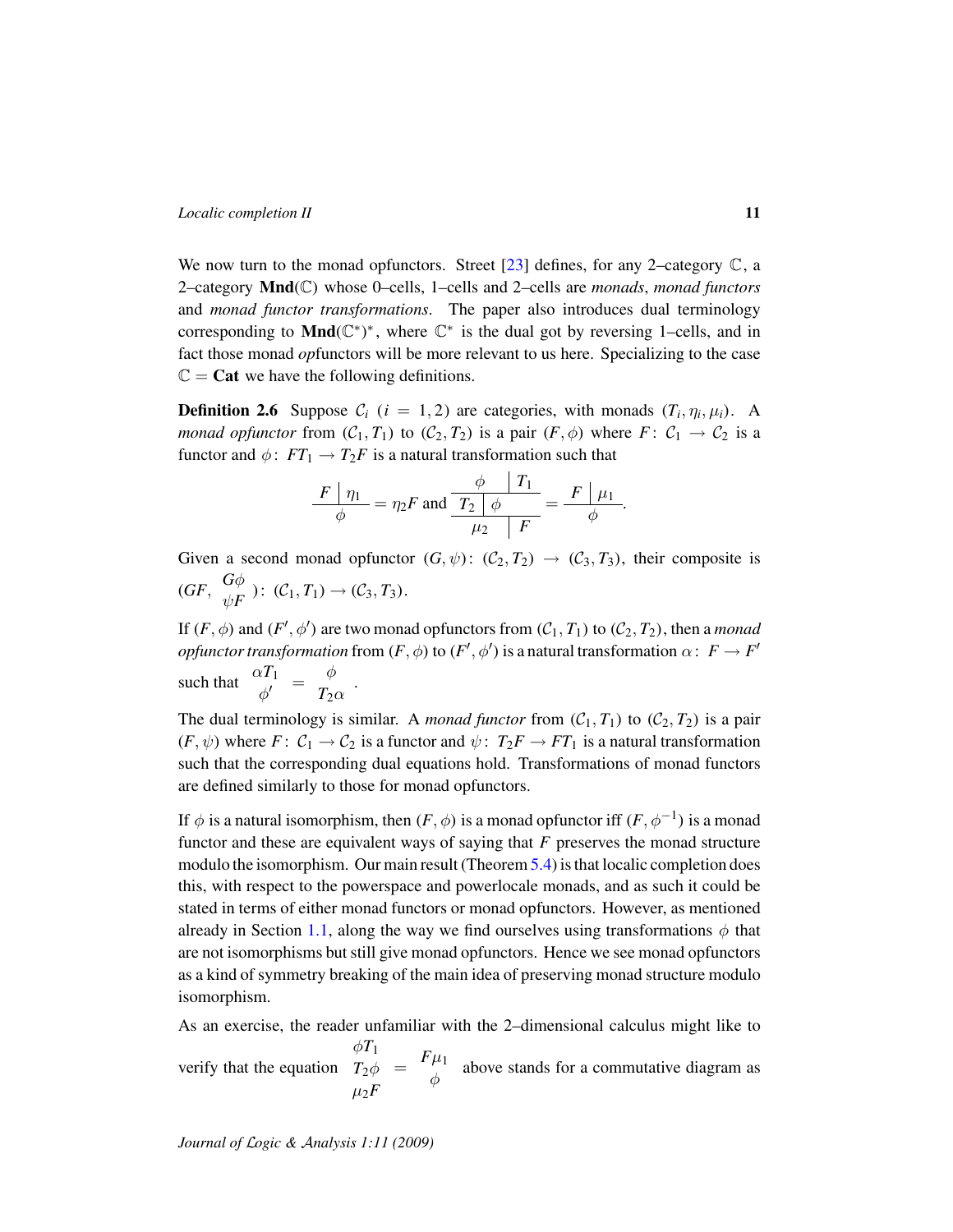We now turn to the monad opfunctors. Street  $[23]$  defines, for any 2–category  $\mathbb{C}$ , a 2–category Mnd(C) whose 0–cells, 1–cells and 2–cells are *monads*, *monad functors* and *monad functor transformations*. The paper also introduces dual terminology corresponding to Mnd $(\mathbb{C}^*)^*$ , where  $\mathbb{C}^*$  is the dual got by reversing 1-cells, and in fact those monad *op*functors will be more relevant to us here. Specializing to the case  $\mathbb{C} = \mathbf{Cat}$  we have the following definitions.

<span id="page-10-0"></span>**Definition 2.6** Suppose  $C_i$  ( $i = 1, 2$ ) are categories, with monads  $(T_i, \eta_i, \mu_i)$ . A *monad opfunctor* from  $(C_1, T_1)$  to  $(C_2, T_2)$  is a pair  $(F, \phi)$  where  $F: C_1 \to C_2$  is a functor and  $\phi$ :  $FT_1 \rightarrow T_2F$  is a natural transformation such that

$$
\frac{F\mid \eta_1}{\phi} = \eta_2 F \text{ and } \frac{\frac{\phi}{T_2}\mid \frac{T_1}{\phi}}{\mu_2}\mid \frac{F\mid \mu_1}{F} = \frac{F\mid \mu_1}{\phi}.
$$

Given a second monad opfunctor  $(G, \psi)$ :  $(\mathcal{C}_2, \mathcal{T}_2) \rightarrow (\mathcal{C}_3, \mathcal{T}_3)$ , their composite is  $(GF, \begin{array}{c} G\phi \ GF, \end{array})$  $\psi_F^{\varphi}$  ):  $(C_1, T_1) \rightarrow (C_3, T_3)$ .

If  $(F, \phi)$  and  $(F', \phi')$  are two monad opfunctors from  $(C_1, T_1)$  to  $(C_2, T_2)$ , then a *monad opfunctor transformation* from  $(F, \phi)$  to  $(F', \phi')$  is a natural transformation  $\alpha \colon F \to F'$ such that  $\begin{array}{cc} \alpha T_1 \\ \phi' \end{array} = \begin{array}{cc} \phi \\ T_2 \end{array}$  $T_2\alpha$ .

The dual terminology is similar. A *monad functor* from  $(C_1, T_1)$  to  $(C_2, T_2)$  is a pair  $(F, \psi)$  where  $F: C_1 \to C_2$  is a functor and  $\psi: T_2F \to FT_1$  is a natural transformation such that the corresponding dual equations hold. Transformations of monad functors are defined similarly to those for monad opfunctors.

If  $\phi$  is a natural isomorphism, then  $(F, \phi)$  is a monad opfunctor iff  $(F, \phi^{-1})$  is a monad functor and these are equivalent ways of saying that *F* preserves the monad structure modulo the isomorphism. Our main result (Theorem [5.4\)](#page-29-0) is that localic completion does this, with respect to the powerspace and powerlocale monads, and as such it could be stated in terms of either monad functors or monad opfunctors. However, as mentioned already in Section [1.1,](#page-4-0) along the way we find ourselves using transformations  $\phi$  that are not isomorphisms but still give monad opfunctors. Hence we see monad opfunctors as a kind of symmetry breaking of the main idea of preserving monad structure modulo isomorphism.

As an exercise, the reader unfamiliar with the 2–dimensional calculus might like to verify that the equation  $\phi T_1$ *T*2φ  $\mu_2F$  $=$   $F\mu_1$  $\phi$  above stands for a commutative diagram as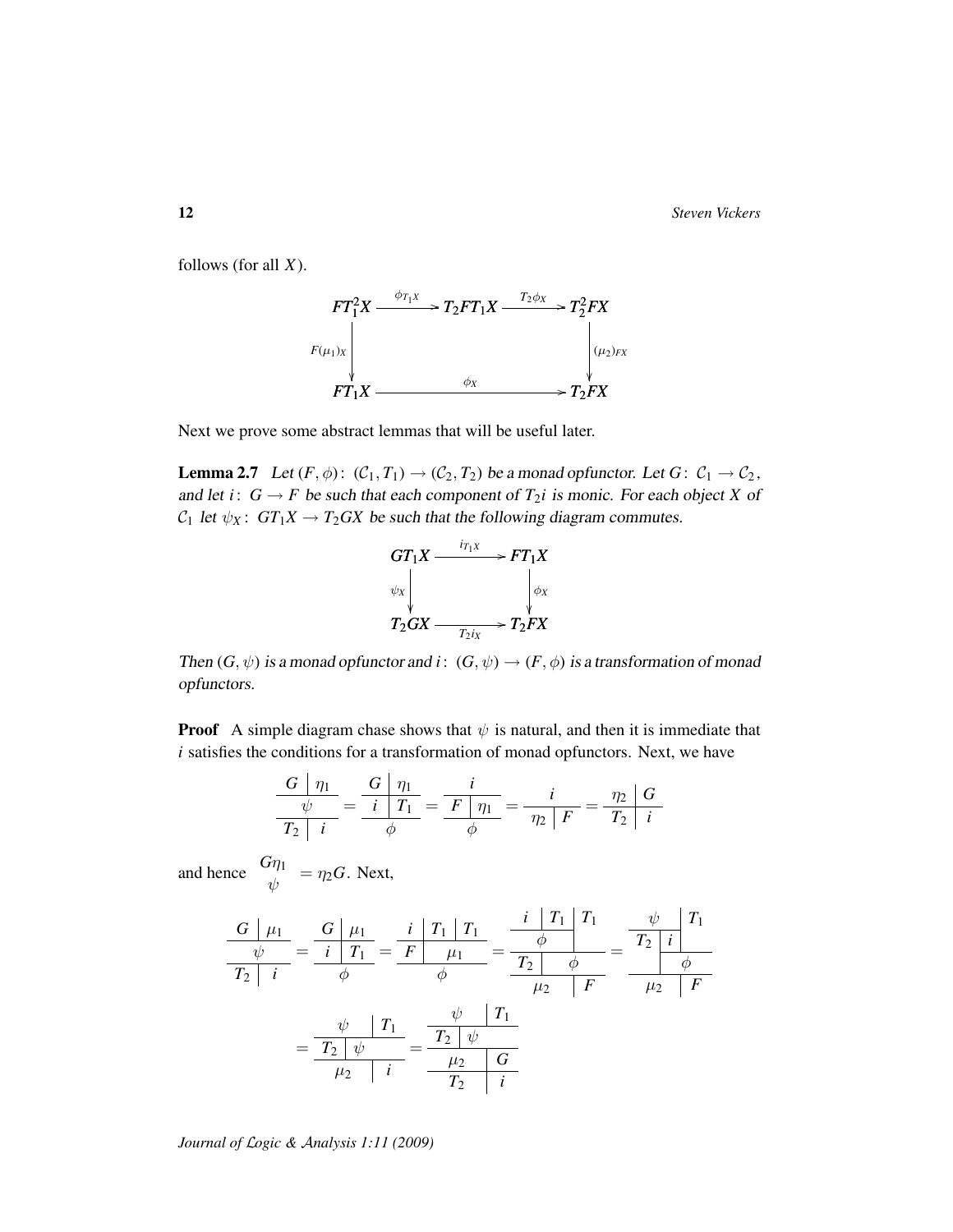12 *Steven Vickers*

follows (for all *X*).



Next we prove some abstract lemmas that will be useful later.

<span id="page-11-0"></span>**Lemma 2.7** Let  $(F, \phi)$ :  $(C_1, T_1) \rightarrow (C_2, T_2)$  be a monad opfunctor. Let  $G: C_1 \rightarrow C_2$ , and let *i*:  $G \rightarrow F$  be such that each component of  $T_2$ *i* is monic. For each object *X* of  $C_1$  let  $\psi_X$ :  $GT_1X \rightarrow T_2GX$  be such that the following diagram commutes.



Then  $(G, \psi)$  is a monad opfunctor and  $i: (G, \psi) \to (F, \phi)$  is a transformation of monad opfunctors.

**Proof** A simple diagram chase shows that  $\psi$  is natural, and then it is immediate that *i* satisfies the conditions for a transformation of monad opfunctors. Next, we have

$$
\frac{G \mid \eta_1}{T_2 \mid i} = \frac{G \mid \eta_1}{i \mid T_1} = \frac{i}{F \mid \eta_1}{\phi} = \frac{i}{\eta_2 \mid F} = \frac{\eta_2 \mid G}{T_2 \mid i}
$$

and hence  $\frac{G\eta_1}{\psi} = \eta_2 G$ . Next,

$$
\frac{G|\mu_1}{T_2|i} = \frac{G|\mu_1}{\phi} = \frac{i|\tau_1|\tau_1}{\phi} = \frac{\frac{i|\tau_1|\tau_1}{\phi}}{\frac{F|\mu_1}{\phi}} = \frac{\frac{i|\tau_1|\tau_1}{\phi}}{\frac{T_2|\phi}{\phi}} = \frac{\frac{\psi}{T_2}\frac{i|\tau_1}{\phi}}{\frac{\psi}{T_2}\frac{F}{\phi}} = \frac{\frac{\psi}{T_2}\frac{i|\tau_1}{\phi}}{\frac{T_2|\psi}{\phi}} = \frac{\frac{\psi}{T_2}\frac{i|\tau_1}{\phi}}{\frac{\psi}{T_2}\frac{F}{\phi}}
$$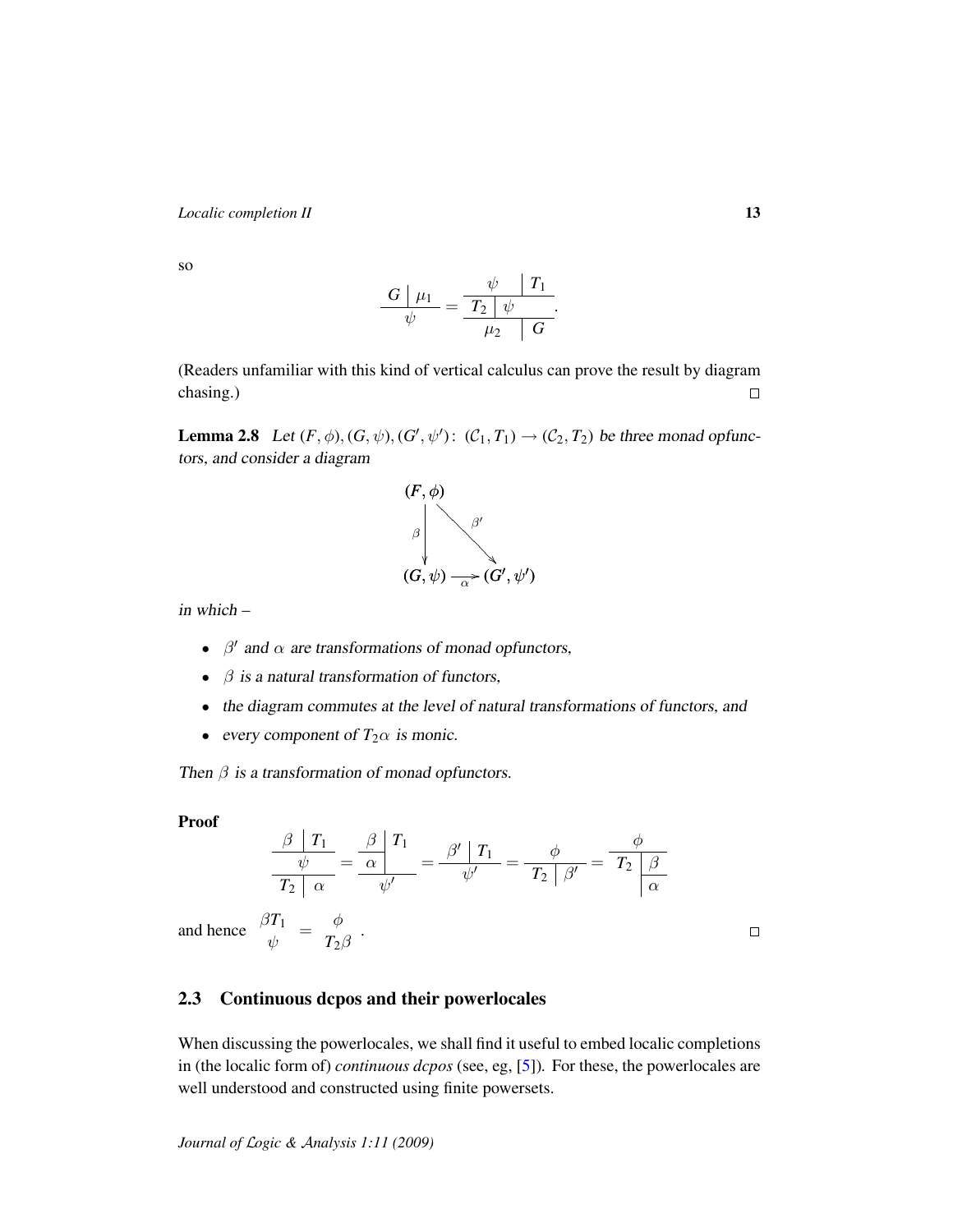so

$$
\frac{G\bigm|\mu_1}{\psi}=\frac{\frac{\psi}{T_2}\bigm|\psi}{\frac{\mu_2}{\mu_2}\bigm|G}.
$$

(Readers unfamiliar with this kind of vertical calculus can prove the result by diagram chasing.)  $\Box$ 

<span id="page-12-1"></span>**Lemma 2.8** Let  $(F, \phi), (G, \psi), (G', \psi') : (C_1, T_1) \to (C_2, T_2)$  be three monad opfunctors, and consider a diagram



in which –

- $\beta'$  and  $\alpha$  are transformations of monad opfunctors,
- $\beta$  is a natural transformation of functors,
- the diagram commutes at the level of natural transformations of functors, and
- every component of  $T_2 \alpha$  is monic.

í.

Then  $\beta$  is a transformation of monad opfunctors.

### Proof

$$
\frac{\frac{\beta}{\psi} T_1}{T_2 \alpha} = \frac{\frac{\beta}{\alpha} T_1}{\psi'} = \frac{\frac{\beta'}{\psi'}}{T_2 \beta'} = \frac{\frac{\phi}{\psi}}{T_2 \beta'} = \frac{\frac{\phi}{\psi}}{T_2 \beta}
$$
  
and hence  $\frac{\beta T_1}{\psi} = \frac{\phi}{T_2 \beta}$ .

### <span id="page-12-0"></span>2.3 Continuous dcpos and their powerlocales

When discussing the powerlocales, we shall find it useful to embed localic completions in (the localic form of) *continuous dcpos* (see, eg, [\[5\]](#page-45-6))*.* For these, the powerlocales are well understood and constructed using finite powersets.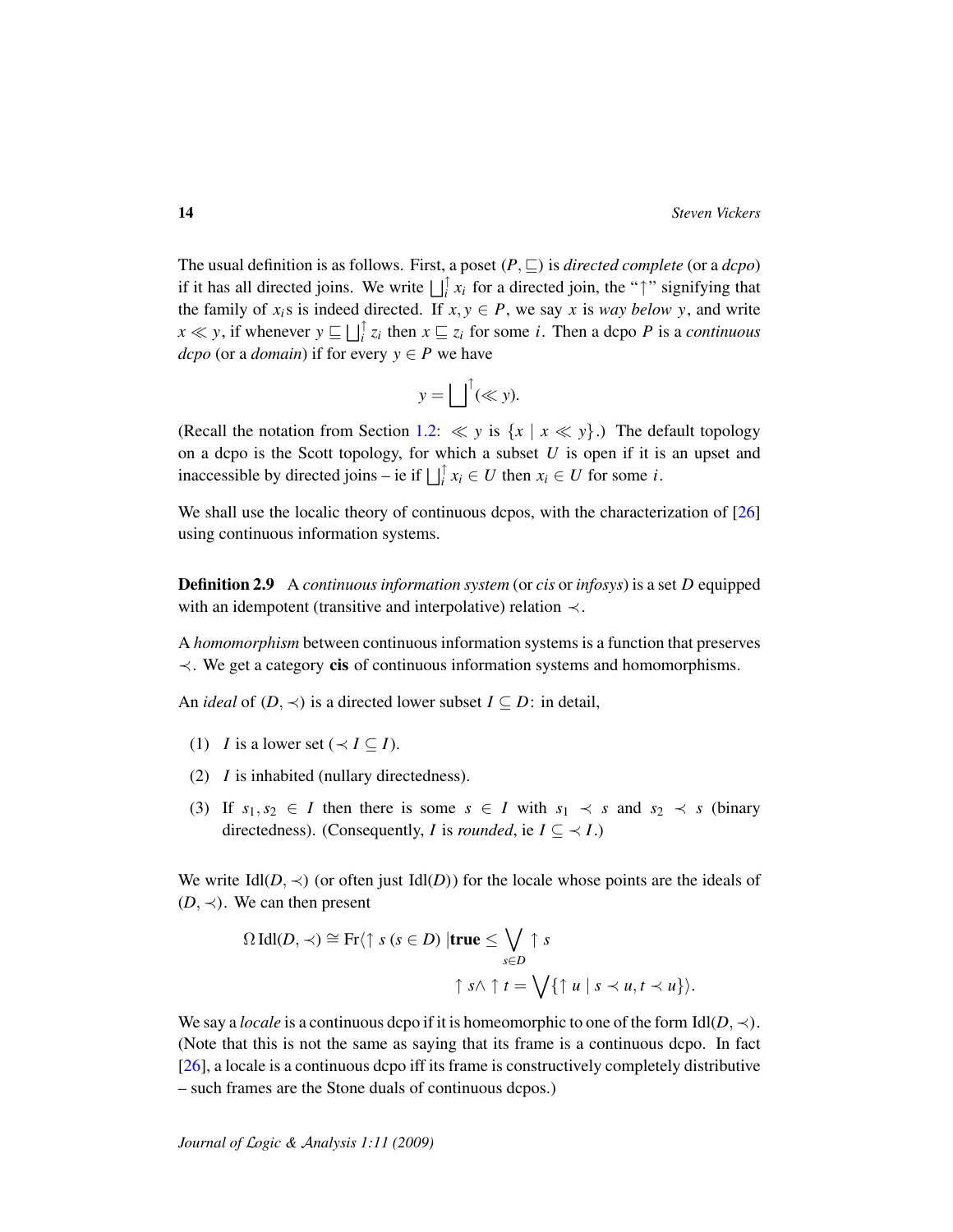The usual definition is as follows. First, a poset  $(P, \sqsubseteq)$  is *directed complete* (or a *dcpo*) if it has all directed joins. We write  $\iint_i^{\uparrow} x_i$  for a directed join, the " $\uparrow$ " signifying that the family of  $x_i$ s is indeed directed. If  $x, y \in P$ , we say x is *way below y*, and write  $x \ll y$ , if whenever  $y \sqsubseteq \bigsqcup_i^{\uparrow} z_i$  then  $x \sqsubseteq z_i$  for some *i*. Then a dcpo *P* is a *continuous dcpo* (or a *domain*) if for every  $y \in P$  we have

$$
y = \bigsqcup^{\uparrow} (\ll y).
$$

(Recall the notation from Section [1.2:](#page-5-1)  $\ll y$  is  $\{x \mid x \ll y\}$ .) The default topology on a dcpo is the Scott topology, for which a subset *U* is open if it is an upset and inaccessible by directed joins – ie if  $\bigsqcup_{i=1}^{n} x_i \in U$  then  $x_i \in U$  for some *i*.

We shall use the localic theory of continuous dcpos, with the characterization of [\[26\]](#page-46-3) using continuous information systems.

Definition 2.9 A *continuous information system* (or *cis* or *infosys*) is a set *D* equipped with an idempotent (transitive and interpolative) relation  $\prec$ .

A *homomorphism* between continuous information systems is a function that preserves ≺. We get a category cis of continuous information systems and homomorphisms.

An *ideal* of  $(D, \prec)$  is a directed lower subset  $I \subseteq D$ : in detail,

- (1) *I* is a lower set ( $\prec I \subseteq I$ ).
- (2) *I* is inhabited (nullary directedness).
- (3) If  $s_1, s_2 \in I$  then there is some  $s \in I$  with  $s_1 \prec s$  and  $s_2 \prec s$  (binary directedness). (Consequently, *I* is *rounded*, ie  $I \subseteq \langle I \rangle$

We write  $IdI(D, \prec)$  (or often just  $IdI(D)$ ) for the locale whose points are the ideals of ( $D$ ,  $\prec$ ). We can then present

$$
\Omega \operatorname{Idl}(D, \prec) \cong \operatorname{Fr} \langle \uparrow s \ (s \in D) \mid \text{true} \leq \bigvee_{s \in D} \uparrow s
$$

$$
\uparrow s \land \uparrow t = \bigvee \{ \uparrow u \mid s \prec u, t \prec u \} \rangle.
$$

We say a *locale* is a continuous dcpo if it is homeomorphic to one of the form  $Idl(D, \prec)$ . (Note that this is not the same as saying that its frame is a continuous dcpo. In fact [\[26\]](#page-46-3), a locale is a continuous dcpo iff its frame is constructively completely distributive – such frames are the Stone duals of continuous dcpos.)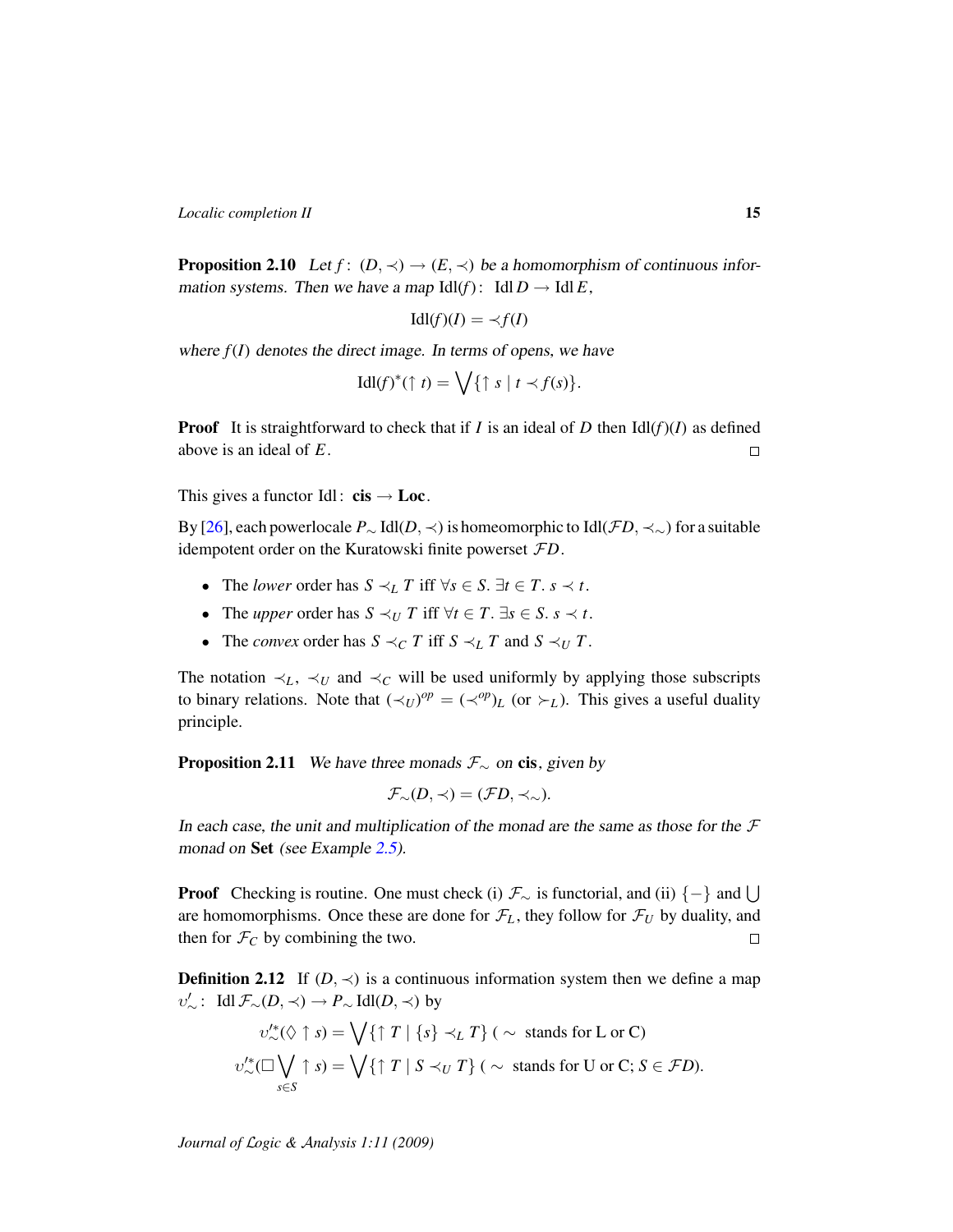<span id="page-14-2"></span>**Proposition 2.10** Let  $f$ :  $(D, \prec) \rightarrow (E, \prec)$  be a homomorphism of continuous information systems. Then we have a map  $Idl(f)$ :  $IdlD \rightarrow IdlE$ ,

$$
Idl(f)(I) = \prec f(I)
$$

where  $f(I)$  denotes the direct image. In terms of opens, we have

$$
\mathrm{Idl}(f)^*(\uparrow t) = \bigvee \{ \uparrow s \mid t \prec f(s) \}.
$$

**Proof** It is straightforward to check that if *I* is an ideal of *D* then  $\text{Idl}(f)(I)$  as defined above is an ideal of *E*.  $\Box$ 

This gives a functor Idl:  $\text{cis} \rightarrow \text{Loc}$ .

By [\[26\]](#page-46-3), each powerlocale *P*<sup>∼</sup> Idl(*D*, ≺) is homeomorphic to Idl(F*D*, ≺∼) for a suitable idempotent order on the Kuratowski finite powerset F*D*.

- The *lower* order has  $S \prec_L T$  iff  $\forall s \in S$ .  $\exists t \in T$ .  $s \prec t$ .
- The *upper* order has  $S \prec_U T$  iff  $\forall t \in T$ .  $\exists s \in S$ .  $s \prec t$ .
- The *convex* order has  $S \prec_C T$  iff  $S \prec_L T$  and  $S \prec_U T$ .

The notation  $\prec_L$ ,  $\prec_U$  and  $\prec_C$  will be used uniformly by applying those subscripts to binary relations. Note that  $(\prec_U)^{op} = (\prec^{op})_L$  (or  $\succ_L$ ). This gives a useful duality principle.

<span id="page-14-0"></span>**Proposition 2.11** We have three monads  $\mathcal{F}_{\sim}$  on cis, given by

$$
\mathcal{F}_{\sim}(D,\prec)=(\mathcal{F}D,\prec_{\sim}).
$$

In each case, the unit and multiplication of the monad are the same as those for the  $\mathcal F$ monad on Set (see Example [2.5\)](#page-9-0).

**Proof** Checking is routine. One must check (i)  $\mathcal{F}_{\sim}$  is functorial, and (ii)  $\{-\}$  and  $\cup$ are homomorphisms. Once these are done for  $\mathcal{F}_L$ , they follow for  $\mathcal{F}_U$  by duality, and then for  $\mathcal{F}_C$  by combining the two.  $\Box$ 

<span id="page-14-1"></span>**Definition 2.12** If  $(D, \prec)$  is a continuous information system then we define a map  $v'_{\sim}$ : Idl  $\mathcal{F}_{\sim}(D,\prec)$  →  $P_{\sim}$  Idl(*D*,  $\prec$ ) by

$$
v''_{\sim}(\Diamond \uparrow s) = \bigvee \{\uparrow T \mid \{s\} \prec_L T\} \quad (\sim \text{ stands for } L \text{ or } C)
$$
  

$$
v''_{\sim}(\Box \bigvee_{s \in S} \uparrow s) = \bigvee \{\uparrow T \mid S \prec_U T\} \quad (\sim \text{ stands for } U \text{ or } C; S \in \mathcal{F}D).
$$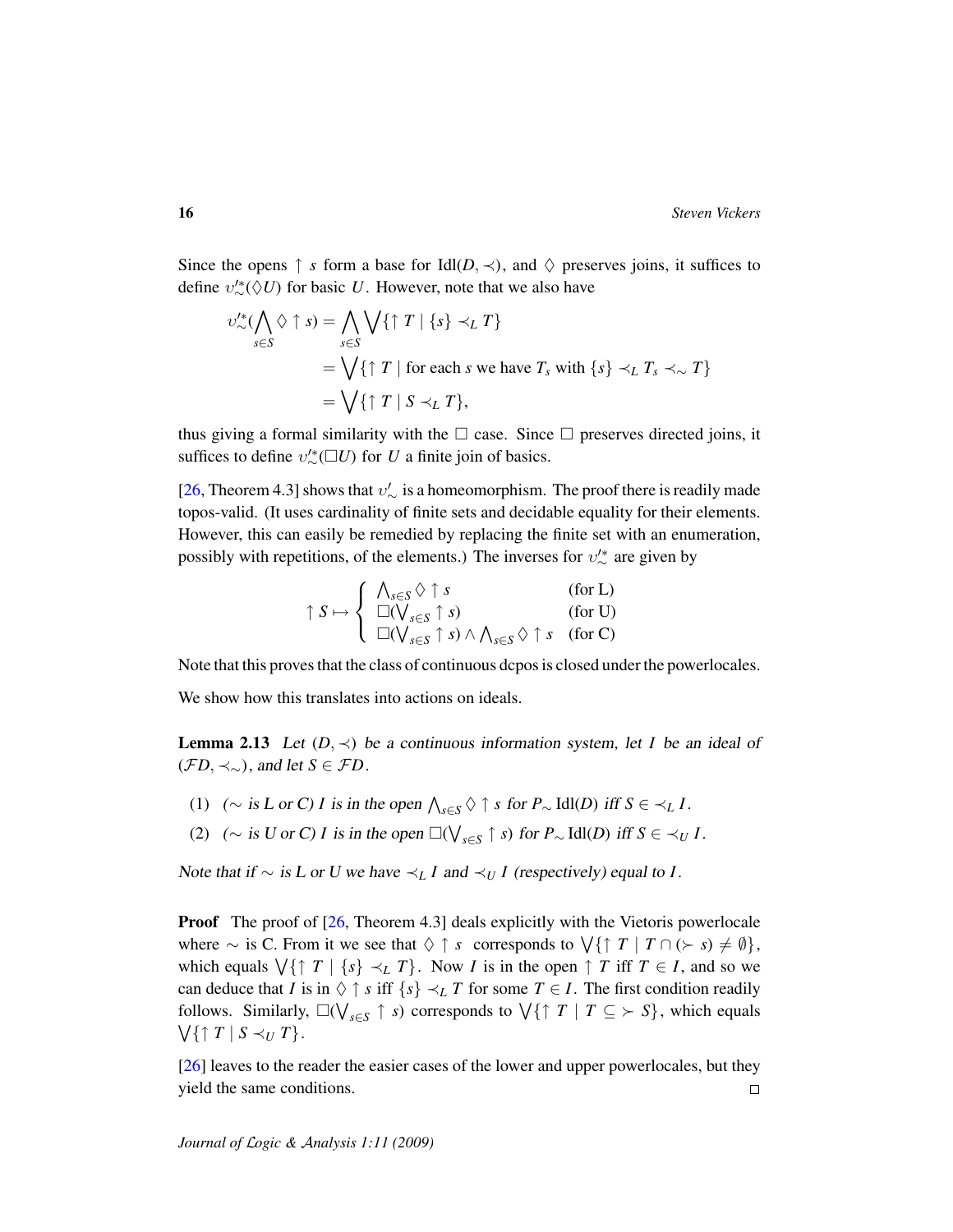Since the opens  $\uparrow$  *s* form a base for Idl $(D, \prec)$ , and  $\Diamond$  preserves joins, it suffices to define  $v''_{\sim}(\Diamond U)$  for basic *U*. However, note that we also have

$$
v''_{\sim}(\bigwedge_{s\in S} \Diamond \uparrow s) = \bigwedge_{s\in S} \bigvee \{\uparrow T \mid \{s\} \prec_L T\}
$$
  
=  $\bigvee \{\uparrow T \mid \text{for each } s \text{ we have } T_s \text{ with } \{s\} \prec_L T_s \prec_{\sim} T\}$   
=  $\bigvee \{\uparrow T \mid S \prec_L T\},$ 

thus giving a formal similarity with the  $\Box$  case. Since  $\Box$  preserves directed joins, it suffices to define  $v''_{\sim}(\Box U)$  for *U* a finite join of basics.

[\[26,](#page-46-3) Theorem 4.3] shows that  $v'_{\sim}$  is a homeomorphism. The proof there is readily made topos-valid. (It uses cardinality of finite sets and decidable equality for their elements. However, this can easily be remedied by replacing the finite set with an enumeration, possibly with repetitions, of the elements.) The inverses for  $v'^*_{\sim}$  are given by

$$
\uparrow S \mapsto \left\{ \begin{array}{ll} \bigwedge_{s \in S} \Diamond \uparrow s & \text{(for L)} \\ \Box(\bigvee_{s \in S} \uparrow s) & \text{(for U)} \\ \Box(\bigvee_{s \in S} \uparrow s) \land \bigwedge_{s \in S} \Diamond \uparrow s & \text{(for C)} \end{array} \right.
$$

Note that this proves that the class of continuous dcpos is closed under the powerlocales.

We show how this translates into actions on ideals.

<span id="page-15-0"></span>**Lemma 2.13** Let  $(D, \prec)$  be a continuous information system, let *I* be an ideal of ( $\mathcal{F}D, \prec_{\sim}$ ), and let *S* ∈  $\mathcal{F}D$ .

- (1) ( $\sim$  is *L* or *C*) *I* is in the open  $\bigwedge_{s \in S} \Diamond \uparrow s$  for  $P_{\sim}$  Idl(*D*) iff *S* ∈  $\prec_L I$ .
- (2) (∼ is *U* or *C*) *I* is in the open  $\square(\bigvee_{s\in S} \uparrow s)$  for  $P_{\sim}$  Idl(*D*) iff  $S \in \prec_U I$ .

Note that if ∼ is L or U we have ≺*<sup>L</sup> I* and ≺*<sup>U</sup> I* (respectively) equal to *I*.

**Proof** The proof of [\[26,](#page-46-3) Theorem 4.3] deals explicitly with the Vietoris powerlocale where  $\sim$  is C. From it we see that  $\Diamond \uparrow s$  corresponds to  $\forall {\uparrow} \uparrow T \mid T \cap (\succ s) \neq \emptyset$ , which equals  $\forall \{\uparrow T \mid \{s\} \prec_L T\}$ . Now *I* is in the open  $\uparrow T$  iff  $T \in I$ , and so we can deduce that *I* is in  $\Diamond \uparrow s$  iff  $\{s\} \prec_L T$  for some  $T \in I$ . The first condition readily follows. Similarly,  $\square(\bigvee_{s \in S} \uparrow s)$  corresponds to  $\bigvee \{\uparrow T \mid T \subseteq \rightarrow S\}$ , which equals  $\bigvee \{\uparrow T \mid S \prec_U T\}.$ 

[\[26\]](#page-46-3) leaves to the reader the easier cases of the lower and upper powerlocales, but they yield the same conditions.  $\Box$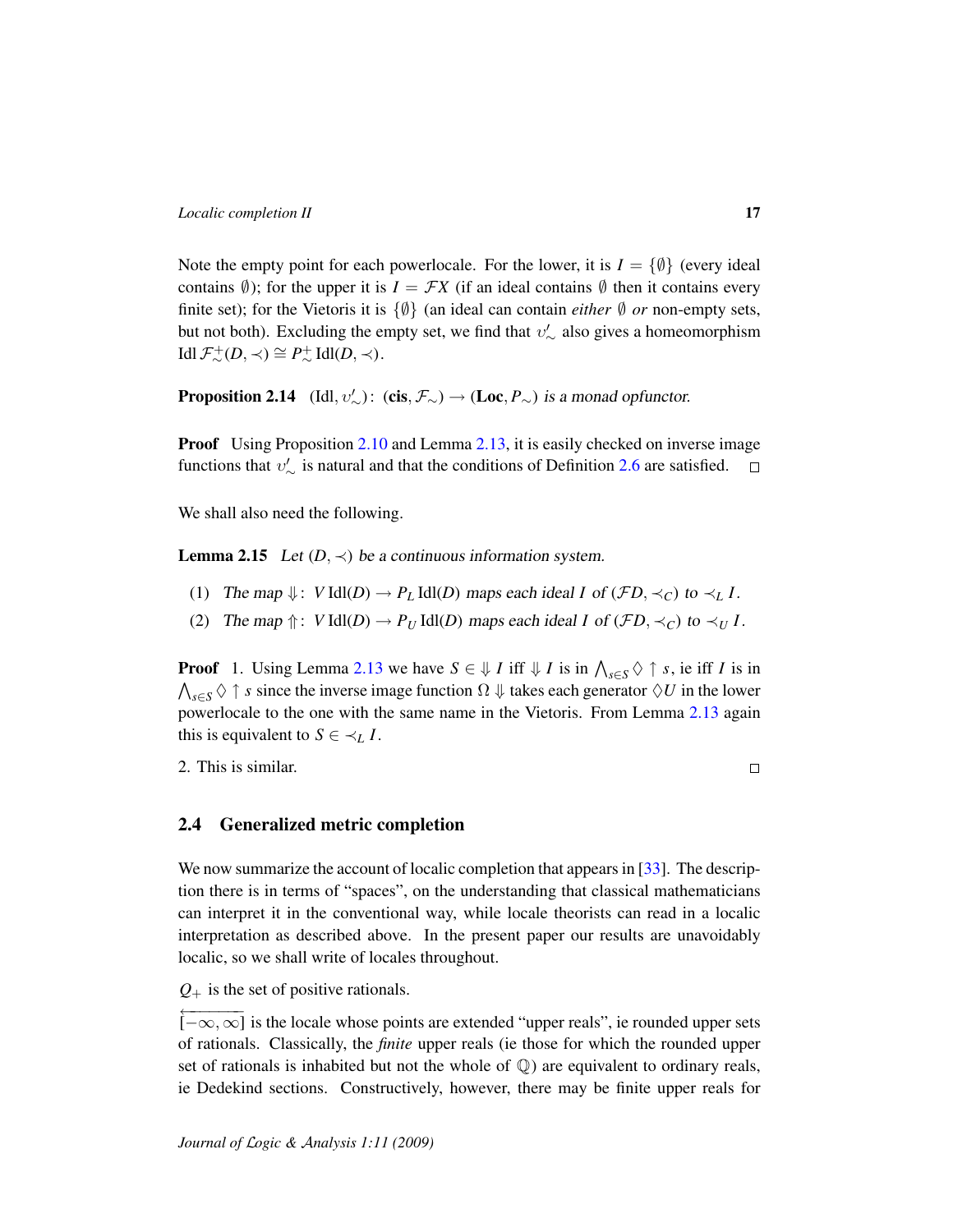Note the empty point for each powerlocale. For the lower, it is  $I = \{ \emptyset \}$  (every ideal contains  $\emptyset$ ); for the upper it is  $I = \mathcal{F}X$  (if an ideal contains  $\emptyset$  then it contains every finite set); for the Vietoris it is  $\{\emptyset\}$  (an ideal can contain *either*  $\emptyset$  *or* non-empty sets, but not both). Excluding the empty set, we find that  $v'_\sim$  also gives a homeomorphism  $\text{Idl}\,\mathcal{F}^+_{\sim}(D,\prec) \cong P^+_{\sim}\,\text{Idl}(D,\prec).$ 

**Proposition 2.14** (Idl,  $v'_{\sim}$ ): (cis,  $\mathcal{F}_{\sim}$ )  $\rightarrow$  (Loc,  $P_{\sim}$ ) is a monad opfunctor.

**Proof** Using Proposition [2.10](#page-14-2) and Lemma [2.13,](#page-15-0) it is easily checked on inverse image functions that  $v'_{\sim}$  is natural and that the conditions of Definition [2.6](#page-10-0) are satisfied.

We shall also need the following.

**Lemma 2.15** Let  $(D, \prec)$  be a continuous information system.

- (1) The map  $\Downarrow$ : *V* Idl(*D*)  $\rightarrow$  *P<sub>L</sub>* Idl(*D*) maps each ideal *I* of (*FD*,  $\prec$ *C*) to  $\prec$ *L I*.
- (2) The map  $\Uparrow$ : *V* Idl(*D*)  $\rightarrow$  *P<sub>U</sub>* Idl(*D*) maps each ideal *I* of (*FD*,  $\prec_C$ ) to  $\prec_U I$ .

**Proof** 1. Using Lemma [2.13](#page-15-0) we have  $S \in \mathcal{V}$  *I* iff  $\mathcal{V}$  *I* is in  $\bigwedge_{s \in S} \Diamond \uparrow s$ , ie iff *I* is in  $\bigwedge_{s\in S} \Diamond \uparrow s$  since the inverse image function  $\Omega \Downarrow$  takes each generator  $\Diamond U$  in the lower powerlocale to the one with the same name in the Vietoris. From Lemma [2.13](#page-15-0) again this is equivalent to  $S \in \prec_L I$ .

2. This is similar.

 $\Box$ 

### <span id="page-16-0"></span>2.4 Generalized metric completion

We now summarize the account of localic completion that appears in [\[33\]](#page-47-1). The description there is in terms of "spaces", on the understanding that classical mathematicians can interpret it in the conventional way, while locale theorists can read in a localic interpretation as described above. In the present paper our results are unavoidably localic, so we shall write of locales throughout.

*Q*<sup>+</sup> is the set of positive rationals.

<sup>←−−−−−−</sup> [−∞, ∞] is the locale whose points are extended "upper reals", ie rounded upper sets of rationals. Classically, the *finite* upper reals (ie those for which the rounded upper set of rationals is inhabited but not the whole of  $\mathbb{Q}$ ) are equivalent to ordinary reals, ie Dedekind sections. Constructively, however, there may be finite upper reals for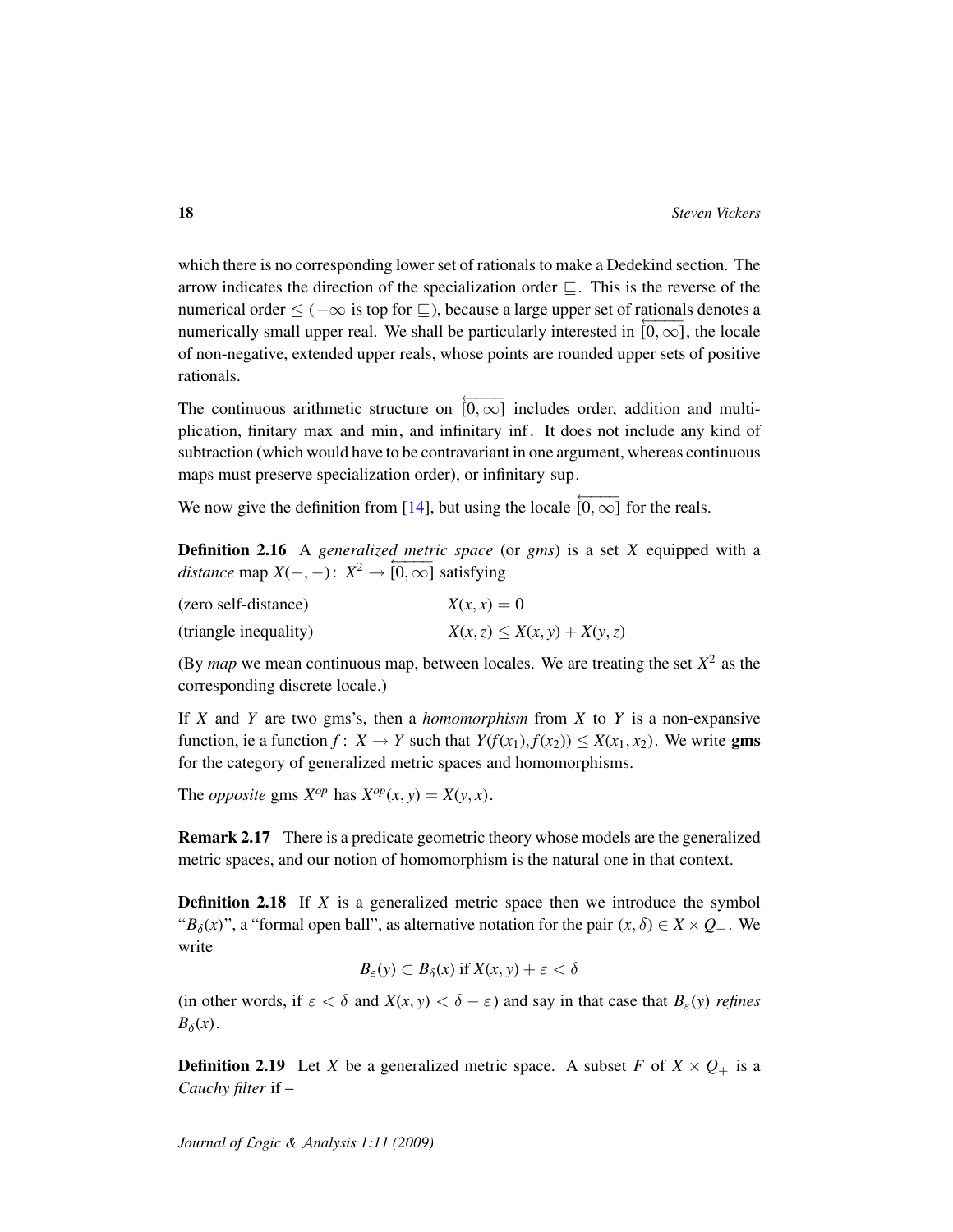which there is no corresponding lower set of rationals to make a Dedekind section. The arrow indicates the direction of the specialization order  $\sqsubseteq$ . This is the reverse of the numerical order  $\leq (-\infty \text{ is top for } \square)$ , because a large upper set of rationals denotes a numerically small upper real. We shall be particularly interested in  $[0, \infty]$ , the locale of non-negative, extended upper reals, whose points are rounded upper sets of positive rationals.

The continuous arithmetic structure on  $[0, \infty]$  includes order, addition and multiplication, finitary max and min, and infinitary inf. It does not include any kind of subtraction (which would have to be contravariant in one argument, whereas continuous maps must preserve specialization order), or infinitary sup.

We now give the definition from [\[14\]](#page-46-0), but using the locale  $\overline{[0,\infty]}$  for the reals.

Definition 2.16 A *generalized metric space* (or *gms*) is a set *X* equipped with a *distance* map  $X(-, -): X^2 \to [0, \infty]$  satisfying

| (zero self-distance)  | $X(x, x) = 0$                   |  |  |
|-----------------------|---------------------------------|--|--|
| (triangle inequality) | $X(x, z) \le X(x, y) + X(y, z)$ |  |  |

(By *map* we mean continuous map, between locales. We are treating the set  $X^2$  as the corresponding discrete locale.)

If *X* and *Y* are two gms's, then a *homomorphism* from *X* to *Y* is a non-expansive function, ie a function  $f: X \to Y$  such that  $Y(f(x_1), f(x_2)) \leq X(x_1, x_2)$ . We write gms for the category of generalized metric spaces and homomorphisms.

The *opposite* gms  $X^{op}$  has  $X^{op}(x, y) = X(y, x)$ .

Remark 2.17 There is a predicate geometric theory whose models are the generalized metric spaces, and our notion of homomorphism is the natural one in that context.

**Definition 2.18** If *X* is a generalized metric space then we introduce the symbol " $B_\delta(x)$ ", a "formal open ball", as alternative notation for the pair  $(x, \delta) \in X \times Q_+$ . We write

$$
B_{\varepsilon}(y) \subset B_{\delta}(x) \text{ if } X(x, y) + \varepsilon < \delta
$$

(in other words, if  $\varepsilon < \delta$  and  $X(x, y) < \delta - \varepsilon$ ) and say in that case that  $B_{\varepsilon}(y)$  *refines*  $B_{\delta}(x)$ .

<span id="page-17-0"></span>**Definition 2.19** Let *X* be a generalized metric space. A subset *F* of  $X \times Q_+$  is a *Cauchy filter* if –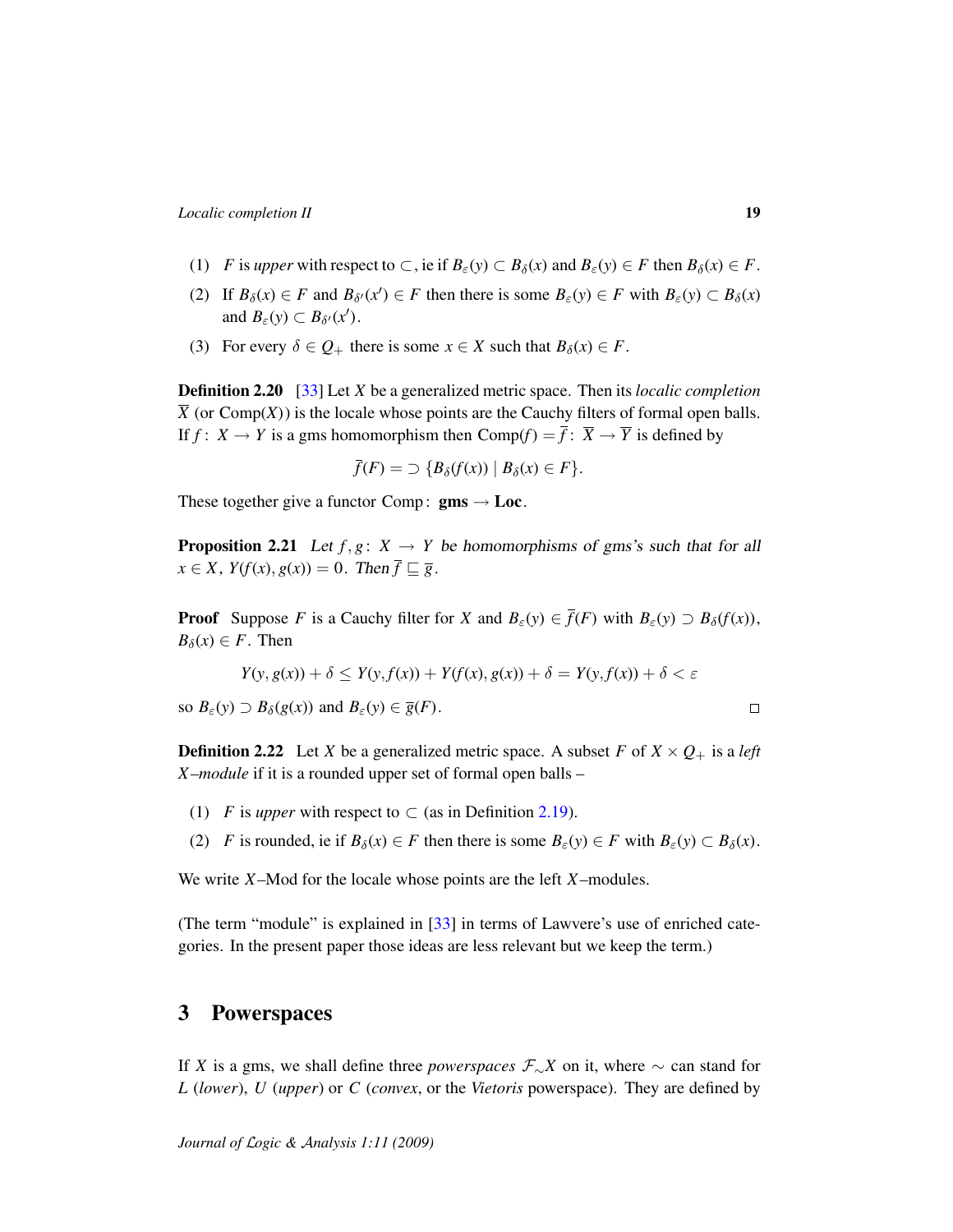- (1) *F* is *upper* with respect to  $\subset$ , ie if  $B_{\varepsilon}(y) \subset B_{\delta}(x)$  and  $B_{\varepsilon}(y) \in F$  then  $B_{\delta}(x) \in F$ .
- (2) If  $B_\delta(x) \in F$  and  $B_{\delta'}(x') \in F$  then there is some  $B_\varepsilon(y) \in F$  with  $B_\varepsilon(y) \subset B_\delta(x)$ and  $B_{\varepsilon}(y) \subset B_{\delta'}(x')$ .
- (3) For every  $\delta \in Q_+$  there is some  $x \in X$  such that  $B_\delta(x) \in F$ .

<span id="page-18-3"></span>Definition 2.20 [\[33\]](#page-47-1) Let *X* be a generalized metric space. Then its *localic completion*  $\overline{X}$  (or Comp(*X*)) is the locale whose points are the Cauchy filters of formal open balls. If  $f: X \to Y$  is a gms homomorphism then  $Comp(f) = \overline{f}: \overline{X} \to \overline{Y}$  is defined by

$$
\overline{f}(F) = \supset \{B_{\delta}(f(x)) \mid B_{\delta}(x) \in F\}.
$$

These together give a functor Comp:  $gms \rightarrow Loc$ .

<span id="page-18-2"></span>**Proposition 2.21** Let  $f, g: X \to Y$  be homomorphisms of gms's such that for all  $x \in X$ ,  $Y(f(x), g(x)) = 0$ . Then  $\overline{f} \sqsubseteq \overline{g}$ .

**Proof** Suppose *F* is a Cauchy filter for *X* and  $B_{\varepsilon}(y) \in \overline{f}(F)$  with  $B_{\varepsilon}(y) \supset B_{\delta}(f(x))$ ,  $B_\delta(x) \in F$ . Then

$$
Y(y, g(x)) + \delta \le Y(y, f(x)) + Y(f(x), g(x)) + \delta = Y(y, f(x)) + \delta < \varepsilon
$$
\nso  $B_{\varepsilon}(y) \supset B_{\delta}(g(x))$  and  $B_{\varepsilon}(y) \in \overline{g}(F)$ .

\n
$$
\Box
$$

<span id="page-18-1"></span>**Definition 2.22** Let *X* be a generalized metric space. A subset *F* of  $X \times Q_+$  is a *left X –module* if it is a rounded upper set of formal open balls –

- (1) *F* is *upper* with respect to  $\subset$  (as in Definition [2.19\)](#page-17-0).
- (2) *F* is rounded, ie if  $B_\delta(x) \in F$  then there is some  $B_\epsilon(y) \in F$  with  $B_\epsilon(y) \subset B_\delta(x)$ .

We write *X*–Mod for the locale whose points are the left *X*–modules.

(The term "module" is explained in [\[33\]](#page-47-1) in terms of Lawvere's use of enriched categories. In the present paper those ideas are less relevant but we keep the term.)

### <span id="page-18-0"></span>3 Powerspaces

If *X* is a gms, we shall define three *powerspaces*  $\mathcal{F}_\sim X$  on it, where  $\sim$  can stand for *L* (*lower*), *U* (*upper*) or *C* (*convex*, or the *Vietoris* powerspace). They are defined by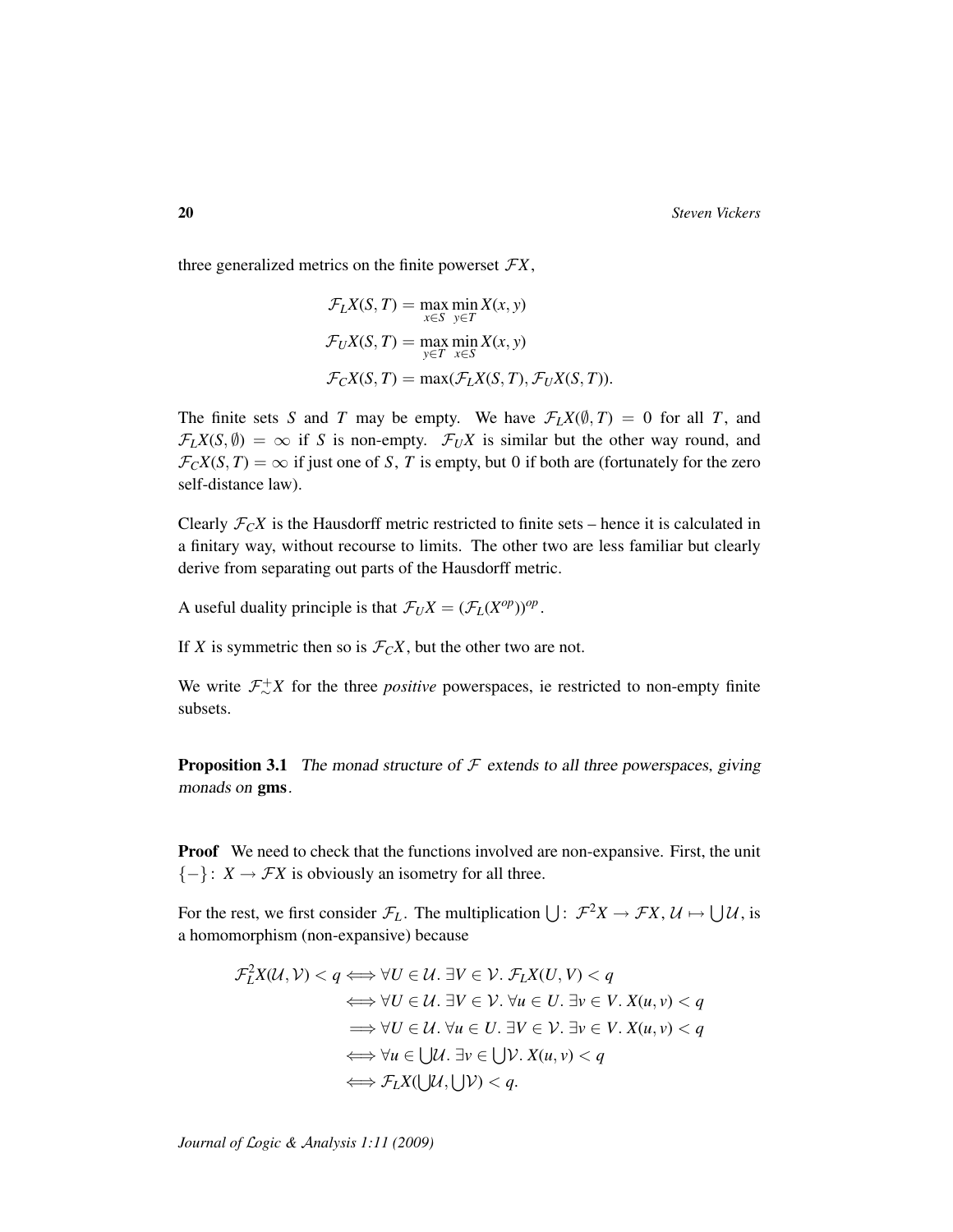three generalized metrics on the finite powerset  $FX$ ,

$$
\mathcal{F}_L X(S, T) = \max_{x \in S} \min_{y \in T} X(x, y)
$$

$$
\mathcal{F}_U X(S, T) = \max_{y \in T} \min_{x \in S} X(x, y)
$$

$$
\mathcal{F}_C X(S, T) = \max(\mathcal{F}_L X(S, T), \mathcal{F}_U X(S, T)).
$$

The finite sets *S* and *T* may be empty. We have  $\mathcal{F}_L X(\emptyset, T) = 0$  for all *T*, and  $\mathcal{F}_L X(S, \emptyset) = \infty$  if *S* is non-empty.  $\mathcal{F}_U X$  is similar but the other way round, and  $\mathcal{F}_C X(S,T) = \infty$  if just one of *S*, *T* is empty, but 0 if both are (fortunately for the zero self-distance law).

Clearly  $\mathcal{F}_C X$  is the Hausdorff metric restricted to finite sets – hence it is calculated in a finitary way, without recourse to limits. The other two are less familiar but clearly derive from separating out parts of the Hausdorff metric.

A useful duality principle is that  $\mathcal{F}_U X = (\mathcal{F}_L(X^{op}))^{op}$ .

If *X* is symmetric then so is  $\mathcal{F}_C X$ , but the other two are not.

We write  $\mathcal{F}_{\sim}^{+}X$  for the three *positive* powerspaces, ie restricted to non-empty finite subsets.

**Proposition 3.1** The monad structure of  $\mathcal F$  extends to all three powerspaces, giving monads on gms.

Proof We need to check that the functions involved are non-expansive. First, the unit  ${-}$ : *X* → *FX* is obviously an isometry for all three.

For the rest, we first consider  $\mathcal{F}_L$ . The multiplication  $\bigcup: \mathcal{F}^2X \to \mathcal{F}X, \mathcal{U} \mapsto \bigcup \mathcal{U}$ , is a homomorphism (non-expansive) because

$$
\mathcal{F}_L^2 X(\mathcal{U}, \mathcal{V}) < q \Longleftrightarrow \forall U \in \mathcal{U}. \exists V \in \mathcal{V}. \ \mathcal{F}_L X(U, V) < q
$$
\n
$$
\iff \forall U \in \mathcal{U}. \ \exists V \in \mathcal{V}. \ \forall u \in U. \ \exists v \in V. \ X(u, v) < q
$$
\n
$$
\implies \forall U \in \mathcal{U}. \ \forall u \in U. \ \exists V \in \mathcal{V}. \ \exists v \in V. \ X(u, v) < q
$$
\n
$$
\iff \forall u \in \bigcup \mathcal{U}. \ \exists v \in \bigcup \mathcal{V}. \ X(u, v) < q
$$
\n
$$
\iff \mathcal{F}_L X(\bigcup \mathcal{U}, \bigcup \mathcal{V}) < q.
$$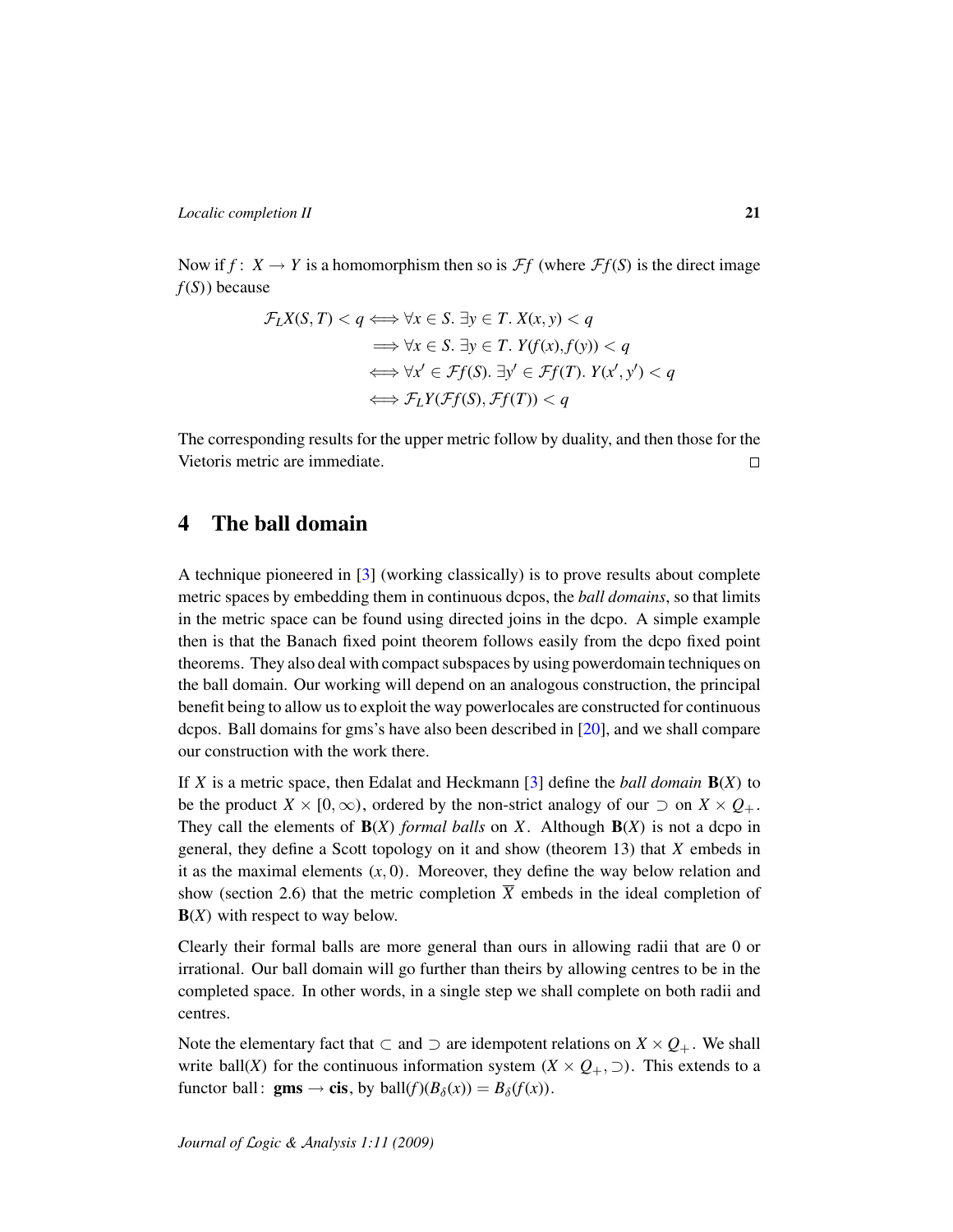Now if  $f: X \to Y$  is a homomorphism then so is  $\mathcal{F}f$  (where  $\mathcal{F}f(S)$  is the direct image *f*(*S*)) because

$$
\mathcal{F}_L X(S, T) < q \Longleftrightarrow \forall x \in S. \exists y \in T. \ X(x, y) < q
$$
\n
$$
\implies \forall x \in S. \ \exists y \in T. \ Y(f(x), f(y)) < q
$$
\n
$$
\iff \forall x' \in \mathcal{F}_T(S). \ \exists y' \in \mathcal{F}_T(T). \ Y(x', y') < q
$$
\n
$$
\iff \mathcal{F}_L Y(\mathcal{F}_T(S), \mathcal{F}_T(T)) < q
$$

The corresponding results for the upper metric follow by duality, and then those for the Vietoris metric are immediate.  $\Box$ 

## <span id="page-20-0"></span>4 The ball domain

A technique pioneered in [\[3\]](#page-45-3) (working classically) is to prove results about complete metric spaces by embedding them in continuous dcpos, the *ball domains*, so that limits in the metric space can be found using directed joins in the dcpo. A simple example then is that the Banach fixed point theorem follows easily from the dcpo fixed point theorems. They also deal with compact subspaces by using powerdomain techniques on the ball domain. Our working will depend on an analogous construction, the principal benefit being to allow us to exploit the way powerlocales are constructed for continuous dcpos. Ball domains for gms's have also been described in [\[20\]](#page-46-1), and we shall compare our construction with the work there.

If *X* is a metric space, then Edalat and Heckmann [\[3\]](#page-45-3) define the *ball domain* B(*X*) to be the product *X* × [0,  $\infty$ ), ordered by the non-strict analogy of our  $\supset$  on *X* ×  $Q_+$ . They call the elements of  $B(X)$  *formal balls* on *X*. Although  $B(X)$  is not a dcpo in general, they define a Scott topology on it and show (theorem 13) that *X* embeds in it as the maximal elements  $(x, 0)$ . Moreover, they define the way below relation and show (section 2.6) that the metric completion  $\overline{X}$  embeds in the ideal completion of B(*X*) with respect to way below.

Clearly their formal balls are more general than ours in allowing radii that are 0 or irrational. Our ball domain will go further than theirs by allowing centres to be in the completed space. In other words, in a single step we shall complete on both radii and centres.

Note the elementary fact that ⊂ and ⊃ are idempotent relations on  $X \times Q_+$ . We shall write ball(*X*) for the continuous information system ( $X \times Q_+$ ,  $\supset$ ). This extends to a functor ball: **gms**  $\rightarrow$  **cis**, by ball( $f$ )( $B_\delta(x)$ ) =  $B_\delta(f(x))$ .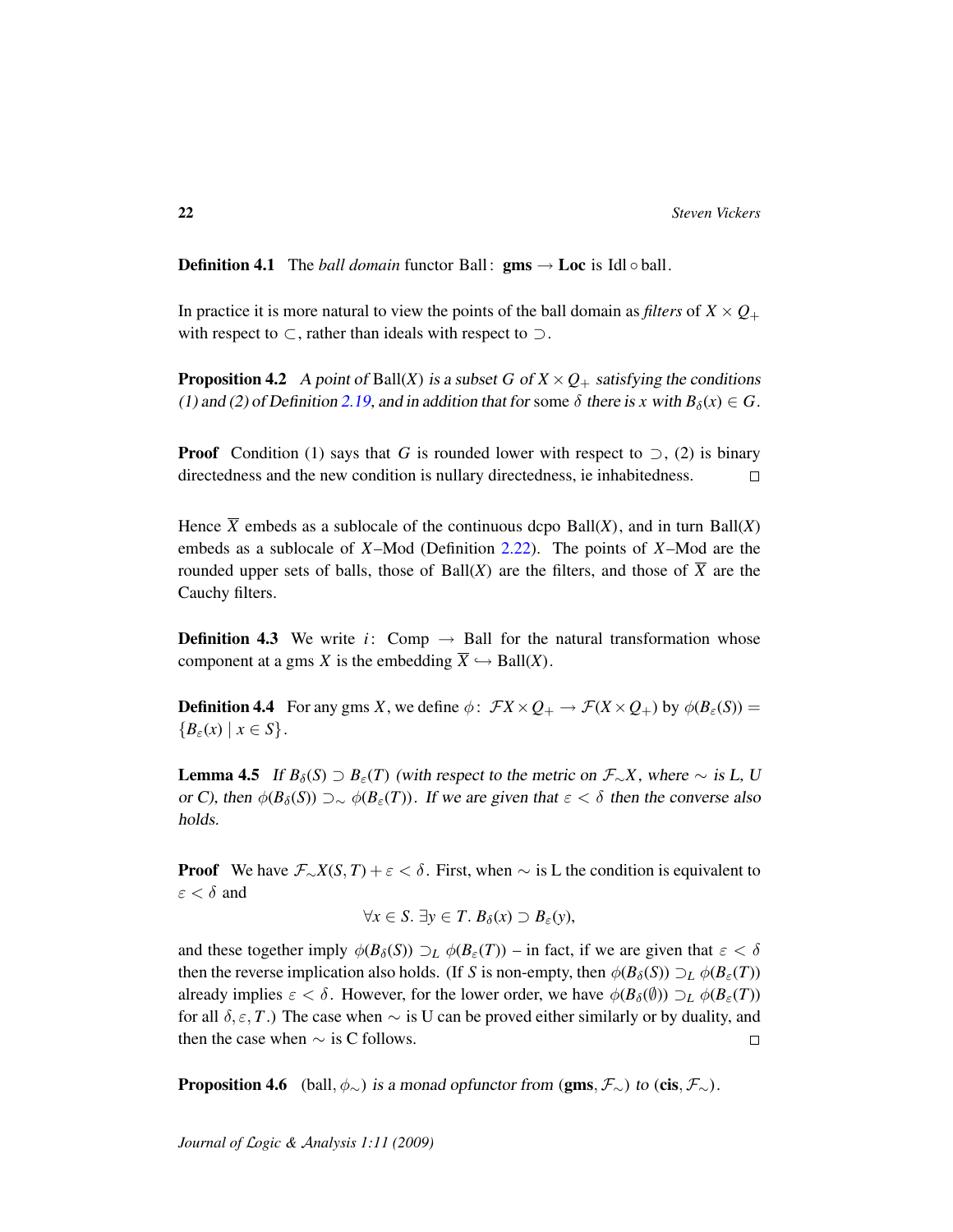**Definition 4.1** The *ball domain* functor Ball:  $\text{gms} \rightarrow \text{Loc}$  is Idl  $\circ$  ball.

In practice it is more natural to view the points of the ball domain as *filters* of  $X \times Q_+$ with respect to  $\subset$ , rather than ideals with respect to  $\supset$ .

**Proposition 4.2** A point of Ball(*X*) is a subset *G* of  $X \times Q_+$  satisfying the conditions (1) and (2) of Definition [2.19,](#page-17-0) and in addition that for some  $\delta$  there is *x* with  $B_\delta(x) \in G$ .

**Proof** Condition (1) says that *G* is rounded lower with respect to  $\supset$ , (2) is binary directedness and the new condition is nullary directedness, ie inhabitedness.  $\Box$ 

Hence  $\overline{X}$  embeds as a sublocale of the continuous dcpo Ball(*X*), and in turn Ball(*X*) embeds as a sublocale of *X*–Mod (Definition [2.22\)](#page-18-1). The points of *X*–Mod are the rounded upper sets of balls, those of Ball(*X*) are the filters, and those of  $\overline{X}$  are the Cauchy filters.

<span id="page-21-1"></span>**Definition 4.3** We write *i*: Comp  $\rightarrow$  Ball for the natural transformation whose component at a gms *X* is the embedding  $\overline{X} \hookrightarrow$  Ball(*X*).

<span id="page-21-0"></span>**Definition 4.4** For any gms *X*, we define  $\phi$ :  $\mathcal{F}X \times Q_+ \to \mathcal{F}(X \times Q_+)$  by  $\phi(B_\varepsilon(S)) =$  ${B_{\varepsilon}(x) \mid x \in S}.$ 

<span id="page-21-2"></span>**Lemma 4.5** If  $B_\delta(S)$  ⊃  $B_\epsilon(T)$  (with respect to the metric on  $\mathcal{F}_\sim X$ , where  $\sim$  is L, U or C), then  $\phi(B_\delta(S)) \supset \sim \phi(B_\epsilon(T))$ . If we are given that  $\epsilon < \delta$  then the converse also holds.

**Proof** We have  $\mathcal{F}_{\sim}X(S,T) + \varepsilon < \delta$ . First, when  $\sim$  is L the condition is equivalent to  $\varepsilon < \delta$  and

$$
\forall x \in S. \ \exists y \in T. \ B_{\delta}(x) \supset B_{\varepsilon}(y),
$$

and these together imply  $\phi(B_\delta(S)) \supset_L \phi(B_\varepsilon(T))$  – in fact, if we are given that  $\varepsilon < \delta$ then the reverse implication also holds. (If *S* is non-empty, then  $\phi(B_\delta(S)) \supset_L \phi(B_\epsilon(T))$ already implies  $\varepsilon < \delta$ . However, for the lower order, we have  $\phi(B_{\delta}(\emptyset)) \supset_L \phi(B_{\varepsilon}(T))$ for all  $\delta$ ,  $\varepsilon$ , *T*.) The case when  $\sim$  is U can be proved either similarly or by duality, and then the case when  $\sim$  is C follows.  $\Box$ 

**Proposition 4.6** (ball,  $\phi_{\sim}$ ) is a monad opfunctor from (gms,  $\mathcal{F}_{\sim}$ ) to (cis,  $\mathcal{F}_{\sim}$ ).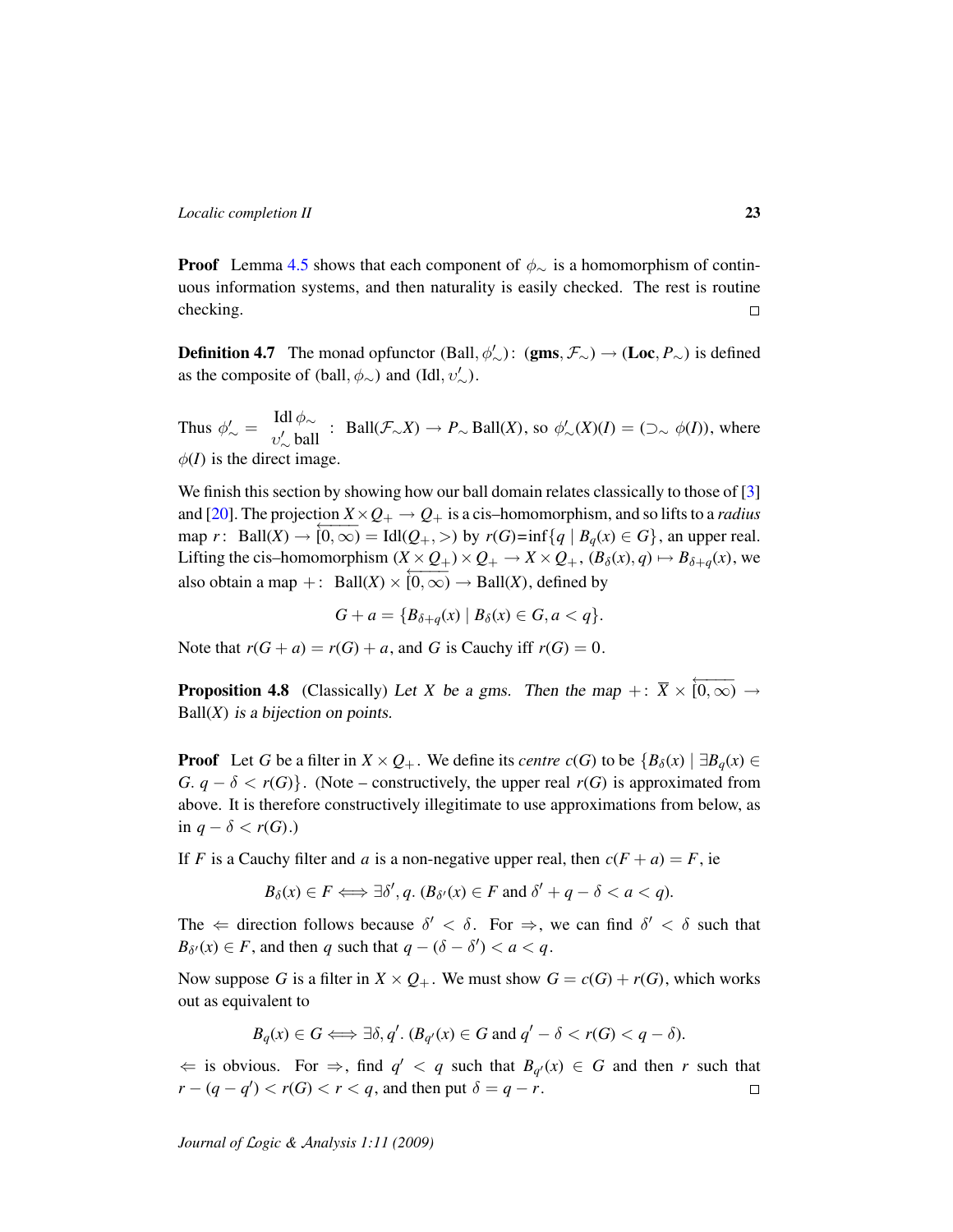**Proof** Lemma [4.5](#page-21-2) shows that each component of  $\phi_{\sim}$  is a homomorphism of continuous information systems, and then naturality is easily checked. The rest is routine checking.  $\Box$ 

<span id="page-22-0"></span>**Definition 4.7** The monad opfunctor (Ball,  $\phi'_{\sim}$ ): (gms,  $\mathcal{F}_{\sim}$ )  $\rightarrow$  (Loc,  $P_{\sim}$ ) is defined as the composite of (ball,  $\phi_{\sim}$ ) and (Idl,  $v'_{\sim}$ ).

Thus  $\phi'_{\sim} = \frac{\text{Idl} \phi_{\sim}}{v' \text{ bal}}$  $v'_{\sim}$  ball : Ball( $\mathcal{F}_{\sim}X$ ) →  $P_{\sim}$  Ball(*X*), so  $\phi'_{\sim}(X)(I) = (\supset_{\sim} \phi(I))$ , where  $\phi(I)$  is the direct image.

We finish this section by showing how our ball domain relates classically to those of [\[3\]](#page-45-3) and [\[20\]](#page-46-1). The projection  $X \times Q_+ \to Q_+$  is a cis-homomorphism, and so lifts to a *radius*  $\max_{\mathbf{a}} \sum_{i=1}^{n} \sum_{i=1}^{n} \sum_{j=1}^{n} \sum_{j=1}^{n} \sum_{j=1}^{n} \sum_{j=1}^{n} \sum_{j=1}^{n} \sum_{j=1}^{n} \sum_{j=1}^{n} \sum_{j=1}^{n} \sum_{j=1}^{n} \sum_{j=1}^{n} \sum_{j=1}^{n} \sum_{j=1}^{n} \sum_{j=1}^{n} \sum_{j=1}^{n} \sum_{j=1}^{n} \sum_{j=1}^{n} \sum_{j=1}^{n} \sum_{j=1}^{n} \sum_{j=1}^{n} \$ Lifting the cis–homomorphism  $(X \times Q_+) \times Q_+ \to X \times Q_+$ ,  $(B_\delta(x), q) \mapsto B_{\delta+q}(x)$ , we also obtain a map +: Ball(*X*) ×  $[0, \infty)$  → Ball(*X*), defined by

 $G + a = {B_{\delta+a}(x) | B_{\delta}(x) \in G, a < q}.$ 

Note that  $r(G + a) = r(G) + a$ , and *G* is Cauchy iff  $r(G) = 0$ .

**Proposition 4.8** (Classically) Let *X* be a gms. Then the map +:  $\overline{X} \times \overline{(0,\infty)} \rightarrow$  $Ball(X)$  is a bijection on points.

**Proof** Let *G* be a filter in  $X \times Q_+$ . We define its *centre*  $c(G)$  to be  $\{B_\delta(x) \mid \exists B_\delta(x) \in$ *G*.  $q - \delta < r(G)$ . (Note – constructively, the upper real  $r(G)$  is approximated from above. It is therefore constructively illegitimate to use approximations from below, as in  $q − δ < r(G)$ .)

If *F* is a Cauchy filter and *a* is a non-negative upper real, then  $c(F + a) = F$ , ie

$$
B_{\delta}(x) \in F \Longleftrightarrow \exists \delta', q. (B_{\delta'}(x) \in F \text{ and } \delta' + q - \delta < a < q).
$$

The  $\Leftarrow$  direction follows because  $\delta' < \delta$ . For  $\Rightarrow$ , we can find  $\delta' < \delta$  such that  $B_{\delta'}(x) \in F$ , and then *q* such that  $q - (\delta - \delta') < a < q$ .

Now suppose *G* is a filter in  $X \times Q_+$ . We must show  $G = c(G) + r(G)$ , which works out as equivalent to

$$
B_q(x) \in G \Longleftrightarrow \exists \delta, q'. (B_{q'}(x) \in G \text{ and } q' - \delta < r(G) < q - \delta).
$$

 $\Leftarrow$  is obvious. For  $\Rightarrow$ , find  $q' < q$  such that  $B_{q'}(x) \in G$  and then *r* such that  $r - (q - q') < r(G) < r < q$ , and then put  $\delta = q - r$ .  $\Box$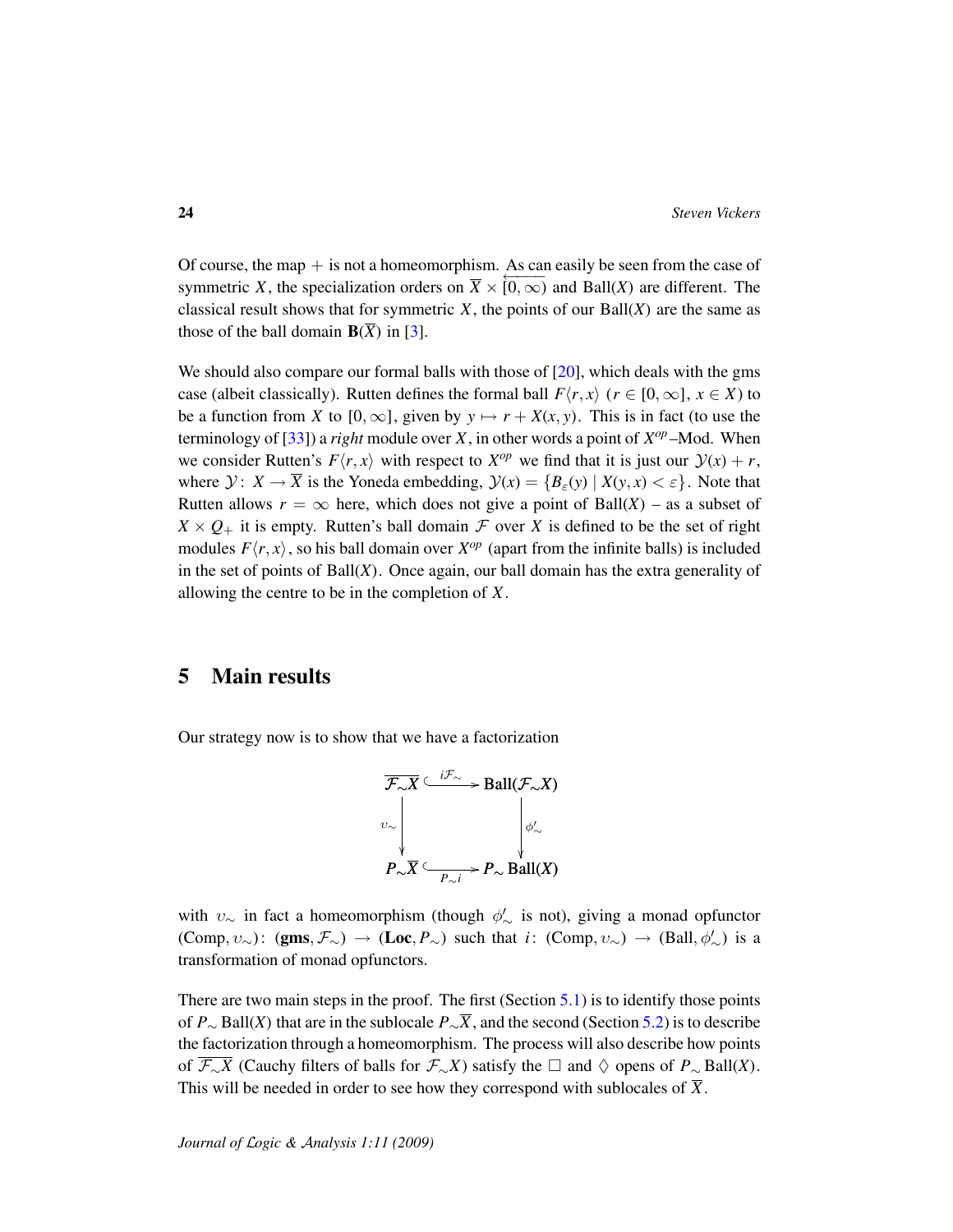Of course, the map  $+$  is not a homeomorphism. As can easily be seen from the case of symmetric *X*, the specialization orders on  $\overline{X} \times [0, \infty)$  and Ball(*X*) are different. The classical result shows that for symmetric  $X$ , the points of our Ball $(X)$  are the same as those of the ball domain  $\mathbf{B}(\overline{X})$  in [\[3\]](#page-45-3).

We should also compare our formal balls with those of  $[20]$ , which deals with the gms case (albeit classically). Rutten defines the formal ball  $F(r, x)$  ( $r \in [0, \infty]$ ,  $x \in X$ ) to be a function from *X* to  $[0, \infty]$ , given by  $y \mapsto r + X(x, y)$ . This is in fact (to use the terminology of  $[33]$ ) a *right* module over *X*, in other words a point of  $X^{op}$  –Mod. When we consider Rutten's  $F(r, x)$  with respect to  $X^{op}$  we find that it is just our  $\mathcal{Y}(x) + r$ , where  $\mathcal{Y}: X \to \overline{X}$  is the Yoneda embedding,  $\mathcal{Y}(x) = \{B_{\varepsilon}(y) \mid X(y, x) < \varepsilon\}$ . Note that Rutten allows  $r = \infty$  here, which does not give a point of Ball(*X*) – as a subset of  $X \times Q_+$  it is empty. Rutten's ball domain  $\mathcal F$  over *X* is defined to be the set of right modules  $F\langle r, x \rangle$ , so his ball domain over  $X^{op}$  (apart from the infinite balls) is included in the set of points of Ball(*X*). Once again, our ball domain has the extra generality of allowing the centre to be in the completion of *X*.

## 5 Main results

Our strategy now is to show that we have a factorization



with  $v_{\sim}$  in fact a homeomorphism (though  $\phi'_{\sim}$  is not), giving a monad opfunctor  $(\text{Comp}, \nu_{\sim})$ :  $(gms, \mathcal{F}_{\sim}) \rightarrow (\text{Loc}, P_{\sim})$  such that *i*:  $(\text{Comp}, \nu_{\sim}) \rightarrow (\text{Ball}, \phi'_{\sim})$  is a transformation of monad opfunctors.

There are two main steps in the proof. The first (Section [5.1\)](#page-24-0) is to identify those points of *P*<sup>∼</sup> Ball(*X*) that are in the sublocale *P*∼*X*, and the second (Section [5.2\)](#page-28-0) is to describe the factorization through a homeomorphism. The process will also describe how points of  $\mathcal{F}_{\sim}X$  (Cauchy filters of balls for  $\mathcal{F}_{\sim}X$ ) satisfy the  $\Box$  and  $\diamondsuit$  opens of  $P_{\sim}$  Ball(*X*). This will be needed in order to see how they correspond with sublocales of  $\overline{X}$ .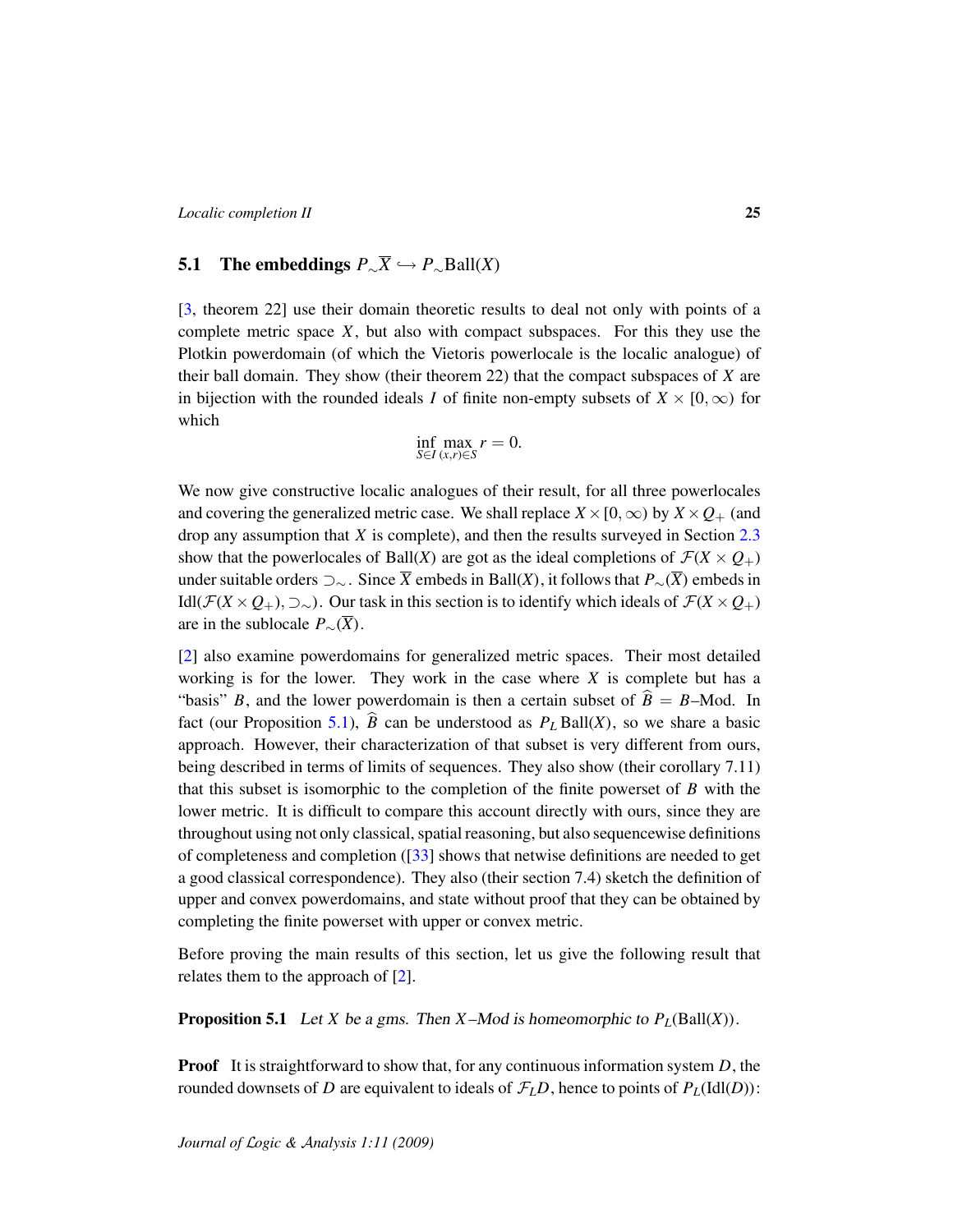## <span id="page-24-0"></span>5.1 The embeddings  $P_{\sim} \overline{X}$   $\hookrightarrow$   $P_{\sim}$ Ball(*X*)

[\[3,](#page-45-3) theorem 22] use their domain theoretic results to deal not only with points of a complete metric space *X*, but also with compact subspaces. For this they use the Plotkin powerdomain (of which the Vietoris powerlocale is the localic analogue) of their ball domain. They show (their theorem 22) that the compact subspaces of *X* are in bijection with the rounded ideals *I* of finite non-empty subsets of  $X \times [0, \infty)$  for which

$$
\inf_{S \in I} \max_{(x,r) \in S} r = 0.
$$

We now give constructive localic analogues of their result, for all three powerlocales and covering the generalized metric case. We shall replace  $X \times [0, \infty)$  by  $X \times Q_+$  (and drop any assumption that *X* is complete), and then the results surveyed in Section [2.3](#page-12-0) show that the powerlocales of Ball(*X*) are got as the ideal completions of  $\mathcal{F}(X \times Q_+)$ under suitable orders ⊃<sup>∼</sup> . Since *X* embeds in Ball(*X*), it follows that *P*∼(*X*) embeds in Idl( $\mathcal{F}(X \times Q_+)$ , ⊃∼). Our task in this section is to identify which ideals of  $\mathcal{F}(X \times Q_+)$ are in the sublocale  $P_{\sim}(\overline{X})$ .

[\[2\]](#page-45-2) also examine powerdomains for generalized metric spaces. Their most detailed working is for the lower. They work in the case where  $X$  is complete but has a "basis" *B*, and the lower powerdomain is then a certain subset of  $\hat{B} = B$ –Mod. In fact (our Proposition [5.1\)](#page-24-1),  $\hat{B}$  can be understood as  $P_L$  Ball(*X*), so we share a basic approach. However, their characterization of that subset is very different from ours, being described in terms of limits of sequences. They also show (their corollary 7.11) that this subset is isomorphic to the completion of the finite powerset of *B* with the lower metric. It is difficult to compare this account directly with ours, since they are throughout using not only classical, spatial reasoning, but also sequencewise definitions of completeness and completion ([\[33\]](#page-47-1) shows that netwise definitions are needed to get a good classical correspondence). They also (their section 7.4) sketch the definition of upper and convex powerdomains, and state without proof that they can be obtained by completing the finite powerset with upper or convex metric.

Before proving the main results of this section, let us give the following result that relates them to the approach of [\[2\]](#page-45-2).

<span id="page-24-1"></span>**Proposition 5.1** Let *X* be a gms. Then *X*–Mod is homeomorphic to  $P_L(Ball(X))$ .

Proof It is straightforward to show that, for any continuous information system *D*, the rounded downsets of *D* are equivalent to ideals of  $\mathcal{F}_L D$ , hence to points of  $P_L(\text{Idl}(D))$ :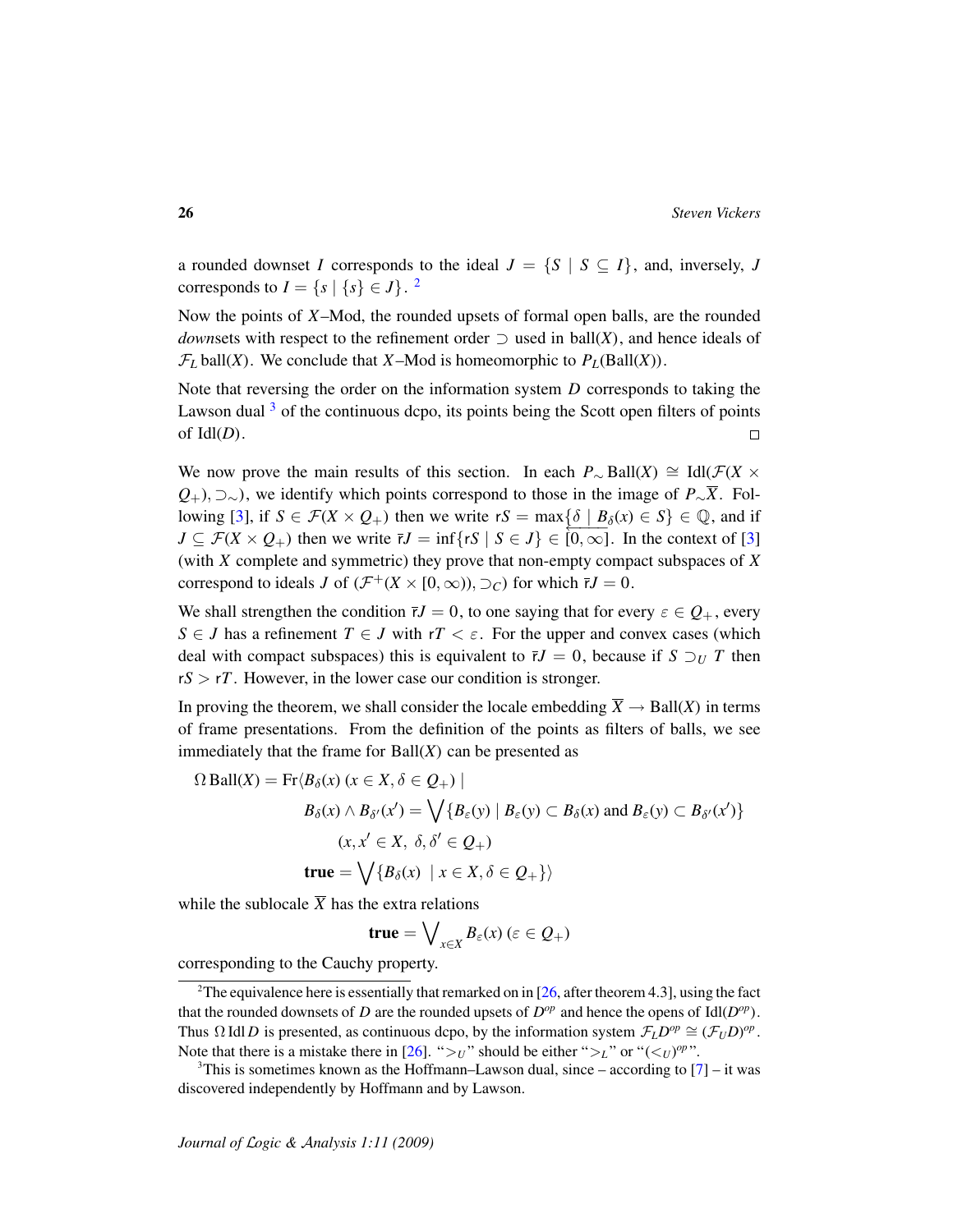a rounded downset *I* corresponds to the ideal  $J = \{S \mid S \subseteq I\}$ , and, inversely, *J* corresponds to  $I = \{s \mid \{s\} \in J\}$ .<sup>[2](#page-25-0)</sup>

Now the points of *X*–Mod, the rounded upsets of formal open balls, are the rounded *downsets* with respect to the refinement order  $\supset$  used in ball(*X*), and hence ideals of  $\mathcal{F}_L$  ball(*X*). We conclude that *X*–Mod is homeomorphic to  $P_L(Ball(X))$ .

Note that reversing the order on the information system *D* corresponds to taking the Lawson dual  $3$  of the continuous dcpo, its points being the Scott open filters of points of Idl(*D*).  $\Box$ 

We now prove the main results of this section. In each  $P_{\sim}$  Ball(*X*)  $\cong$  Idl( $\mathcal{F}(X \times$ *Q*<sub>+</sub>), ⊃∼), we identify which points correspond to those in the image of *P*∼<sup>*X*</sup>. Fol-lowing [\[3\]](#page-45-3), if  $S \in \mathcal{F}(X \times Q_+)$  then we write  $rS = \max\{\delta \mid B_\delta(x) \in S\} \in \mathbb{Q}$ , and if  $J \subseteq \mathcal{F}(X \times Q_+)$  then we write  $\overline{r}J = \inf \{ rS \mid S \in J \} \in [0, \infty]$ . In the context of [\[3\]](#page-45-3) (with *X* complete and symmetric) they prove that non-empty compact subspaces of *X* correspond to ideals *J* of  $(\mathcal{F}^+(X \times [0,\infty)), \supset_C)$  for which  $\bar{r}J = 0$ .

We shall strengthen the condition  $\bar{r}J = 0$ , to one saying that for every  $\varepsilon \in Q_+$ , every *S* ∈ *J* has a refinement *T* ∈ *J* with  $rT < \varepsilon$ . For the upper and convex cases (which deal with compact subspaces) this is equivalent to  $\bar{r}J = 0$ , because if  $S \supseteq_U T$  then  $rS > rT$ . However, in the lower case our condition is stronger.

In proving the theorem, we shall consider the locale embedding  $\overline{X} \to \text{Ball}(X)$  in terms of frame presentations. From the definition of the points as filters of balls, we see immediately that the frame for  $Ball(X)$  can be presented as

$$
\Omega \text{ Ball}(X) = \text{Fr} \langle B_{\delta}(x) \ (x \in X, \delta \in Q_+) \ |
$$
\n
$$
B_{\delta}(x) \land B_{\delta'}(x') = \bigvee \{ B_{\varepsilon}(y) \ | \ B_{\varepsilon}(y) \subset B_{\delta}(x) \text{ and } B_{\varepsilon}(y) \subset B_{\delta'}(x') \}
$$
\n
$$
(x, x' \in X, \ \delta, \delta' \in Q_+)
$$
\n
$$
\text{true} = \bigvee \{ B_{\delta}(x) \ | \ x \in X, \delta \in Q_+ \} \rangle
$$

while the sublocale  $\overline{X}$  has the extra relations

$$
true = \bigvee_{x \in X} B_{\varepsilon}(x) \, (\varepsilon \in Q_+)
$$

corresponding to the Cauchy property.

<span id="page-25-0"></span> $2\text{The equivalence here is essentially that remarked on in [26, after theorem 4.3], using the fact.}$  $2\text{The equivalence here is essentially that remarked on in [26, after theorem 4.3], using the fact.}$  $2\text{The equivalence here is essentially that remarked on in [26, after theorem 4.3], using the fact.}$ that the rounded downsets of *D* are the rounded upsets of  $D^{op}$  and hence the opens of Idl( $D^{op}$ ). Thus  $\Omega$  Idl *D* is presented, as continuous dcpo, by the information system  $\mathcal{F}_L D^{op} \cong (\mathcal{F}_U D)^{op}$ . Note that there is a mistake there in [\[26\]](#page-46-3). " $>_{U}$ " should be either " $>_{L}$ " or " $(<_{U})^{op}$ ".

<span id="page-25-1"></span><sup>&</sup>lt;sup>3</sup>This is sometimes known as the Hoffmann–Lawson dual, since – according to  $[7]$  – it was discovered independently by Hoffmann and by Lawson.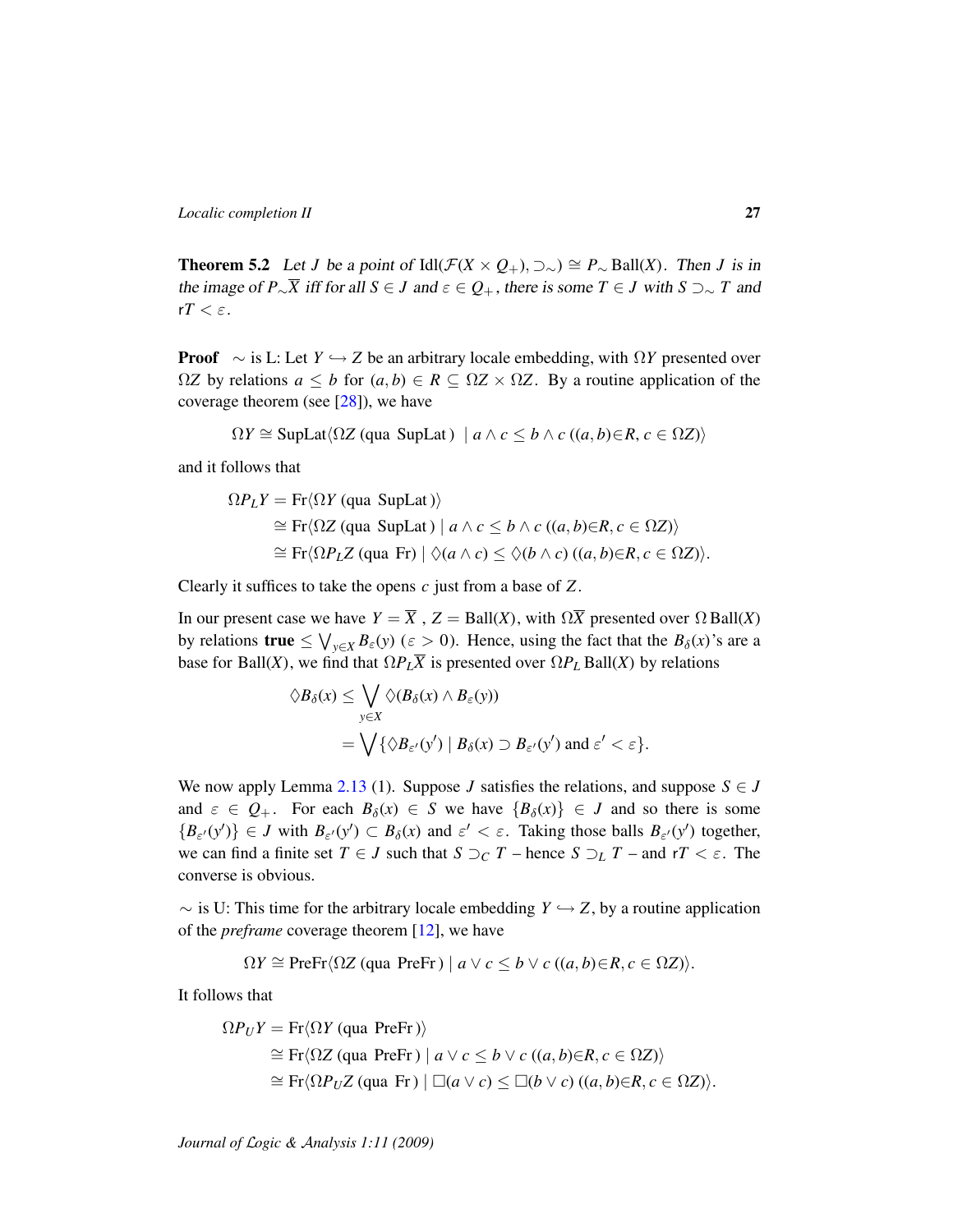<span id="page-26-0"></span>**Theorem 5.2** Let *J* be a point of Idl( $\mathcal{F}(X \times Q_+)$ ,  $\supset \sim$ )  $\cong P_{\sim}$  Ball(*X*). Then *J* is in the image of *P*∼<sup> $\overline{X}$  iff for all  $S \in J$  and  $\varepsilon \in Q_+$ , there is some  $T \in J$  with  $S \supset \sim T$  and</sup>  $rT < \varepsilon$ .

**Proof**  $\sim$  is L: Let *Y*  $\hookrightarrow$  *Z* be an arbitrary locale embedding, with  $\Omega Y$  presented over  $ΩZ$  by relations *a*  $\leq b$  for  $(a, b) \in R \subseteq ΩZ \times ΩZ$ . By a routine application of the coverage theorem (see  $[28]$ ), we have

$$
\Omega Y \cong \text{SupLat} \langle \Omega Z \text{ (qua SupLat)} \mid a \wedge c \leq b \wedge c \text{ ((}a, b) \in R, c \in \Omega Z \text{)} \rangle
$$

and it follows that

$$
\Omega P_L Y = \text{Fr} \langle \Omega Y \text{ (qua SupLat)} \rangle
$$
  
\n
$$
\cong \text{Fr} \langle \Omega Z \text{ (qua SupLat)} \mid a \wedge c \leq b \wedge c \text{ ((a, b) \in R, c \in \Omega Z)} \rangle
$$
  
\n
$$
\cong \text{Fr} \langle \Omega P_L Z \text{ (qua Fr)} \mid \Diamond (a \wedge c) \leq \Diamond (b \wedge c) \text{ ((a, b) \in R, c \in \Omega Z)} \rangle.
$$

Clearly it suffices to take the opens *c* just from a base of *Z*.

In our present case we have  $Y = \overline{X}$ ,  $Z = \text{Ball}(X)$ , with  $\Omega \overline{X}$  presented over  $\Omega$  Ball(*X*) by relations  $true \leq \bigvee_{y \in X} B_{\varepsilon}(y)$  ( $\varepsilon > 0$ ). Hence, using the fact that the  $B_{\delta}(x)$ 's are a base for Ball(*X*), we find that  $\Omega P_L \overline{X}$  is presented over  $\Omega P_L$  Ball(*X*) by relations

$$
\begin{aligned} \Diamond B_{\delta}(x) &\leq \bigvee_{y \in X} \Diamond (B_{\delta}(x) \land B_{\varepsilon}(y)) \\ &= \bigvee \{ \Diamond B_{\varepsilon'}(y') \mid B_{\delta}(x) \supset B_{\varepsilon'}(y') \text{ and } \varepsilon' < \varepsilon \}. \end{aligned}
$$

We now apply Lemma [2.13](#page-15-0) (1). Suppose *J* satisfies the relations, and suppose  $S \in J$ and  $\varepsilon \in Q_+$ . For each  $B_\delta(x) \in S$  we have  $\{B_\delta(x)\}\in J$  and so there is some  ${B_{\varepsilon'}(y')} \in J$  with  $B_{\varepsilon'}(y') \subset B_{\delta}(x)$  and  $\varepsilon' < \varepsilon$ . Taking those balls  $B_{\varepsilon'}(y')$  together, we can find a finite set  $T \in J$  such that  $S \supset_C T$  – hence  $S \supset_L T$  – and  $rT \leq \varepsilon$ . The converse is obvious.

 $\sim$  is U: This time for the arbitrary locale embedding *Y*  $\hookrightarrow$  *Z*, by a routine application of the *preframe* coverage theorem [\[12\]](#page-46-10), we have

$$
\Omega Y \cong \text{PreFr} \langle \Omega Z \text{ (qua PreFr)} \mid a \lor c \leq b \lor c \text{ ((}a, b) \in R, c \in \Omega Z \text{)} \rangle.
$$

It follows that

$$
\Omega P_U Y = \text{Fr} \langle \Omega Y \text{ (qua PreFr)} \rangle
$$
  
\n
$$
\cong \text{Fr} \langle \Omega Z \text{ (qua PreFr)} \mid a \lor c \leq b \lor c \text{ ((}a, b) \in R, c \in \Omega Z \text{)} \rangle
$$
  
\n
$$
\cong \text{Fr} \langle \Omega P_U Z \text{ (qua Fr)} \mid \Box(a \lor c) \leq \Box(b \lor c) \text{ ((}a, b) \in R, c \in \Omega Z \text{)} \rangle.
$$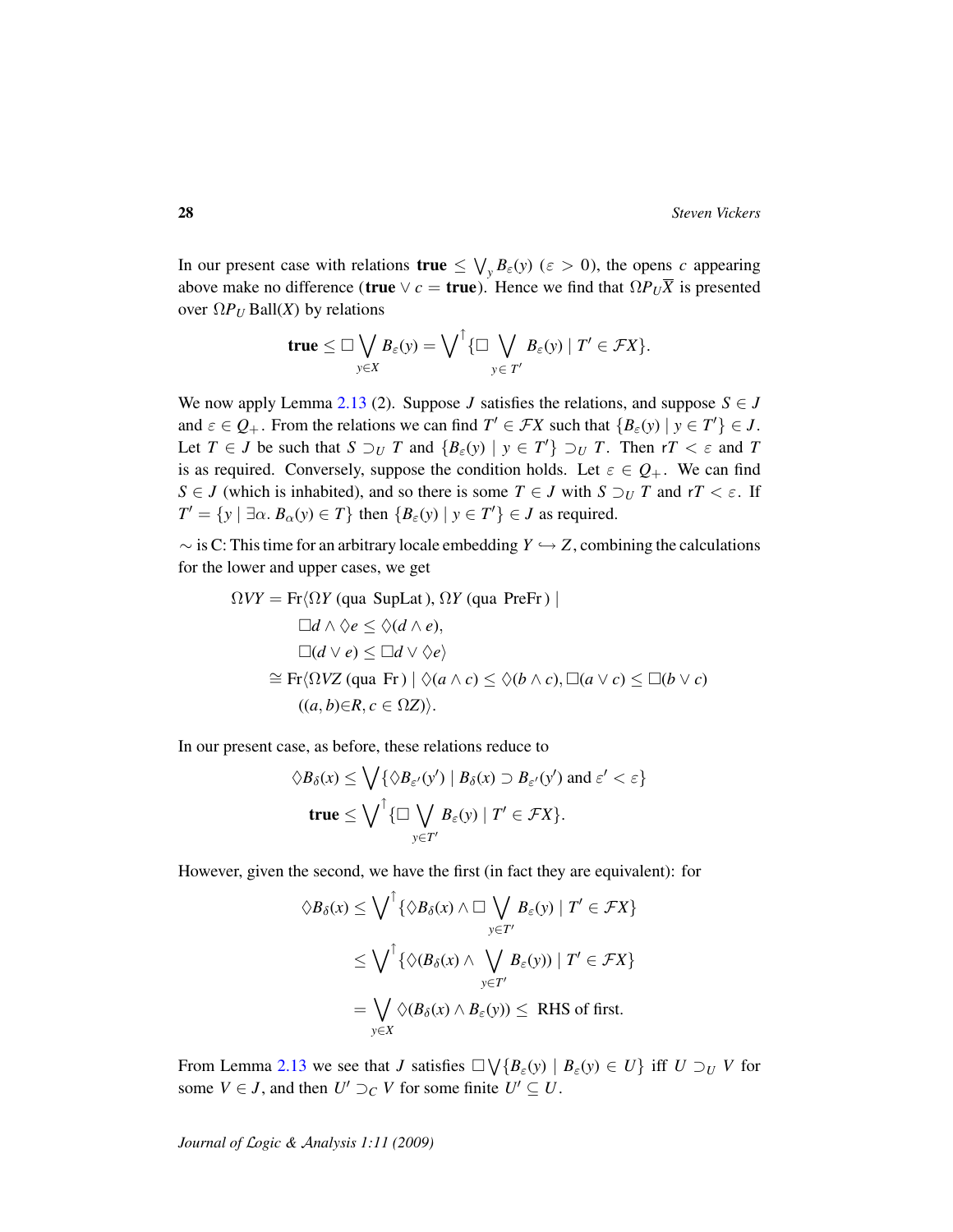In our present case with relations  $true \leq \bigvee_y B_{\varepsilon}(y)$  ( $\varepsilon > 0$ ), the opens *c* appearing above make no difference (true  $\vee$  *c* = true). Hence we find that  $\Omega P_U \overline{X}$  is presented over  $\Omega P_U$  Ball(*X*) by relations

$$
true \leq \Box \bigvee_{y \in X} B_{\varepsilon}(y) = \bigvee^{\uparrow} \{\Box \bigvee_{y \in T'} B_{\varepsilon}(y) \mid T' \in \mathcal{F}X\}.
$$

We now apply Lemma [2.13](#page-15-0) (2). Suppose *J* satisfies the relations, and suppose  $S \in J$ and  $\varepsilon \in Q_+$ . From the relations we can find  $T' \in \mathcal{F}X$  such that  $\{B_{\varepsilon}(y) \mid y \in T'\} \in J$ . Let  $T \in J$  be such that  $S \supseteq_U T$  and  $\{B_{\varepsilon}(y) \mid y \in T'\} \supseteq_U T$ . Then  $rT < \varepsilon$  and T is as required. Conversely, suppose the condition holds. Let  $\varepsilon \in Q_+$ . We can find *S* ∈ *J* (which is inhabited), and so there is some *T* ∈ *J* with *S*  $\supset U$  *T* and *rT* <  $\varepsilon$ . If  $T' = \{ y \mid \exists \alpha \ldotp B_{\alpha}(y) \in T \}$  then  $\{ B_{\varepsilon}(y) \mid y \in T' \} \in J$  as required.

 $\sim$  is C: This time for an arbitrary locale embedding *Y*  $\hookrightarrow$  *Z*, combining the calculations for the lower and upper cases, we get

$$
\Omega VY = \text{Fr}\langle \Omega Y \text{ (qua SupLat)}, \Omega Y \text{ (qua PreFr)} \rangle
$$
  
\n
$$
\square d \land \lozenge e \le \lozenge (d \land e),
$$
  
\n
$$
\square (d \lor e) \le \square d \lor \lozenge e
$$
  
\n
$$
\cong \text{Fr}\langle \Omega VZ \text{ (qua Fr)} \mid \lozenge (a \land c) \le \lozenge (b \land c), \square (a \lor c) \le \square (b \lor c)
$$
  
\n
$$
((a, b) \in R, c \in \Omega Z)\rangle.
$$

In our present case, as before, these relations reduce to

$$
\Diamond B_{\delta}(x) \leq \bigvee \{ \Diamond B_{\varepsilon'}(y') \mid B_{\delta}(x) \supset B_{\varepsilon'}(y') \text{ and } \varepsilon' < \varepsilon \}
$$
  
 
$$
\mathbf{true} \leq \bigvee^{\uparrow} \{ \Box \bigvee_{y \in T'} B_{\varepsilon}(y) \mid T' \in \mathcal{F}X \}.
$$

However, given the second, we have the first (in fact they are equivalent): for

$$
\Diamond B_{\delta}(x) \leq \bigvee^{\uparrow} \{ \Diamond B_{\delta}(x) \land \Box \bigvee_{y \in T'} B_{\varepsilon}(y) \mid T' \in \mathcal{F}X \}
$$
  

$$
\leq \bigvee^{\uparrow} \{ \Diamond (B_{\delta}(x) \land \bigvee_{y \in T'} B_{\varepsilon}(y)) \mid T' \in \mathcal{F}X \}
$$
  

$$
= \bigvee_{y \in X} \Diamond (B_{\delta}(x) \land B_{\varepsilon}(y)) \leq \text{RHS of first.}
$$

From Lemma [2.13](#page-15-0) we see that *J* satisfies  $\Box \bigvee \{B_{\varepsilon}(y) \mid B_{\varepsilon}(y) \in U\}$  iff  $U \supseteq_{U} V$  for some  $V \in J$ , and then  $U' \supset_C V$  for some finite  $U' \subseteq U$ .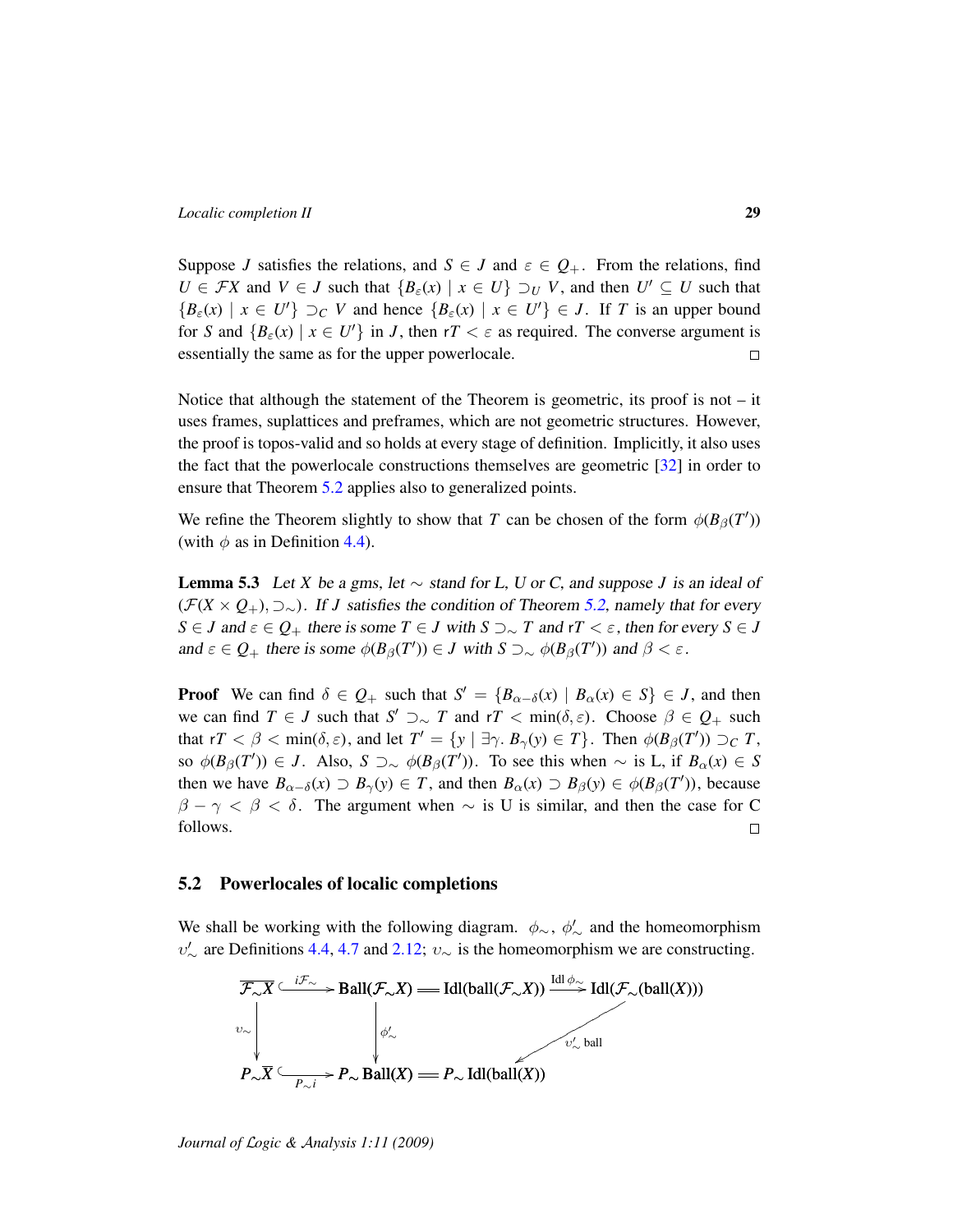Suppose *J* satisfies the relations, and  $S \in J$  and  $\varepsilon \in Q_+$ . From the relations, find  $U \in \mathcal{F}X$  and  $V \in J$  such that  $\{B_{\varepsilon}(x) \mid x \in U\} \supseteq_{U} V$ , and then  $U' \subseteq U$  such that  ${B_{\varepsilon}(x) \mid x \in U'}$   $\supset_C V$  and hence  ${B_{\varepsilon}(x) \mid x \in U'} \in J$ . If *T* is an upper bound for *S* and  $\{B_{\varepsilon}(x) \mid x \in U'\}$  in *J*, then  $rT < \varepsilon$  as required. The converse argument is essentially the same as for the upper powerlocale.  $\Box$ 

Notice that although the statement of the Theorem is geometric, its proof is not  $-$  it uses frames, suplattices and preframes, which are not geometric structures. However, the proof is topos-valid and so holds at every stage of definition. Implicitly, it also uses the fact that the powerlocale constructions themselves are geometric [\[32\]](#page-47-0) in order to ensure that Theorem [5.2](#page-26-0) applies also to generalized points.

We refine the Theorem slightly to show that *T* can be chosen of the form  $\phi(B_\beta(T'))$ (with  $\phi$  as in Definition [4.4\)](#page-21-0).

<span id="page-28-1"></span>**Lemma 5.3** Let *X* be a gms, let  $\sim$  stand for L, U or C, and suppose J is an ideal of  $(F(X \times Q_+), \supset_{\sim})$ . If *J* satisfies the condition of Theorem [5.2,](#page-26-0) namely that for every *S* ∈ *J* and  $\varepsilon \in Q_+$  there is some  $T \in J$  with  $S \supset \sim T$  and  $rT < \varepsilon$ , then for every  $S \in J$ and  $\varepsilon \in Q_+$  there is some  $\phi(B_\beta(T')) \in J$  with  $S \supset \sim \phi(B_\beta(T'))$  and  $\beta < \varepsilon$ .

**Proof** We can find  $\delta \in Q_+$  such that  $S' = \{B_{\alpha-\delta}(x) \mid B_{\alpha}(x) \in S\} \in J$ , and then we can find  $T \in J$  such that  $S' \supset \sim T$  and  $rT < \min(\delta, \varepsilon)$ . Choose  $\beta \in Q_+$  such that  $rT < \beta < \min(\delta, \varepsilon)$ , and let  $T' = \{y \mid \exists \gamma \ldotp B_{\gamma}(y) \in T\}$ . Then  $\phi(B_{\beta}(T')) \supset_C T$ , so  $\phi(B_\beta(T')) \in J$ . Also,  $S \supset \sim \phi(B_\beta(T'))$ . To see this when  $\sim$  is L, if  $B_\alpha(x) \in S$ then we have  $B_{\alpha-\delta}(x) \supset B_{\gamma}(y) \in T$ , and then  $B_{\alpha}(x) \supset B_{\beta}(y) \in \phi(B_{\beta}(T'))$ , because  $\beta - \gamma < \beta < \delta$ . The argument when  $\sim$  is U is similar, and then the case for C follows.  $\Box$ 

#### <span id="page-28-0"></span>5.2 Powerlocales of localic completions

We shall be working with the following diagram.  $\phi_{\sim}$ ,  $\phi'_{\sim}$  and the homeomorphism  $v'_{\sim}$  are Definitions [4.4,](#page-21-0) [4.7](#page-22-0) and [2.12;](#page-14-1)  $v_{\sim}$  is the homeomorphism we are constructing.

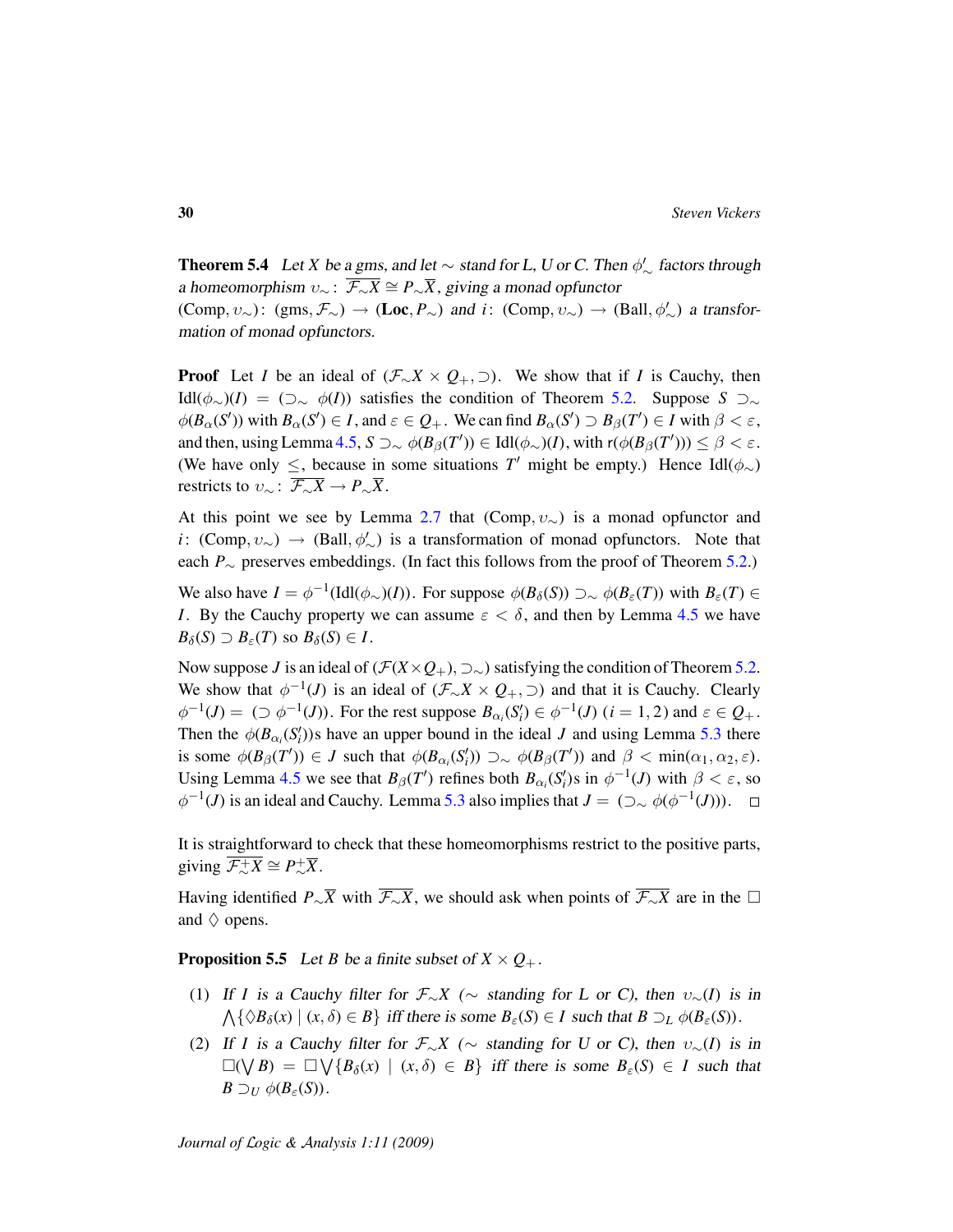<span id="page-29-0"></span>**Theorem 5.4** Let *X* be a gms, and let  $\sim$  stand for L, U or C. Then  $\phi'_{\sim}$  factors through a homeomorphism  $v_{\sim}$ :  $\overline{\mathcal{F}_{\sim}X} \cong P_{\sim}\overline{X}$ , giving a monad opfunctor  $(\text{Comp}, \nu_{\sim})$ :  $(gms, \mathcal{F}_{\sim}) \to (\text{Loc}, P_{\sim})$  and *i*:  $(\text{Comp}, \nu_{\sim}) \to (\text{Ball}, \phi'_{\sim})$  a transformation of monad opfunctors.

**Proof** Let *I* be an ideal of ( $\mathcal{F}_{\sim}X \times Q_+$ ,  $\supset$ ). We show that if *I* is Cauchy, then Idl(φ∼)(*I*) = (⊃<sup>∼</sup> φ(*I*)) satisfies the condition of Theorem [5.2.](#page-26-0) Suppose *S* ⊃<sup>∼</sup>  $\phi(B_\alpha(S'))$  with  $B_\alpha(S') \in I$ , and  $\varepsilon \in Q_+$ . We can find  $B_\alpha(S') \supset B_\beta(T') \in I$  with  $\beta < \varepsilon$ , and then, using Lemma [4.5,](#page-21-2)  $S \supset_{\sim} \phi(B_\beta(T')) \in \text{Idl}(\phi_\sim)(I)$ , with  $r(\phi(B_\beta(T'))) \leq \beta < \varepsilon$ . (We have only  $\leq$ , because in some situations *T'* might be empty.) Hence Idl( $\phi_{\sim}$ ) restricts to  $v_{\sim}$ :  $\overline{\mathcal{F}_{\sim}X} \to P_{\sim} \overline{X}$ .

At this point we see by Lemma [2.7](#page-11-0) that (Comp,  $v_{\sim}$ ) is a monad opfunctor and *i*: (Comp,  $v_{\sim}$ ) → (Ball,  $\phi'_{\sim}$ ) is a transformation of monad opfunctors. Note that each *P*<sup>∼</sup> preserves embeddings. (In fact this follows from the proof of Theorem [5.2.](#page-26-0))

We also have  $I = \phi^{-1}(\text{Idl}(\phi_\sim)(I))$ . For suppose  $\phi(B_\delta(S)) \supset_{\sim} \phi(B_\varepsilon(T))$  with  $B_\varepsilon(T) \in$ *I*. By the Cauchy property we can assume  $\varepsilon < \delta$ , and then by Lemma [4.5](#page-21-2) we have  $B_{\delta}(S) \supset B_{\varepsilon}(T)$  so  $B_{\delta}(S) \in I$ .

Now suppose *J* is an ideal of  $(F(X \times Q_+), \supset \sim)$  satisfying the condition of Theorem [5.2.](#page-26-0) We show that  $\phi^{-1}(J)$  is an ideal of  $(\mathcal{F}_{\sim}X \times Q_+,\supset)$  and that it is Cauchy. Clearly  $\phi^{-1}(J) = (\supset \phi^{-1}(J))$ . For the rest suppose  $B_{\alpha_i}(S_i') \in \phi^{-1}(J)$   $(i = 1, 2)$  and  $\varepsilon \in Q_+$ . Then the  $\phi(B_{\alpha_i}(S_i'))$ s have an upper bound in the ideal *J* and using Lemma [5.3](#page-28-1) there is some  $\phi(B_{\beta}(T')) \in J$  such that  $\phi(B_{\alpha_i}(S'_i)) \supset \sim \phi(B_{\beta}(T'))$  and  $\beta < \min(\alpha_1, \alpha_2, \varepsilon)$ . Using Lemma [4.5](#page-21-2) we see that  $B_{\beta}(T')$  refines both  $B_{\alpha_i}(S_i')$ s in  $\phi^{-1}(J)$  with  $\beta < \varepsilon$ , so  $\phi^{-1}(J)$  is an ideal and Cauchy. Lemma [5.3](#page-28-1) also implies that  $J = (\supset_{\sim} \phi(\phi^{-1}(J)))$ .

It is straightforward to check that these homeomorphisms restrict to the positive parts, giving  $\overline{\mathcal{F}_{\sim}^{\perp} X} \cong P_{\sim}^{\perp} \overline{X}$ .

Having identified *P*∼ $\overline{X}$  with  $\overline{\mathcal{F}_{\sim}X}$ , we should ask when points of  $\overline{\mathcal{F}_{\sim}X}$  are in the  $\Box$ and  $\diamond$  opens.

<span id="page-29-1"></span>**Proposition 5.5** Let *B* be a finite subset of  $X \times Q_+$ .

- (1) If *I* is a Cauchy filter for  $\mathcal{F}_{\sim}X$  ( $\sim$  standing for L or C), then  $v_{\sim}(I)$  is in  $\bigwedge \{ \Diamond B_{\delta}(x) \mid (x, \delta) \in B \}$  iff there is some  $B_{\varepsilon}(S) \in I$  such that  $B \supset_L \phi(B_{\varepsilon}(S))$ .
- (2) If *I* is a Cauchy filter for  $\mathcal{F}_{\sim}X$  ( $\sim$  standing for U or C), then  $v_{\sim}(I)$  is in  $\square(\bigvee B) = \square \bigvee \{B_\delta(x) \mid (x, \delta) \in B\}$  iff there is some  $B_\epsilon(S) \in I$  such that  $B \supseteq_U \phi(B_\varepsilon(S)).$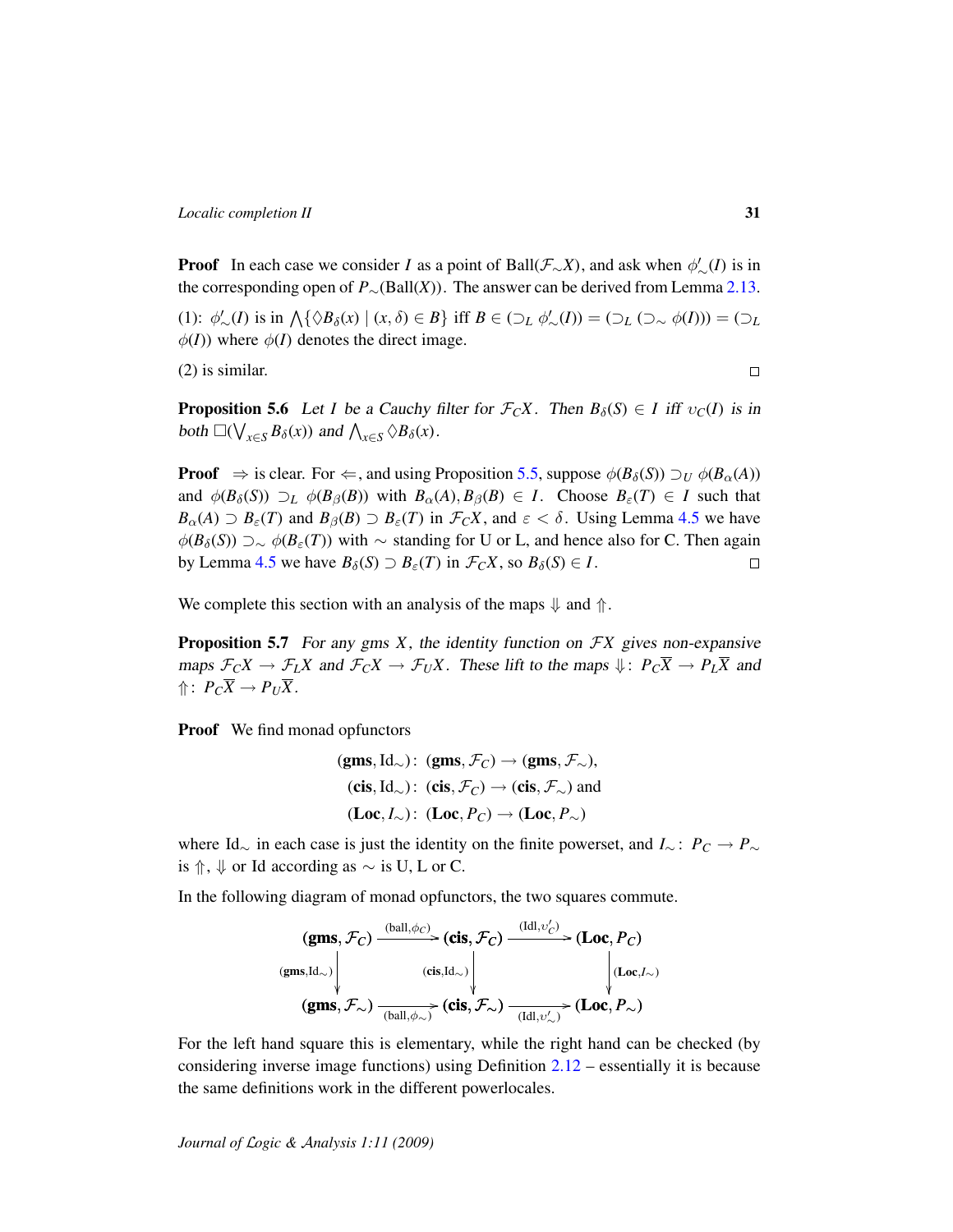**Proof** In each case we consider *I* as a point of Ball( $\mathcal{F}_{\sim}X$ ), and ask when  $\phi'_{\sim}(I)$  is in the corresponding open of  $P_{\sim}(\text{Ball}(X))$ . The answer can be derived from Lemma [2.13.](#page-15-0)

(1):  $\phi'_{\sim}(I)$  is in  $\bigwedge \{ \Diamond B_{\delta}(x) \mid (x, \delta) \in B \}$  iff  $B \in (\bigcup_{L} \phi'_{\sim}(I)) = (\bigcup_{L} (\bigcup_{\sim} \phi(I))) = (\bigcup_{L} (\bigcup_{\sim} \phi(I)))$  $\phi(I)$ ) where  $\phi(I)$  denotes the direct image.

(2) is similar.

**Proposition 5.6** Let *I* be a Cauchy filter for  $\mathcal{F}_C X$ . Then  $B_\delta(S) \in I$  iff  $v_C(I)$  is in both  $\square(\bigvee_{x \in S} B_{\delta}(x))$  and  $\bigwedge_{x \in S} \Diamond B_{\delta}(x)$ .

**Proof**  $\Rightarrow$  is clear. For  $\Leftarrow$ , and using Proposition [5.5,](#page-29-1) suppose  $\phi(B_\delta(S)) \supset_U \phi(B_\alpha(A))$ and  $\phi(B_\delta(S)) \supset_L \phi(B_\beta(B))$  with  $B_\alpha(A), B_\beta(B) \in I$ . Choose  $B_\varepsilon(T) \in I$  such that  $B_{\alpha}(A) \supset B_{\varepsilon}(T)$  and  $B_{\beta}(B) \supset B_{\varepsilon}(T)$  in  $\mathcal{F}_C X$ , and  $\varepsilon < \delta$ . Using Lemma [4.5](#page-21-2) we have  $\phi(B_\delta(S))$  ⊃∼  $\phi(B_\epsilon(T))$  with ∼ standing for U or L, and hence also for C. Then again by Lemma [4.5](#page-21-2) we have  $B_\delta(S) \supset B_\varepsilon(T)$  in  $\mathcal{F}_C X$ , so  $B_\delta(S) \in I$ .  $\Box$ 

We complete this section with an analysis of the maps  $\psi$  and  $\Uparrow$ .

<span id="page-30-0"></span>Proposition 5.7 For any gms *X*, the identity function on F*X* gives non-expansive maps  $\mathcal{F}_C X \to \mathcal{F}_L X$  and  $\mathcal{F}_C X \to \mathcal{F}_U X$ . These lift to the maps  $\psi: P_C \overline{X} \to P_L \overline{X}$  and  $\Uparrow$ :  $P_C\overline{X} \rightarrow P_U\overline{X}$ .

Proof We find monad opfunctors

(gms, Id<sub>∼</sub>): (gms, 
$$
\mathcal{F}_C
$$
)  $\rightarrow$  (gms,  $\mathcal{F}_{\sim}$ ),  
(cis, Id<sub>∞</sub>): (cis,  $\mathcal{F}_C$ )  $\rightarrow$  (cis,  $\mathcal{F}_{\sim}$ ) and  
(Loc,  $I_{\sim}$ ): (Loc,  $P_C$ )  $\rightarrow$  (Loc,  $P_{\sim}$ )

where Id<sup>∼</sup> in each case is just the identity on the finite powerset, and *I*<sup>∼</sup> : *P<sup>C</sup>* → *P*<sup>∼</sup> is  $↑$ ,  $↓$  or Id according as  $\sim$  is U, L or C.

In the following diagram of monad opfunctors, the two squares commute.

$$
\begin{array}{c}\n(\mathbf{gms}, \mathcal{F}_C) \xrightarrow{\text{(ball}, \phi_C)} (\mathbf{cis}, \mathcal{F}_C) \xrightarrow{\text{(Idl}, v_C')} (\mathbf{Loc}, P_C) \\
(\mathbf{gms}, \mathbf{Id}_{\sim}) \downarrow \qquad \qquad (\mathbf{cis}, \mathbf{Id}_{\sim}) \downarrow \qquad \qquad \downarrow \quad \text{(Loc, } I_{\sim}) \\
(\mathbf{gms}, \mathcal{F}_{\sim}) \xrightarrow{\text{(ball}, \phi_{\sim})} (\mathbf{cis}, \mathcal{F}_{\sim}) \xrightarrow{\text{(Idl}, v_{\sim}')} (\mathbf{Loc}, P_{\sim})\n\end{array}
$$

For the left hand square this is elementary, while the right hand can be checked (by considering inverse image functions) using Definition [2.12](#page-14-1) – essentially it is because the same definitions work in the different powerlocales.

*Journal of* L*ogic &* A*nalysis 1:11 (2009)*

 $\Box$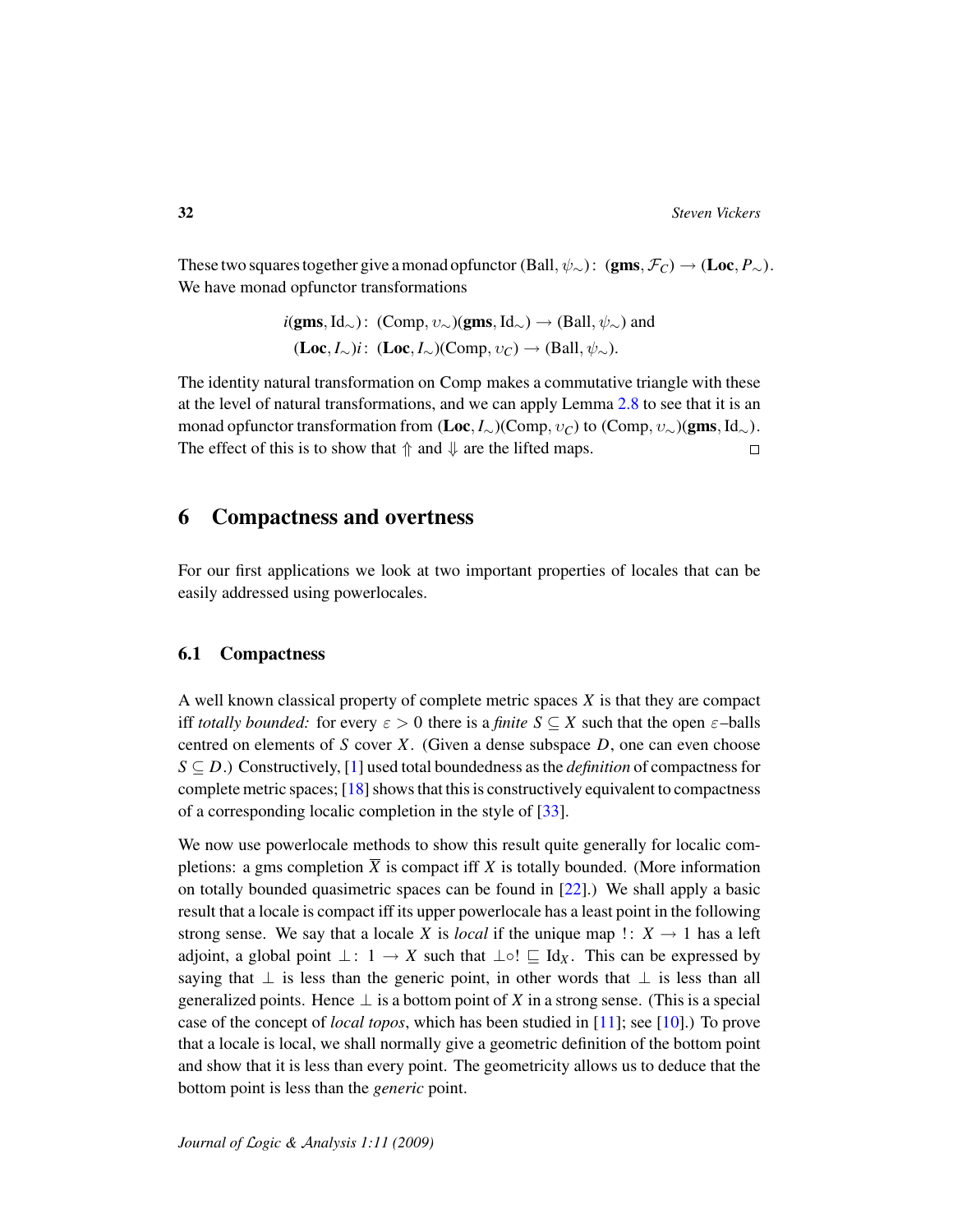These two squares together give a monad opfunctor (Ball,  $\psi_{\sim}$ ): (gms,  $\mathcal{F}_C$ ) → (Loc,  $P_{\sim}$ ). We have monad opfunctor transformations

> $i(gms, Id_{\sim})$ : (Comp,  $v_{\sim}$ )(gms, Id<sub>∼</sub>)  $\rightarrow$  (Ball,  $\psi_{\sim}$ ) and  $(\mathbf{Loc}, I_{\sim})$ *i*:  $(\mathbf{Loc}, I_{\sim})$ (Comp,  $v_C$ ) → (Ball,  $\psi_{\sim}$ ).

The identity natural transformation on Comp makes a commutative triangle with these at the level of natural transformations, and we can apply Lemma [2.8](#page-12-1) to see that it is an monad opfunctor transformation from  $(Loc, I)_{\sim}(Comp, v_C)$  to  $(Comp, v_{\sim})(gms, Id_{\sim}).$ The effect of this is to show that  $\uparrow$  and  $\downarrow$  are the lifted maps.  $\Box$ 

## 6 Compactness and overtness

For our first applications we look at two important properties of locales that can be easily addressed using powerlocales.

### 6.1 Compactness

A well known classical property of complete metric spaces *X* is that they are compact iff *totally bounded:* for every  $\varepsilon > 0$  there is a *finite*  $S \subseteq X$  such that the open  $\varepsilon$ -balls centred on elements of *S* cover *X*. (Given a dense subspace *D*, one can even choose  $S \subseteq D$ .) Constructively, [\[1\]](#page-45-7) used total boundedness as the *definition* of compactness for complete metric spaces; [\[18\]](#page-46-11) shows that this is constructively equivalent to compactness of a corresponding localic completion in the style of [\[33\]](#page-47-1).

We now use powerlocale methods to show this result quite generally for localic completions: a gms completion  $\overline{X}$  is compact iff *X* is totally bounded. (More information on totally bounded quasimetric spaces can be found in [\[22\]](#page-46-12).) We shall apply a basic result that a locale is compact iff its upper powerlocale has a least point in the following strong sense. We say that a locale *X* is *local* if the unique map  $\colon X \to 1$  has a left adjoint, a global point  $\bot: 1 \to X$  such that  $\bot \circ ! \sqsubset \mathrm{Id}_X$ . This can be expressed by saying that  $\perp$  is less than the generic point, in other words that  $\perp$  is less than all generalized points. Hence  $\perp$  is a bottom point of *X* in a strong sense. (This is a special case of the concept of *local topos*, which has been studied in [\[11\]](#page-45-8); see [\[10\]](#page-45-9).) To prove that a locale is local, we shall normally give a geometric definition of the bottom point and show that it is less than every point. The geometricity allows us to deduce that the bottom point is less than the *generic* point.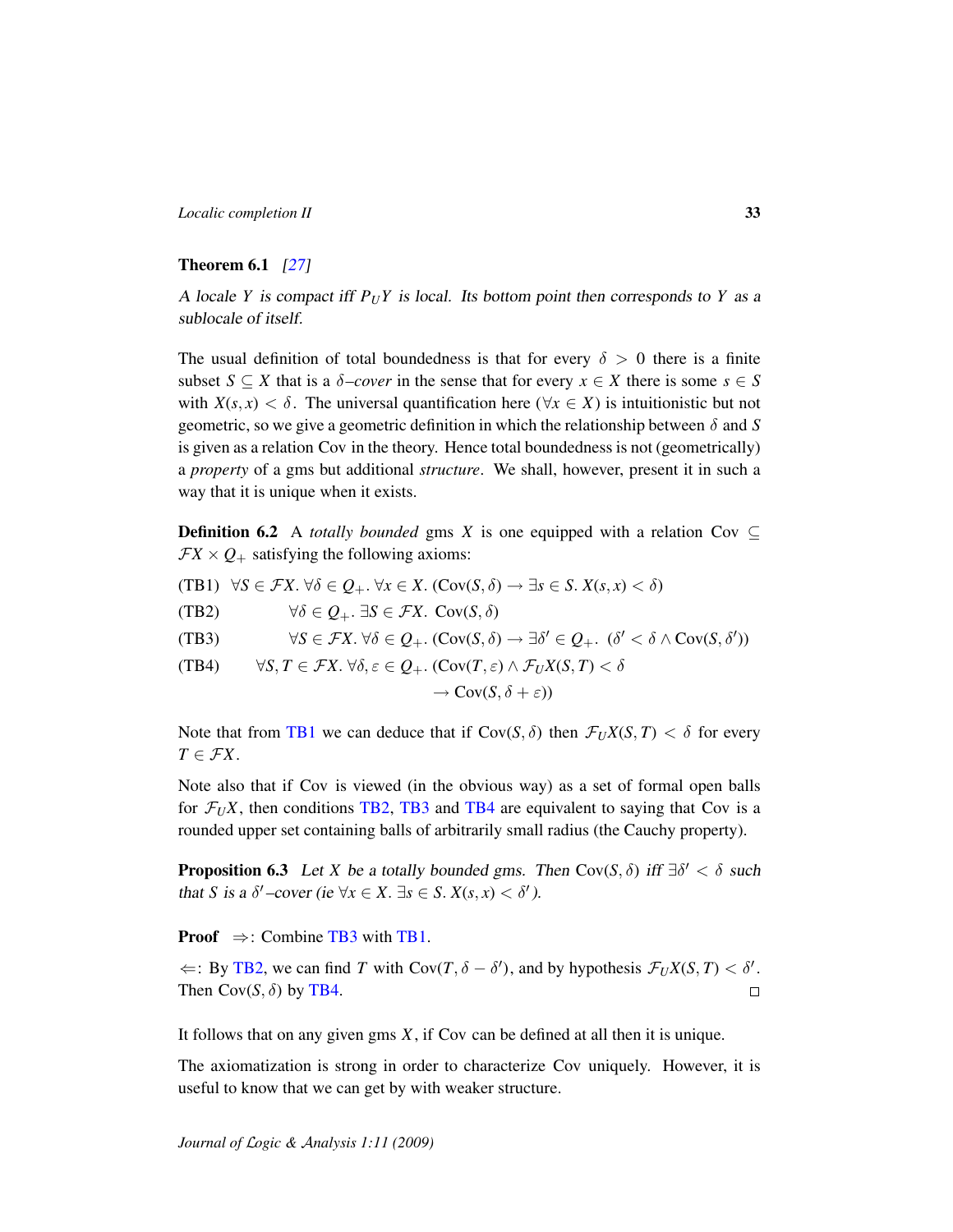### <span id="page-32-4"></span>Theorem 6.1 [\[27\]](#page-46-8)

A locale *Y* is compact iff  $P_UY$  is local. Its bottom point then corresponds to *Y* as a sublocale of itself.

The usual definition of total boundedness is that for every  $\delta > 0$  there is a finite subset  $S \subseteq X$  that is a  $\delta$ -cover in the sense that for every  $x \in X$  there is some  $s \in S$ with  $X(s, x) < \delta$ . The universal quantification here ( $\forall x \in X$ ) is intuitionistic but not geometric, so we give a geometric definition in which the relationship between δ and *S* is given as a relation Cov in the theory. Hence total boundedness is not (geometrically) a *property* of a gms but additional *structure*. We shall, however, present it in such a way that it is unique when it exists.

**Definition 6.2** A *totally bounded* gms *X* is one equipped with a relation Cov  $\subset$  $\mathcal{F}X \times Q_+$  satisfying the following axioms:

- <span id="page-32-0"></span> $(\text{TB1}) \ \forall S \in \mathcal{F}X$ .  $\forall \delta \in Q_+$ .  $\forall x \in X$ .  $(\text{Cov}(S, \delta) \rightarrow \exists s \in S$ .  $X(s, x) < \delta)$
- <span id="page-32-1"></span>(TB2)  $\forall \delta \in O_+$ ,  $\exists S \in \mathcal{F}X$ ,  $Cov(S, \delta)$
- <span id="page-32-2"></span>(TB3)  $\forall S \in \mathcal{F}X$ .  $\forall \delta \in \mathcal{Q}_+$ . ( $Cov(S, \delta) \rightarrow \exists \delta' \in \mathcal{Q}_+$ . ( $\delta' < \delta \wedge Cov(S, \delta')$ )

<span id="page-32-3"></span>(TB4)  $\forall S, T \in \mathcal{F}X$ ,  $\forall \delta, \varepsilon \in O_+$ ,  $(\text{Cov}(T, \varepsilon) \land \mathcal{F}_{U}X(S, T) < \delta$ 

$$
\to \text{Cov}(S, \delta + \varepsilon))
$$

Note that from [TB1](#page-32-0) we can deduce that if  $Cov(S, \delta)$  then  $\mathcal{F}_U X(S, T) < \delta$  for every  $T \in \mathcal{F}X$ .

Note also that if Cov is viewed (in the obvious way) as a set of formal open balls for  $\mathcal{F}_U X$ , then conditions [TB2,](#page-32-1) [TB3](#page-32-2) and [TB4](#page-32-3) are equivalent to saying that Cov is a rounded upper set containing balls of arbitrarily small radius (the Cauchy property).

**Proposition 6.3** Let *X* be a totally bounded gms. Then  $Cov(S, \delta)$  iff  $\exists \delta' < \delta$  such that *S* is a  $\delta'$  –cover (ie  $\forall x \in X$ .  $\exists s \in S$ .  $X(s, x) < \delta'$ ).

**Proof**  $\Rightarrow$ : Combine [TB3](#page-32-2) with [TB1.](#page-32-0)

 $\Leftarrow$ : By [TB2,](#page-32-1) we can find *T* with Cov(*T*,  $\delta - \delta'$ ), and by hypothesis  $\mathcal{F}_U X(S,T) < \delta'$ . Then  $Cov(S, \delta)$  by [TB4.](#page-32-3)  $\Box$ 

It follows that on any given gms *X*, if Cov can be defined at all then it is unique.

The axiomatization is strong in order to characterize Cov uniquely. However, it is useful to know that we can get by with weaker structure.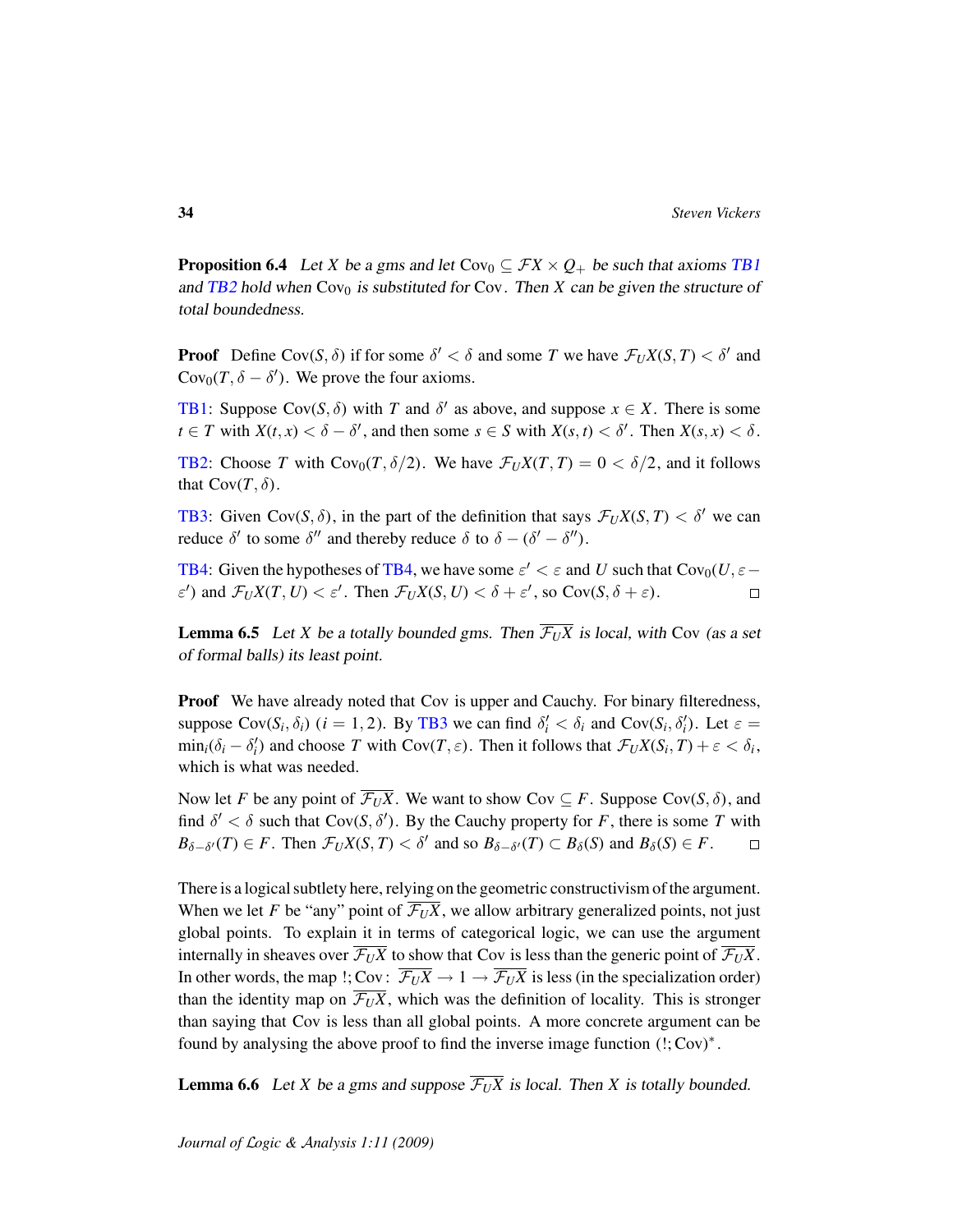**Proposition 6.4** Let *X* be a gms and let Cov<sub>0</sub>  $\subseteq$  *FX*  $\times$  *Q*<sub>+</sub> be such that axioms [TB1](#page-32-0) and [TB2](#page-32-1) hold when  $Cov_0$  is substituted for  $Cov$ . Then *X* can be given the structure of total boundedness.

**Proof** Define Cov(*S*,  $\delta$ ) if for some  $\delta' < \delta$  and some *T* we have  $\mathcal{F}_U X(S,T) < \delta'$  and Cov<sub>0</sub> $(T, \delta - \delta')$ . We prove the four axioms.

**[TB1:](#page-32-0)** Suppose Cov(S,  $\delta$ ) with *T* and  $\delta'$  as above, and suppose  $x \in X$ . There is some  $t \in T$  with  $X(t, x) < \delta - \delta'$ , and then some  $s \in S$  with  $X(s, t) < \delta'$ . Then  $X(s, x) < \delta$ .

**[TB2:](#page-32-1)** Choose *T* with  $Cov_0(T, \delta/2)$ . We have  $\mathcal{F}_U X(T, T) = 0 < \delta/2$ , and it follows that  $Cov(T, \delta)$ .

**[TB3:](#page-32-2)** Given Cov(*S*,  $\delta$ ), in the part of the definition that says  $\mathcal{F}_U X(S,T) < \delta'$  we can reduce  $\delta'$  to some  $\delta''$  and thereby reduce  $\delta$  to  $\delta - (\delta' - \delta'')$ .

**[TB4:](#page-32-3)** Given the hypotheses of [TB4,](#page-32-3) we have some  $\varepsilon' < \varepsilon$  and *U* such that  $Cov_0(U, \varepsilon \varepsilon'$ ) and  $\mathcal{F}_U X(T, U) < \varepsilon'$ . Then  $\mathcal{F}_U X(S, U) < \delta + \varepsilon'$ , so Cov( $S, \delta + \varepsilon$ ).  $\Box$ 

<span id="page-33-0"></span>**Lemma 6.5** Let *X* be a totally bounded gms. Then  $\overline{\mathcal{F}_{U}X}$  is local, with Cov (as a set of formal balls) its least point.

**Proof** We have already noted that Cov is upper and Cauchy. For binary filteredness, suppose  $Cov(S_i, \delta_i)$  (*i* = 1, 2). By [TB3](#page-32-2) we can find  $\delta'_i < \delta_i$  and  $Cov(S_i, \delta'_i)$ . Let  $\varepsilon$  $\min_i(\delta_i - \delta'_i)$  and choose *T* with  $Cov(T, \varepsilon)$ . Then it follows that  $\mathcal{F}_U X(S_i, T) + \varepsilon < \delta_i$ , which is what was needed.

Now let *F* be any point of  $\overline{\mathcal{F}_{U}X}$ . We want to show Cov  $\subseteq$  *F*. Suppose Cov(*S*,  $\delta$ ), and find  $\delta' < \delta$  such that  $Cov(S, \delta')$ . By the Cauchy property for *F*, there is some *T* with  $B_{\delta-\delta'}(T) \in F$ . Then  $\mathcal{F}_U X(S,T) < \delta'$  and so  $B_{\delta-\delta'}(T) \subset B_{\delta}(S)$  and  $B_{\delta}(S) \in F$ .  $\Box$ 

There is a logical subtlety here, relying on the geometric constructivism of the argument. When we let *F* be "any" point of  $\overline{\mathcal{F}_{U}X}$ , we allow arbitrary generalized points, not just global points. To explain it in terms of categorical logic, we can use the argument internally in sheaves over  $\overline{\mathcal{F}_{U}X}$  to show that Cov is less than the generic point of  $\overline{\mathcal{F}_{U}X}$ . In other words, the map !; Cov:  $\overline{\mathcal{F}_U X} \to 1 \to \overline{\mathcal{F}_U X}$  is less (in the specialization order) than the identity map on  $\overline{\mathcal{F}_{U}X}$ , which was the definition of locality. This is stronger than saying that Cov is less than all global points. A more concrete argument can be found by analysing the above proof to find the inverse image function (!; Cov)<sup>∗</sup> .

<span id="page-33-1"></span>**Lemma 6.6** Let *X* be a gms and suppose  $\overline{\mathcal{F}_{U}X}$  is local. Then *X* is totally bounded.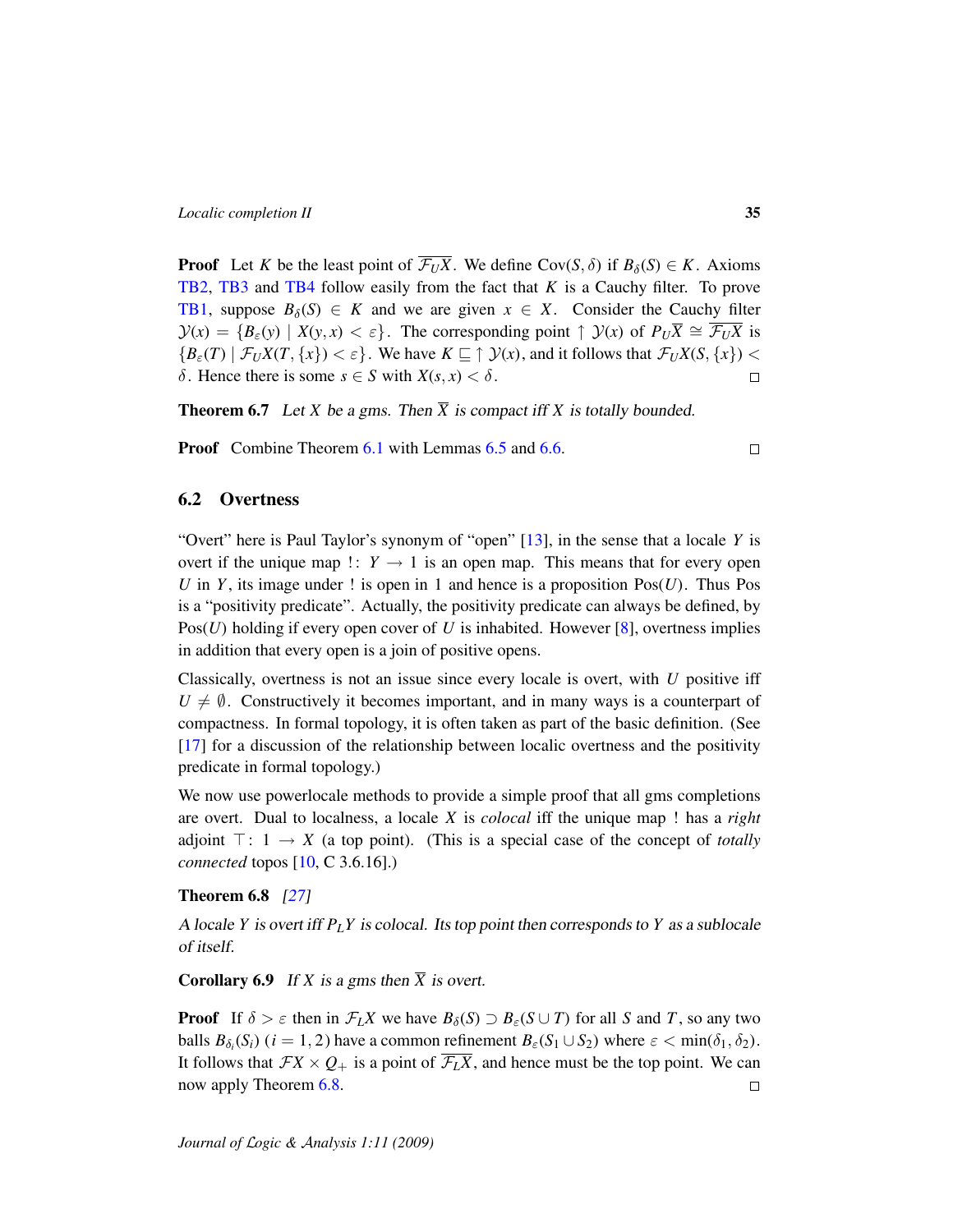**Proof** Let *K* be the least point of  $\overline{\mathcal{F}_{U}X}$ . We define Cov(*S*,  $\delta$ ) if  $B_{\delta}(S) \in K$ . Axioms [TB2,](#page-32-1) [TB3](#page-32-2) and [TB4](#page-32-3) follow easily from the fact that *K* is a Cauchy filter. To prove [TB1,](#page-32-0) suppose  $B_\delta(S) \in K$  and we are given  $x \in X$ . Consider the Cauchy filter  $\mathcal{Y}(x) = \{B_{\varepsilon}(y) \mid X(y, x) < \varepsilon\}$ . The corresponding point  $\uparrow \mathcal{Y}(x)$  of  $P_U\overline{X} \cong \overline{\mathcal{F}_U X}$  is  ${B_{\varepsilon}(T) | \mathcal{F}_{U}X(T, \{x\}) < \varepsilon}$ . We have  $K \subseteq \uparrow \mathcal{Y}(x)$ , and it follows that  $\mathcal{F}_{U}X(S, \{x\}) <$ δ. Hence there is some  $s \in S$  with  $X(s, x) < δ$ .  $\Box$ 

<span id="page-34-2"></span>**Theorem 6.7** Let *X* be a gms. Then  $\overline{X}$  is compact iff *X* is totally bounded.

**Proof** Combine Theorem [6.1](#page-32-4) with Lemmas [6.5](#page-33-0) and [6.6.](#page-33-1)

### <span id="page-34-0"></span>6.2 Overtness

"Overt" here is Paul Taylor's synonym of "open" [\[13\]](#page-46-9), in the sense that a locale *Y* is overt if the unique map  $\therefore$  *Y*  $\rightarrow$  1 is an open map. This means that for every open *U* in *Y*, its image under ! is open in 1 and hence is a proposition  $Pos(U)$ . Thus Pos is a "positivity predicate". Actually, the positivity predicate can always be defined, by Pos(*U*) holding if every open cover of *U* is inhabited. However [\[8\]](#page-45-10), overtness implies in addition that every open is a join of positive opens.

Classically, overtness is not an issue since every locale is overt, with *U* positive iff  $U \neq \emptyset$ . Constructively it becomes important, and in many ways is a counterpart of compactness. In formal topology, it is often taken as part of the basic definition. (See [\[17\]](#page-46-13) for a discussion of the relationship between localic overtness and the positivity predicate in formal topology.)

We now use powerlocale methods to provide a simple proof that all gms completions are overt. Dual to localness, a locale *X* is *colocal* iff the unique map ! has a *right* adjoint  $\top: 1 \rightarrow X$  (a top point). (This is a special case of the concept of *totally connected* topos [\[10,](#page-45-9) C 3.6.16].)

### <span id="page-34-1"></span>Theorem 6.8 [\[27\]](#page-46-8)

A locale *Y* is overt iff  $P_L Y$  is colocal. Its top point then corresponds to *Y* as a sublocale of itself.

**Corollary 6.9** If *X* is a gms then  $\overline{X}$  is overt.

**Proof** If  $\delta > \varepsilon$  then in  $\mathcal{F}_L X$  we have  $B_\delta(S) \supset B_\varepsilon(S \cup T)$  for all *S* and *T*, so any two balls  $B_{\delta_i}(S_i)$  ( $i = 1, 2$ ) have a common refinement  $B_{\varepsilon}(S_1 \cup S_2)$  where  $\varepsilon < \min(\delta_1, \delta_2)$ . It follows that  $FX \times Q_+$  is a point of  $\overline{\mathcal{F}_L X}$ , and hence must be the top point. We can now apply Theorem [6.8.](#page-34-1)  $\Box$ 

 $\Box$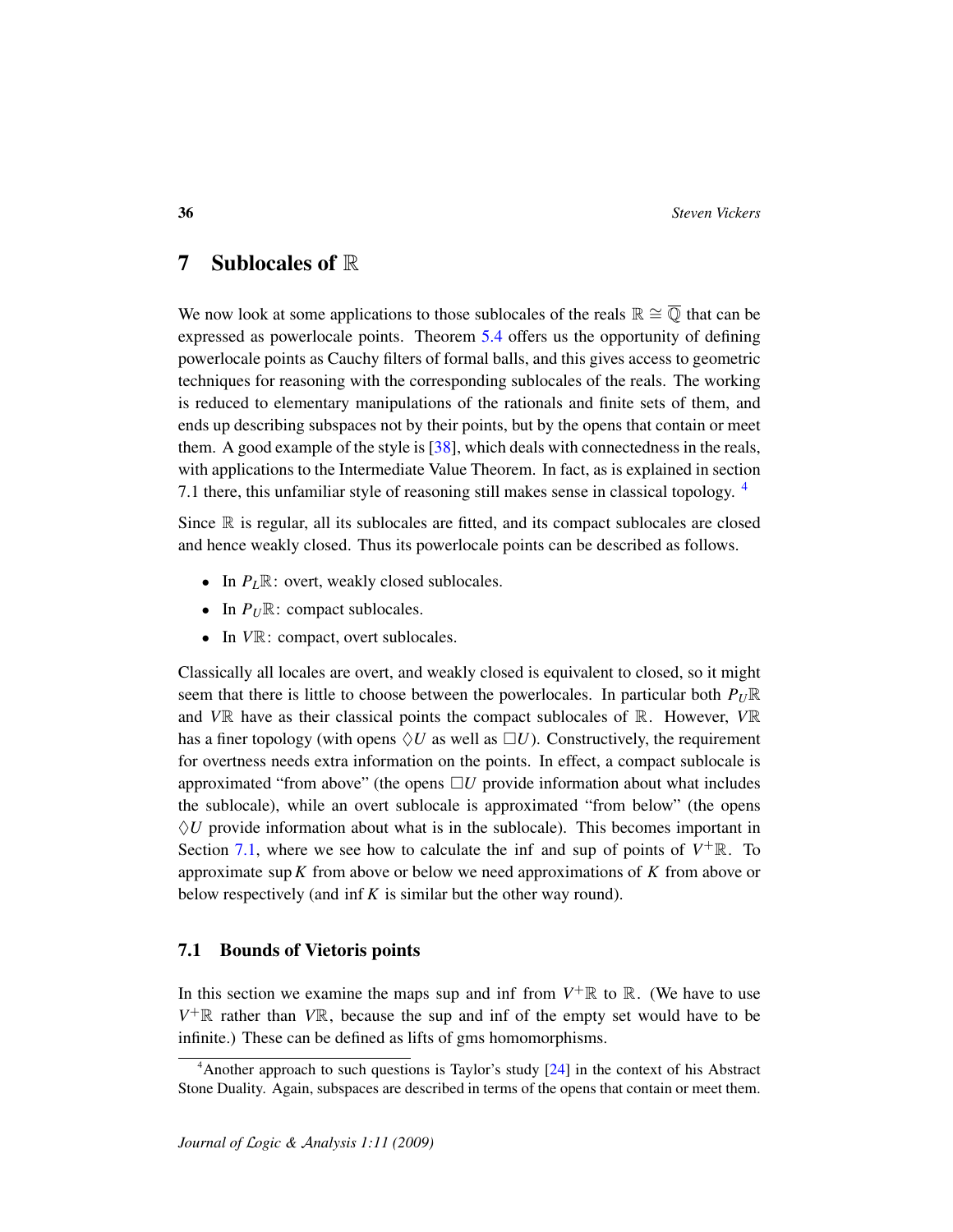## 7 Sublocales of R

We now look at some applications to those sublocales of the reals  $\mathbb{R} \cong \overline{\mathbb{O}}$  that can be expressed as powerlocale points. Theorem [5.4](#page-29-0) offers us the opportunity of defining powerlocale points as Cauchy filters of formal balls, and this gives access to geometric techniques for reasoning with the corresponding sublocales of the reals. The working is reduced to elementary manipulations of the rationals and finite sets of them, and ends up describing subspaces not by their points, but by the opens that contain or meet them. A good example of the style is [\[38\]](#page-47-4), which deals with connectedness in the reals, with applications to the Intermediate Value Theorem. In fact, as is explained in section 7.1 there, this unfamiliar style of reasoning still makes sense in classical topology. [4](#page-35-0)

Since  $\mathbb R$  is regular, all its sublocales are fitted, and its compact sublocales are closed and hence weakly closed. Thus its powerlocale points can be described as follows.

- In  $P_L \mathbb{R}$ : overt, weakly closed sublocales.
- In  $P_U \mathbb{R}$ : compact sublocales.
- In *VR*: compact, overt sublocales.

Classically all locales are overt, and weakly closed is equivalent to closed, so it might seem that there is little to choose between the powerlocales. In particular both  $P_U\mathbb{R}$ and  $V\mathbb{R}$  have as their classical points the compact sublocales of  $\mathbb{R}$ . However,  $V\mathbb{R}$ has a finer topology (with opens  $\Diamond U$  as well as  $\Box U$ ). Constructively, the requirement for overtness needs extra information on the points. In effect, a compact sublocale is approximated "from above" (the opens  $\Box U$  provide information about what includes the sublocale), while an overt sublocale is approximated "from below" (the opens  $\Diamond U$  provide information about what is in the sublocale). This becomes important in Section [7.1,](#page-35-1) where we see how to calculate the inf and sup of points of  $V^+ \mathbb{R}$ . To approximate sup*K* from above or below we need approximations of *K* from above or below respectively (and inf *K* is similar but the other way round).

### <span id="page-35-1"></span>7.1 Bounds of Vietoris points

In this section we examine the maps sup and inf from  $V^+\mathbb{R}$  to  $\mathbb{R}$ . (We have to use  $V^+$ R rather than  $V$ R, because the sup and inf of the empty set would have to be infinite.) These can be defined as lifts of gms homomorphisms.

<span id="page-35-0"></span><sup>4</sup>Another approach to such questions is Taylor's study [\[24\]](#page-46-14) in the context of his Abstract Stone Duality. Again, subspaces are described in terms of the opens that contain or meet them.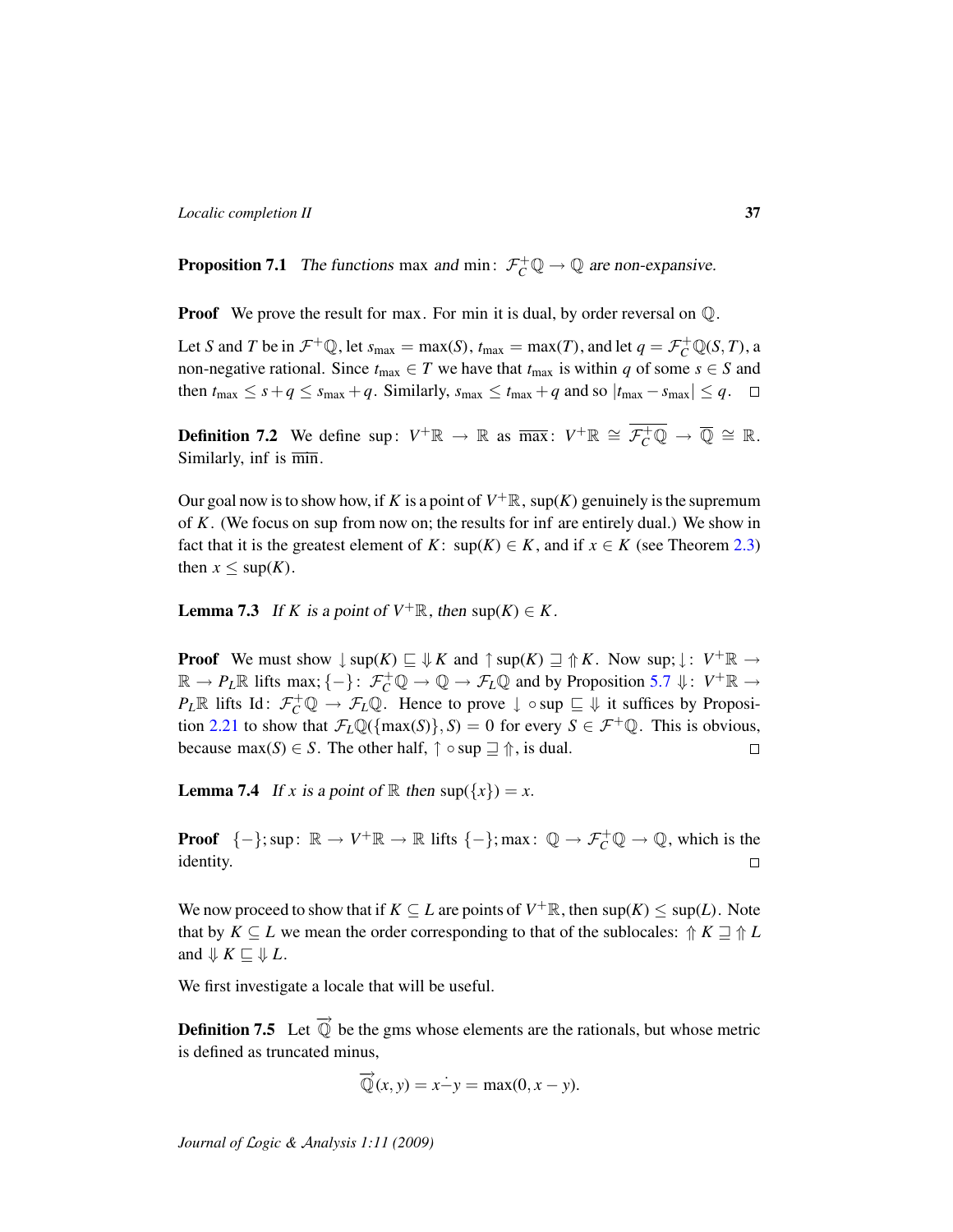**Proposition 7.1** The functions max and min:  $\mathcal{F}_C^+\mathbb{Q} \to \mathbb{Q}$  are non-expansive.

**Proof** We prove the result for max. For min it is dual, by order reversal on  $\mathbb{Q}$ .

Let *S* and *T* be in  $\mathcal{F}^+ \mathbb{Q}$ , let  $s_{\max} = \max(S)$ ,  $t_{\max} = \max(T)$ , and let  $q = \mathcal{F}^+_{C} \mathbb{Q}(S, T)$ , a non-negative rational. Since  $t_{\text{max}} \in T$  we have that  $t_{\text{max}}$  is within *q* of some  $s \in S$  and then  $t_{\text{max}} \leq s + q \leq s_{\text{max}} + q$ . Similarly,  $s_{\text{max}} \leq t_{\text{max}} + q$  and so  $|t_{\text{max}} - s_{\text{max}}| \leq q$ .  $\Box$ 

**Definition 7.2** We define sup:  $V^+ \mathbb{R} \to \mathbb{R}$  as  $\overline{\max}$ :  $V^+ \mathbb{R} \cong \overline{\mathcal{F}_C^+ \mathbb{Q}} \to \overline{\mathbb{Q}} \cong \mathbb{R}$ . Similarly, inf is min.

Our goal now is to show how, if *K* is a point of  $V^+\mathbb{R}$ , sup(*K*) genuinely is the supremum of *K*. (We focus on sup from now on; the results for inf are entirely dual.) We show in fact that it is the greatest element of *K*: sup(*K*)  $\in$  *K*, and if *x*  $\in$  *K* (see Theorem [2.3\)](#page-8-1) then  $x \leq \sup(K)$ .

**Lemma 7.3** If *K* is a point of  $V^+\mathbb{R}$ , then sup(*K*)  $\in$  *K*.

**Proof** We must show  $\downarrow$  sup(*K*)  $\sqsubseteq \Downarrow K$  and  $\uparrow$  sup(*K*)  $\sqsupseteq \Uparrow K$ . Now sup;  $\downarrow : V^+ \mathbb{R} \to$  $\mathbb{R} \to P_L \mathbb{R}$  lifts max;  $\{-\}$ :  $\mathcal{F}_C^+ \mathbb{Q} \to \mathbb{Q} \to \mathcal{F}_L \mathbb{Q}$  and by Proposition [5.7](#page-30-0)  $\Downarrow$ :  $V^+ \mathbb{R} \to$  $P_L \mathbb{R}$  lifts Id:  $\mathcal{F}_C^+ \mathbb{Q} \to \mathcal{F}_L \mathbb{Q}$ . Hence to prove  $\downarrow \circ \text{sup} \sqsubseteq \mathbb{V}$  it suffices by Proposi-tion [2.21](#page-18-2) to show that  $\mathcal{F}_L \mathbb{Q}(\{\max(S)\}, S) = 0$  for every  $S \in \mathcal{F}^+ \mathbb{Q}$ . This is obvious, because max(*S*)  $\in$  *S*. The other half,  $\uparrow$   $\circ$  sup  $\supseteq$   $\uparrow$ , is dual.  $\Box$ 

**Lemma 7.4** If *x* is a point of R then  $\sup(\{x\}) = x$ .

**Proof**  $\{-\}$ ; sup:  $\mathbb{R} \to V^+ \mathbb{R} \to \mathbb{R}$  lifts  $\{-\}$ ; max:  $\mathbb{Q} \to \mathcal{F}_C^+ \mathbb{Q} \to \mathbb{Q}$ , which is the identity.  $\Box$ 

We now proceed to show that if  $K \subseteq L$  are points of  $V^+ \mathbb{R}$ , then  $\sup(K) \leq \sup(L)$ . Note that by  $K \subseteq L$  we mean the order corresponding to that of the sublocales:  $\Uparrow K \rightrightarrows \Uparrow L$ and  $\Downarrow$  *K*  $\sqsubseteq$   $\Downarrow$  *L*.

We first investigate a locale that will be useful.

<span id="page-36-0"></span>**Definition 7.5** Let  $\overrightarrow{Q}$  be the gms whose elements are the rationals, but whose metric is defined as truncated minus,

$$
\overrightarrow{Q}(x, y) = x \dot{-}y = \max(0, x - y).
$$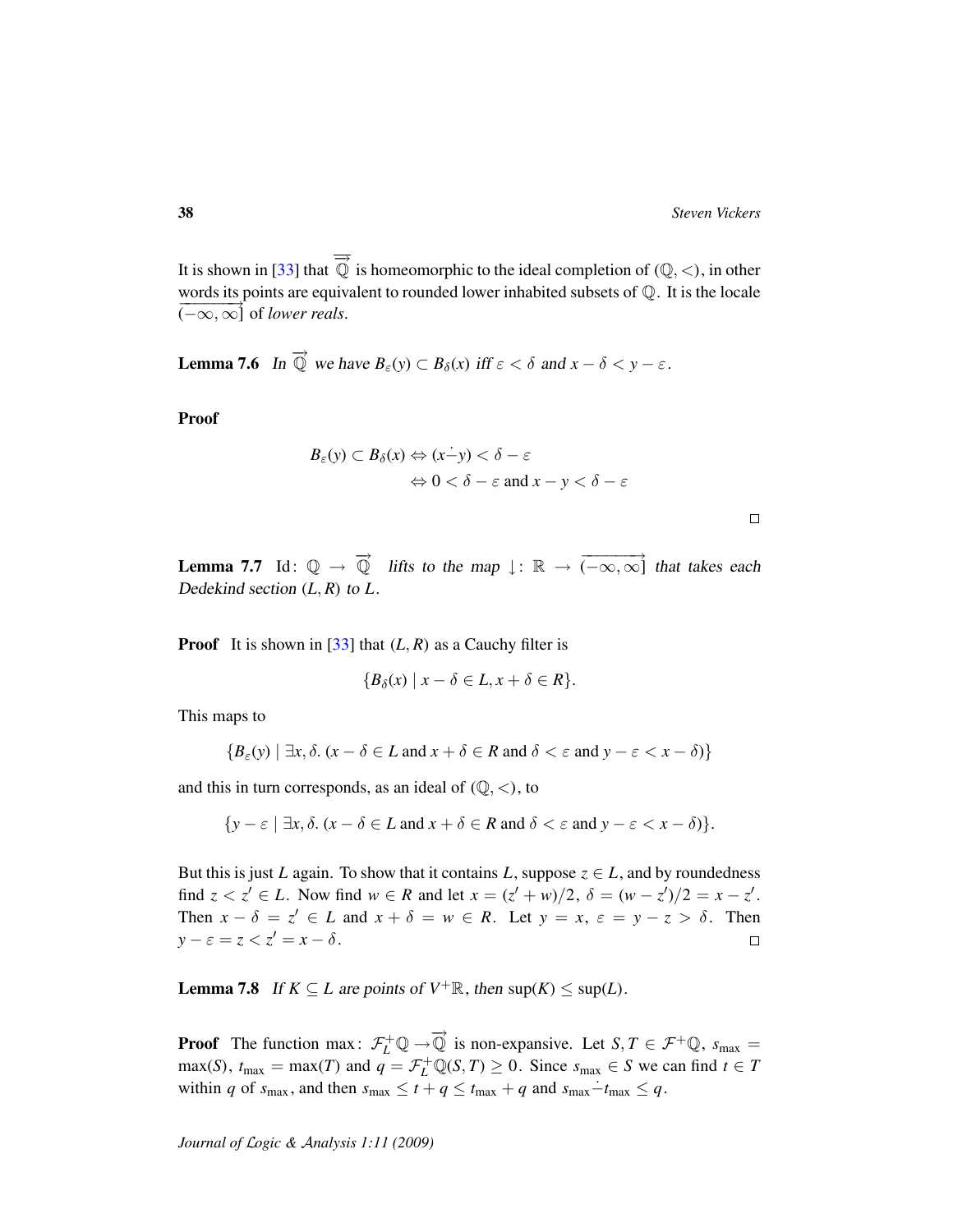It is shown in [\[33\]](#page-47-1) that  $\overline{\overrightarrow{Q}}$  is homeomorphic to the ideal completion of  $(\mathbb{Q}, <)$ , in other words its points are equivalent to rounded lower inhabited subsets of Q. It is the locale  $(-\infty, \infty]$  of *lower reals.* 

**Lemma 7.6** In  $\overrightarrow{Q}$  we have  $B_{\varepsilon}(y) \subset B_{\delta}(x)$  iff  $\varepsilon < \delta$  and  $x - \delta < y - \varepsilon$ .

Proof

$$
B_{\varepsilon}(y) \subset B_{\delta}(x) \Leftrightarrow (x-y) < \delta - \varepsilon
$$
\n
$$
\Leftrightarrow 0 < \delta - \varepsilon \text{ and } x - y < \delta - \varepsilon
$$

| ۰ |  | ٦ |  |
|---|--|---|--|
|   |  |   |  |
|   |  |   |  |
|   |  |   |  |

<span id="page-37-0"></span>**Lemma 7.7** Id:  $\mathbb{Q} \to \overrightarrow{\mathbb{Q}}$  lifts to the map  $\downarrow : \mathbb{R} \to \overrightarrow{(-\infty,\infty)}$  that takes each Dedekind section  $(L, R)$  to  $L$ .

**Proof** It is shown in [\[33\]](#page-47-1) that  $(L, R)$  as a Cauchy filter is

$$
\{B_{\delta}(x) \mid x - \delta \in L, x + \delta \in R\}.
$$

This maps to

$$
\{B_{\varepsilon}(y) \mid \exists x, \delta. \ (x - \delta \in L \text{ and } x + \delta \in R \text{ and } \delta < \varepsilon \text{ and } y - \varepsilon < x - \delta)\}
$$

and this in turn corresponds, as an ideal of  $(Q, <)$ , to

$$
\{y - \varepsilon \mid \exists x, \delta. \ (x - \delta \in L \text{ and } x + \delta \in R \text{ and } \delta < \varepsilon \text{ and } y - \varepsilon < x - \delta) \}.
$$

But this is just *L* again. To show that it contains *L*, suppose  $z \in L$ , and by roundedness find  $z < z' \in L$ . Now find  $w \in R$  and let  $x = (z' + w)/2$ ,  $\delta = (w - z')/2 = x - z'$ . Then  $x - \delta = z' \in L$  and  $x + \delta = w \in R$ . Let  $y = x, \varepsilon = y - z > \delta$ . Then  $y - \varepsilon = z < z' = x - \delta$ .  $\Box$ 

**Lemma 7.8** If  $K \subseteq L$  are points of  $V^+ \mathbb{R}$ , then  $\sup(K) \leq \sup(L)$ .

**Proof** The function max:  $\mathcal{F}_L^+ \mathbb{Q} \to \overline{\mathbb{Q}}$  is non-expansive. Let  $S, T \in \mathcal{F}^+ \mathbb{Q}$ ,  $s_{\text{max}} =$  $max(S)$ ,  $t_{\text{max}} = max(T)$  and  $q = \mathcal{F}_L^+ \mathbb{Q}(S, T) \ge 0$ . Since  $s_{\text{max}} \in S$  we can find  $t \in T$ within *q* of  $s_{\text{max}}$ , and then  $s_{\text{max}} \le t + q \le t_{\text{max}} + q$  and  $s_{\text{max}} - t_{\text{max}} \le q$ .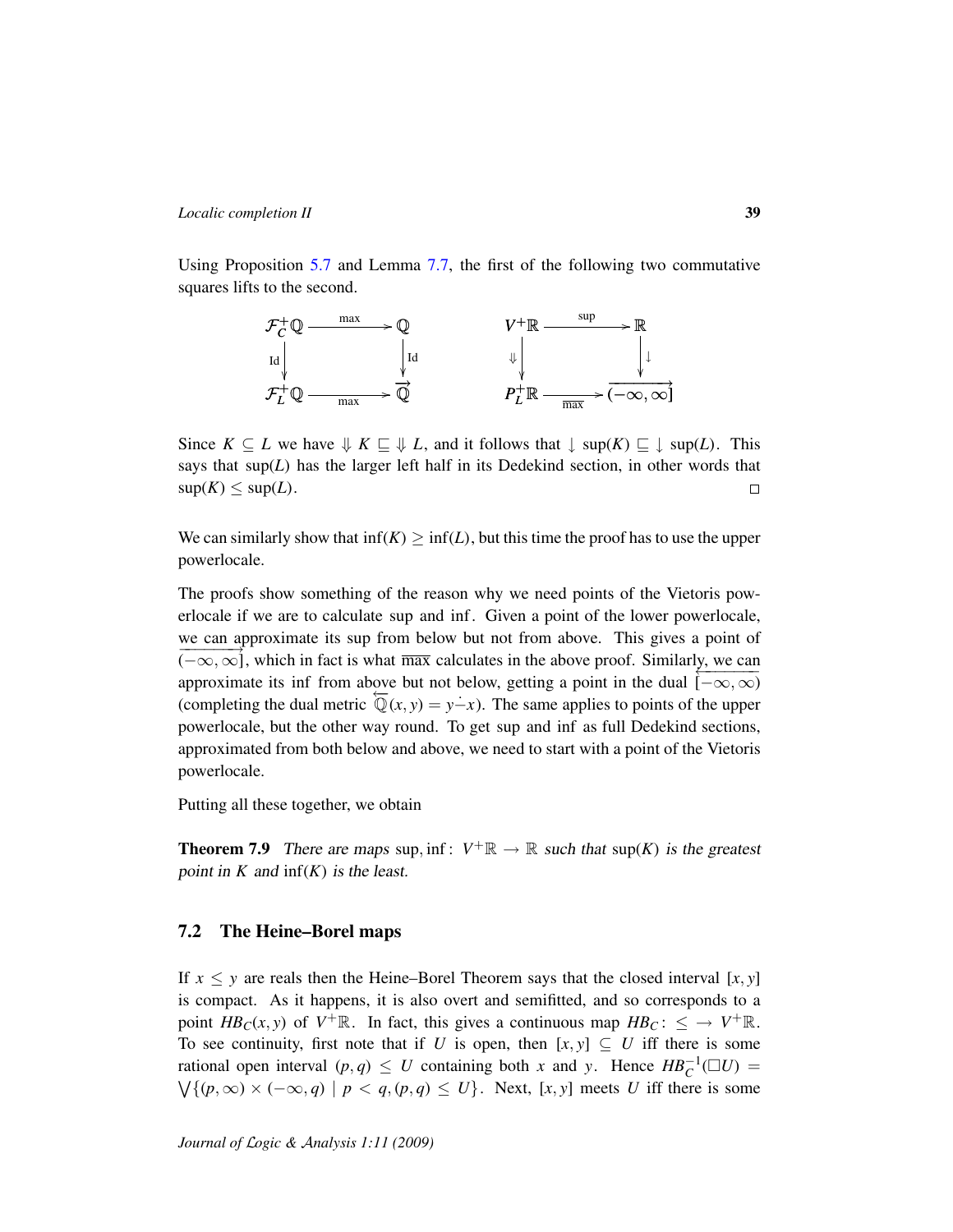Using Proposition [5.7](#page-30-0) and Lemma [7.7,](#page-37-0) the first of the following two commutative squares lifts to the second.



Since  $K \subseteq L$  we have  $\Downarrow K \subseteq \Downarrow L$ , and it follows that  $\downarrow \sup(K) \subseteq \downarrow \sup(L)$ . This says that  $\sup(L)$  has the larger left half in its Dedekind section, in other words that  $\sup(K) \leq \sup(L)$ .  $\Box$ 

We can similarly show that  $\text{inf}(K) \geq \text{inf}(L)$ , but this time the proof has to use the upper powerlocale.

The proofs show something of the reason why we need points of the Vietoris powerlocale if we are to calculate sup and inf. Given a point of the lower powerlocale, we can approximate its sup from below but not from above. This gives a point of  $(-\infty, \infty)$ , which in fact is what  $\overline{max}$  calculates in the above proof. Similarly, we can  $\infty, \infty$ , which in fact is what has calculated in the doove proof. Shimality, we can<br>approximate its inf from above but not below, getting a point in the dual  $[-\infty, \infty)$ (completing the dual metric  $\overline{Q}(x, y) = y - x$ ). The same applies to points of the upper powerlocale, but the other way round. To get sup and inf as full Dedekind sections, approximated from both below and above, we need to start with a point of the Vietoris powerlocale.

Putting all these together, we obtain

**Theorem 7.9** There are maps sup, inf:  $V^+ \mathbb{R} \to \mathbb{R}$  such that sup(*K*) is the greatest point in  $K$  and  $\inf(K)$  is the least.

### 7.2 The Heine–Borel maps

If  $x \leq y$  are reals then the Heine–Borel Theorem says that the closed interval [*x*, *y*] is compact. As it happens, it is also overt and semifitted, and so corresponds to a point  $HB_C(x, y)$  of  $V^+\mathbb{R}$ . In fact, this gives a continuous map  $HB_C: \leq \rightarrow V^+\mathbb{R}$ . To see continuity, first note that if *U* is open, then  $[x, y] \subseteq U$  iff there is some rational open interval  $(p, q) \leq U$  containing both *x* and *y*. Hence  $HB_C^{-1}(\Box U)$  =  $\bigvee \{ (p, \infty) \times (-\infty, q) \mid p < q, (p, q) \leq U \}.$  Next, [x, y] meets *U* iff there is some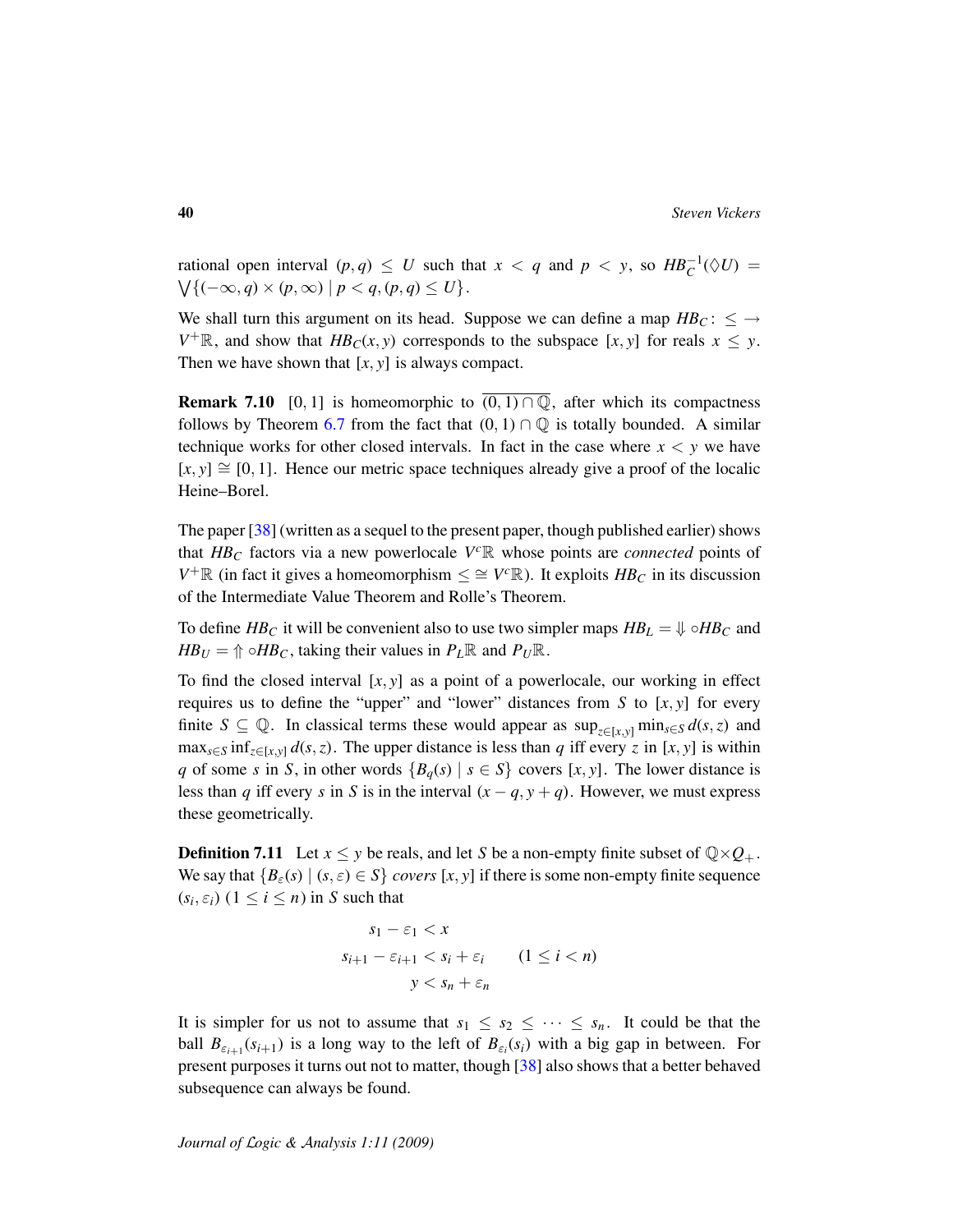rational open interval  $(p,q) \leq U$  such that  $x < q$  and  $p < y$ , so  $HB_C^{-1}(\Diamond U) =$  $\bigvee \{(-\infty, q) \times (p, \infty) \mid p < q, (p, q) \leq U\}.$ 

We shall turn this argument on its head. Suppose we can define a map  $HB_C$ :  $\leq \rightarrow$  $V^+$ **R**, and show that  $HB_C(x, y)$  corresponds to the subspace [*x*, *y*] for reals  $x \leq y$ . Then we have shown that  $[x, y]$  is always compact.

**Remark 7.10** [0, 1] is homeomorphic to  $\overline{(0, 1) \cap \mathbb{Q}}$ , after which its compactness follows by Theorem [6.7](#page-34-2) from the fact that  $(0, 1) \cap \mathbb{Q}$  is totally bounded. A similar technique works for other closed intervals. In fact in the case where  $x < y$  we have  $[x, y] \cong [0, 1]$ . Hence our metric space techniques already give a proof of the localic Heine–Borel.

The paper [\[38\]](#page-47-4) (written as a sequel to the present paper, though published earlier) shows that  $HB_C$  factors via a new powerlocale  $V^c\mathbb{R}$  whose points are *connected* points of *V*<sup>+</sup>ℝ (in fact it gives a homeomorphism  $\leq \cong V^c\mathbb{R}$ ). It exploits *HB<sub>C</sub>* in its discussion of the Intermediate Value Theorem and Rolle's Theorem.

To define *HB*<sub>*C*</sub> it will be convenient also to use two simpler maps  $HB_L = \sqrt{} \circ HB_C$  and  $HB_U = \text{inf } B_C$ , taking their values in  $P_L \mathbb{R}$  and  $P_U \mathbb{R}$ .

To find the closed interval  $[x, y]$  as a point of a powerlocale, our working in effect requires us to define the "upper" and "lower" distances from  $S$  to  $[x, y]$  for every finite  $S \subseteq \mathbb{Q}$ . In classical terms these would appear as  $\sup_{z \in [x,y]} \min_{s \in S} d(s,z)$  and  $\max_{s \in S} \inf_{z \in [x,y]} d(s,z)$ . The upper distance is less than *q* iff every *z* in [*x*, *y*] is within *q* of some *s* in *S*, in other words  ${B_q(s) | s \in S}$  covers [*x*, *y*]. The lower distance is less than *q* iff every *s* in *S* is in the interval  $(x - q, y + q)$ . However, we must express these geometrically.

**Definition 7.11** Let  $x \leq y$  be reals, and let *S* be a non-empty finite subset of  $\mathbb{Q} \times \mathbb{Q}_+$ . We say that  ${B_{\varepsilon}(s) | (s, \varepsilon) \in S}$  *covers* [x, y] if there is some non-empty finite sequence  $(s_i, \varepsilon_i)$   $(1 \leq i \leq n)$  in *S* such that

$$
s_1 - \varepsilon_1 < x
$$
\n
$$
s_{i+1} - \varepsilon_{i+1} < s_i + \varepsilon_i \qquad (1 \le i < n)
$$
\n
$$
y < s_n + \varepsilon_n
$$

It is simpler for us not to assume that  $s_1 \leq s_2 \leq \cdots \leq s_n$ . It could be that the ball  $B_{\varepsilon_{i+1}}(s_{i+1})$  is a long way to the left of  $B_{\varepsilon_i}(s_i)$  with a big gap in between. For present purposes it turns out not to matter, though [\[38\]](#page-47-4) also shows that a better behaved subsequence can always be found.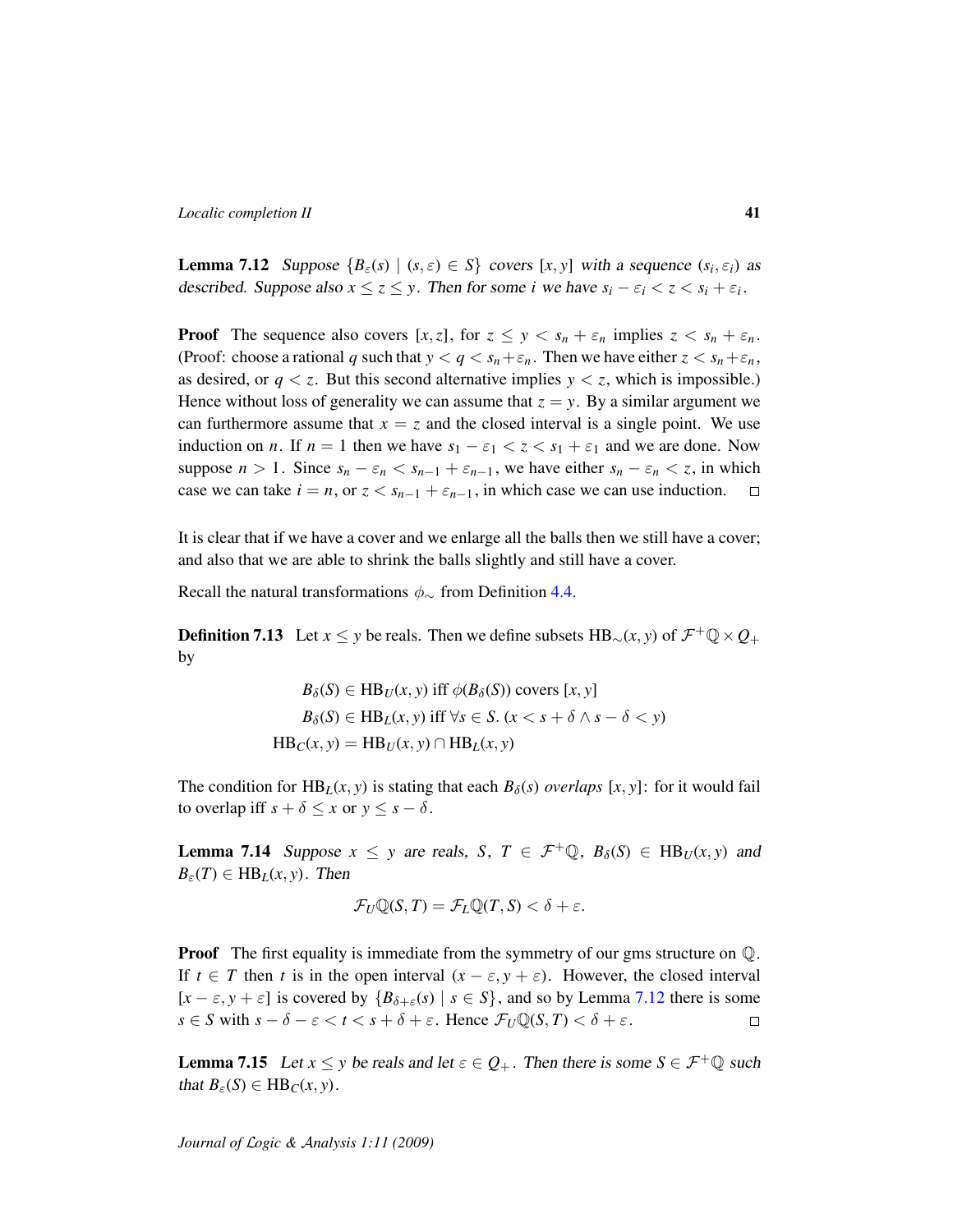<span id="page-40-0"></span>**Lemma 7.12** Suppose  ${B_{\varepsilon}(s) | (s, \varepsilon) \in S}$  covers  $[x, y]$  with a sequence  $(s_i, \varepsilon_i)$  as described. Suppose also  $x \le z \le y$ . Then for some *i* we have  $s_i - \varepsilon_i < z < s_i + \varepsilon_i$ .

**Proof** The sequence also covers  $[x, z]$ , for  $z \leq y \leq s_n + \varepsilon_n$  implies  $z \leq s_n + \varepsilon_n$ . (Proof: choose a rational *q* such that  $y < q < s_n + \varepsilon_n$ . Then we have either  $z < s_n + \varepsilon_n$ , as desired, or  $q < z$ . But this second alternative implies  $y < z$ , which is impossible.) Hence without loss of generality we can assume that  $z = y$ . By a similar argument we can furthermore assume that  $x = z$  and the closed interval is a single point. We use induction on *n*. If  $n = 1$  then we have  $s_1 - \varepsilon_1 < z < s_1 + \varepsilon_1$  and we are done. Now suppose  $n > 1$ . Since  $s_n - \varepsilon_n < s_{n-1} + \varepsilon_{n-1}$ , we have either  $s_n - \varepsilon_n < z$ , in which case we can take  $i = n$ , or  $z < s_{n-1} + \varepsilon_{n-1}$ , in which case we can use induction.  $\Box$ 

It is clear that if we have a cover and we enlarge all the balls then we still have a cover; and also that we are able to shrink the balls slightly and still have a cover.

Recall the natural transformations  $\phi_{\sim}$  from Definition [4.4.](#page-21-0)

**Definition 7.13** Let *x*  $\leq$  *y* be reals. Then we define subsets HB<sub>∼</sub>(*x*, *y*) of  $\mathcal{F}^+$ Q  $\times$  Q<sub>+</sub> by

$$
B_{\delta}(S) \in HB_U(x, y) \text{ iff } \phi(B_{\delta}(S)) \text{ covers } [x, y]
$$
  

$$
B_{\delta}(S) \in HB_L(x, y) \text{ iff } \forall s \in S. \ (x < s + \delta \land s - \delta < y)
$$
  

$$
HB_C(x, y) = HB_U(x, y) \cap HB_L(x, y)
$$

The condition for  $HB_L(x, y)$  is stating that each  $B_\delta(s)$  *overlaps* [x, y]: for it would fail to overlap iff  $s + \delta \leq x$  or  $y \leq s - \delta$ .

<span id="page-40-2"></span>**Lemma 7.14** Suppose  $x \leq y$  are reals, *S*,  $T \in \mathcal{F}^+ \mathbb{Q}$ ,  $B_\delta(S) \in HB_U(x, y)$  and  $B_{\varepsilon}(T) \in HB_L(x, y)$ . Then

$$
\mathcal{F}_U \mathbb{Q}(S,T) = \mathcal{F}_L \mathbb{Q}(T,S) < \delta + \varepsilon.
$$

**Proof** The first equality is immediate from the symmetry of our gms structure on  $\mathbb{Q}$ . If  $t \in T$  then *t* is in the open interval  $(x - \varepsilon, y + \varepsilon)$ . However, the closed interval  $[x - \varepsilon, y + \varepsilon]$  is covered by  $\{B_{\delta + \varepsilon}(s) \mid s \in S\}$ , and so by Lemma [7.12](#page-40-0) there is some  $s \in S$  with  $s - \delta - \varepsilon < t < s + \delta + \varepsilon$ . Hence  $\mathcal{F}_U \mathbb{Q}(S, T) < \delta + \varepsilon$ .  $\Box$ 

<span id="page-40-1"></span>**Lemma 7.15** Let  $x \leq y$  be reals and let  $\varepsilon \in Q_+$ . Then there is some  $S \in \mathcal{F}^+ \mathbb{Q}$  such that  $B_{\varepsilon}(S) \in HB_C(x, y)$ .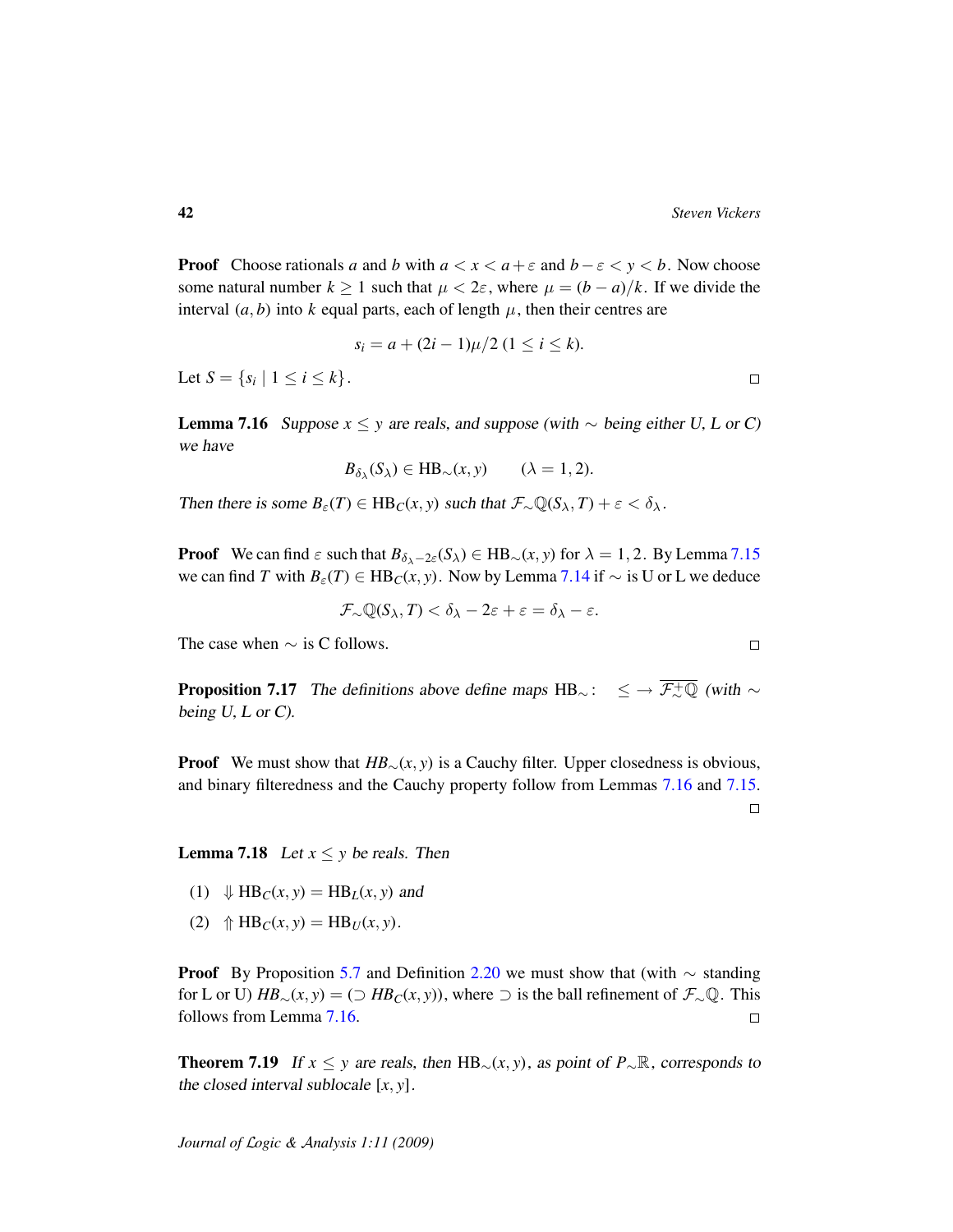**Proof** Choose rationals *a* and *b* with  $a < x < a + \varepsilon$  and  $b - \varepsilon < y < b$ . Now choose some natural number  $k \ge 1$  such that  $\mu < 2\varepsilon$ , where  $\mu = (b - a)/k$ . If we divide the interval  $(a, b)$  into  $k$  equal parts, each of length  $\mu$ , then their centres are

$$
s_i = a + (2i - 1)\mu/2 \ (1 \leq i \leq k).
$$

Let  $S = \{ s_i \mid 1 \le i \le k \}.$ 

<span id="page-41-0"></span>**Lemma 7.16** Suppose  $x \leq y$  are reals, and suppose (with  $\sim$  being either U, L or C) we have

$$
B_{\delta_{\lambda}}(S_{\lambda}) \in HB_{\sim}(x, y)
$$
  $(\lambda = 1, 2).$ 

Then there is some  $B_{\varepsilon}(T) \in HB_C(x, y)$  such that  $\mathcal{F}_{\sim} \mathbb{Q}(S_{\lambda}, T) + \varepsilon < \delta_{\lambda}$ .

**Proof** We can find  $\varepsilon$  such that  $B_{\delta_{\lambda}-2\varepsilon}(S_{\lambda}) \in HB_{\sim}(x, y)$  for  $\lambda = 1, 2$ . By Lemma [7.15](#page-40-1) we can find *T* with  $B_\varepsilon(T)$  ∈ HB<sub>*C*</sub>(*x*, *y*). Now by Lemma [7.14](#page-40-2) if  $\sim$  is U or L we deduce

$$
\mathcal{F}_{\sim}\mathbb{Q}(S_{\lambda},T)<\delta_{\lambda}-2\varepsilon+\varepsilon=\delta_{\lambda}-\varepsilon.
$$

The case when  $\sim$  is C follows.

<span id="page-41-3"></span>**Proposition 7.17** The definitions above define maps HB $\sim$ :  $\leq \rightarrow \overline{\mathcal{F}_{\sim}^{+}\mathbb{Q}}$  (with  $\sim$ being  $U, L$  or  $C$ ).

**Proof** We must show that  $HB_\sim(x, y)$  is a Cauchy filter. Upper closedness is obvious, and binary filteredness and the Cauchy property follow from Lemmas [7.16](#page-41-0) and [7.15.](#page-40-1)

<span id="page-41-1"></span>**Lemma 7.18** Let  $x \leq y$  be reals. Then

- (1)  $\downarrow \text{HB}_C(x, y) = \text{HB}_L(x, y)$  and
- (2)  $\Uparrow$  HB<sub>*C*</sub>(*x*, *y*) = HB<sub>*U*</sub>(*x*, *y*).

**Proof** By Proposition [5.7](#page-30-0) and Definition [2.20](#page-18-3) we must show that (with  $\sim$  standing for L or U)  $HB_{\sim}(x, y) = (\supset HB_C(x, y))$ , where  $\supset$  is the ball refinement of  $\mathcal{F}_{\sim}(\mathbb{Q})$ . This follows from Lemma [7.16.](#page-41-0)  $\Box$ 

<span id="page-41-2"></span>**Theorem 7.19** If  $x \leq y$  are reals, then HB<sub>∼</sub>(*x*, *y*), as point of  $P_{\sim}$ R, corresponds to the closed interval sublocale [*x*, *y*].

 $\Box$ 

 $\Box$ 

 $\Box$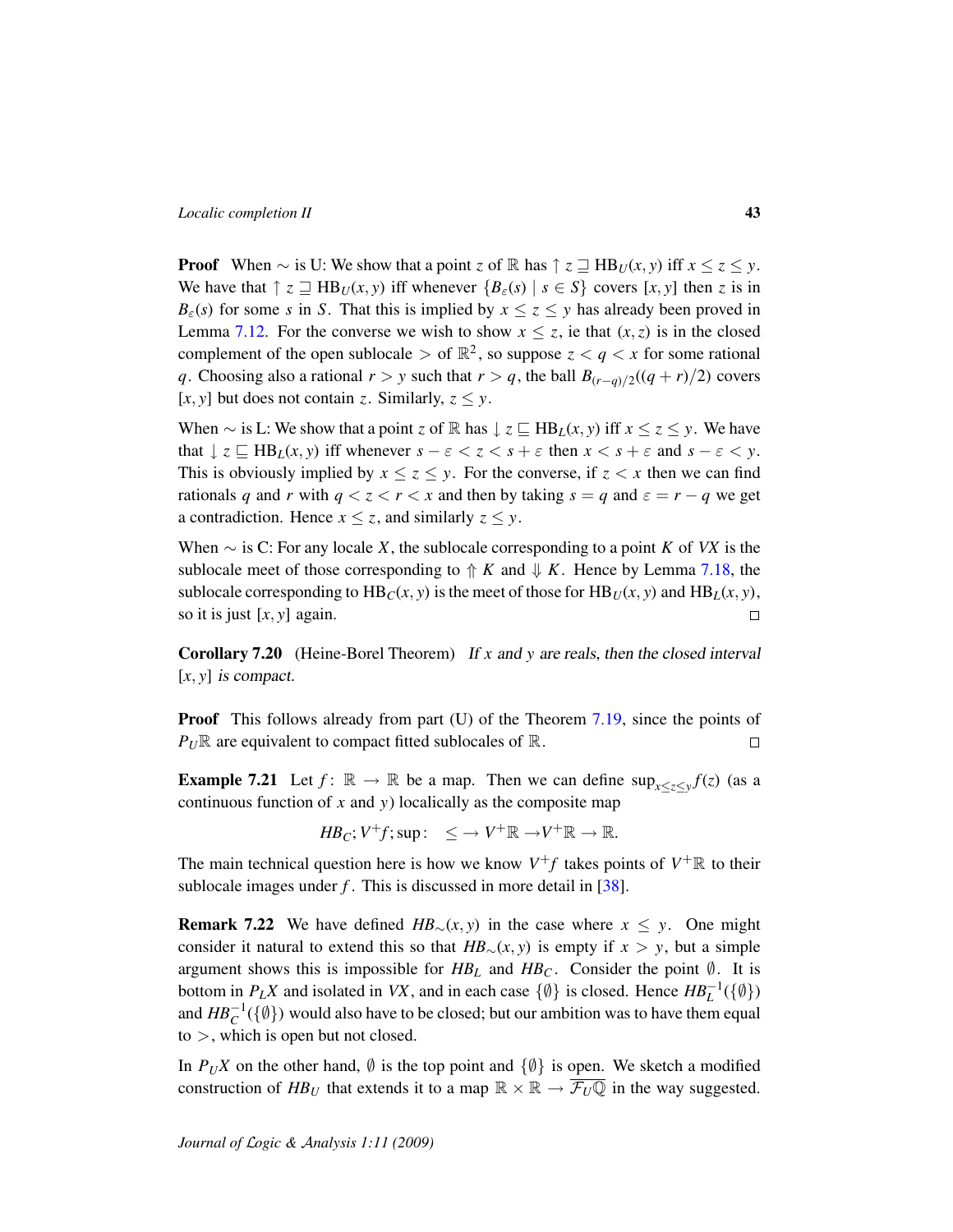**Proof** When  $\sim$  is U: We show that a point *z* of R has  $\uparrow$  *z*  $\sqsupseteq$  HB*U*(*x*, *y*) iff  $x \le z \le y$ . We have that  $\uparrow$  *z*  $\sqsupseteq$  HB<sub>*U*</sub>(*x*, *y*) iff whenever  $\{B_{\varepsilon}(s) \mid s \in S\}$  covers [*x*, *y*] then *z* is in  $B_{\varepsilon}(s)$  for some *s* in *S*. That this is implied by  $x \le z \le y$  has already been proved in Lemma [7.12.](#page-40-0) For the converse we wish to show  $x \le z$ , ie that  $(x, z)$  is in the closed complement of the open sublocale  $>$  of  $\mathbb{R}^2$ , so suppose  $z < q < x$  for some rational *q*. Choosing also a rational *r* > *y* such that *r* > *q*, the ball  $B_{(r-q)/2}((q+r)/2)$  covers [ $(x, y$ ] but does not contain *z*. Similarly,  $z \leq y$ .

When  $\sim$  is L: We show that a point *z* of R has  $\downarrow$  *z*  $\subseteq$  HB*L*(*x*, *y*) iff *x*  $\le$  *z*  $\le$  *y*. We have that  $\downarrow$  *z*  $\subseteq$  HB<sub>L</sub>(*x*, *y*) iff whenever  $s - \varepsilon < z < s + \varepsilon$  then  $x < s + \varepsilon$  and  $s - \varepsilon < y$ . This is obviously implied by  $x \le z \le y$ . For the converse, if  $z \le x$  then we can find rationals *q* and *r* with  $q < z < r < x$  and then by taking  $s = q$  and  $\varepsilon = r - q$  we get a contradiction. Hence  $x \le z$ , and similarly  $z \le y$ .

When ∼ is C: For any locale *X*, the sublocale corresponding to a point *K* of *VX* is the sublocale meet of those corresponding to  $\Uparrow K$  and  $\Downarrow K$ . Hence by Lemma [7.18,](#page-41-1) the sublocale corresponding to  $\text{HB}_C(x, y)$  is the meet of those for  $\text{HB}_U(x, y)$  and  $\text{HB}_L(x, y)$ , so it is just [*x*, *y*] again.  $\Box$ 

Corollary 7.20 (Heine-Borel Theorem) If *x* and *y* are reals, then the closed interval  $[x, y]$  is compact.

**Proof** This follows already from part (U) of the Theorem [7.19,](#page-41-2) since the points of  $P_U$ **R** are equivalent to compact fitted sublocales of **R**.  $\Box$ 

**Example 7.21** Let  $f: \mathbb{R} \to \mathbb{R}$  be a map. Then we can define  $\sup_{x \le z \le y} f(z)$  (as a continuous function of *x* and *y*) localically as the composite map

$$
H\!B_C; V^+f; sup: \quad \leq \longrightarrow V^+\mathbb{R} \longrightarrow V^+\mathbb{R} \longrightarrow \mathbb{R}.
$$

The main technical question here is how we know  $V^{\dagger}f$  takes points of  $V^{\dagger}$  R to their sublocale images under  $f$ . This is discussed in more detail in  $[38]$ .

**Remark 7.22** We have defined  $HB_\sim(x, y)$  in the case where  $x \leq y$ . One might consider it natural to extend this so that  $HB_\sim(x, y)$  is empty if  $x > y$ , but a simple argument shows this is impossible for  $HB<sub>L</sub>$  and  $HB<sub>C</sub>$ . Consider the point  $\emptyset$ . It is bottom in  $P_L X$  and isolated in *VX*, and in each case  $\{\emptyset\}$  is closed. Hence  $H B_L^{-1}(\{\emptyset\})$ and  $\mathit{HB}^{-1}_C(\{\emptyset\})$  would also have to be closed; but our ambition was to have them equal  $to$ , which is open but not closed.

In  $P_U X$  on the other hand,  $\emptyset$  is the top point and  $\{\emptyset\}$  is open. We sketch a modified construction of  $HB_U$  that extends it to a map  $\mathbb{R} \times \mathbb{R} \to \overline{\mathcal{F}_U \mathbb{Q}}$  in the way suggested.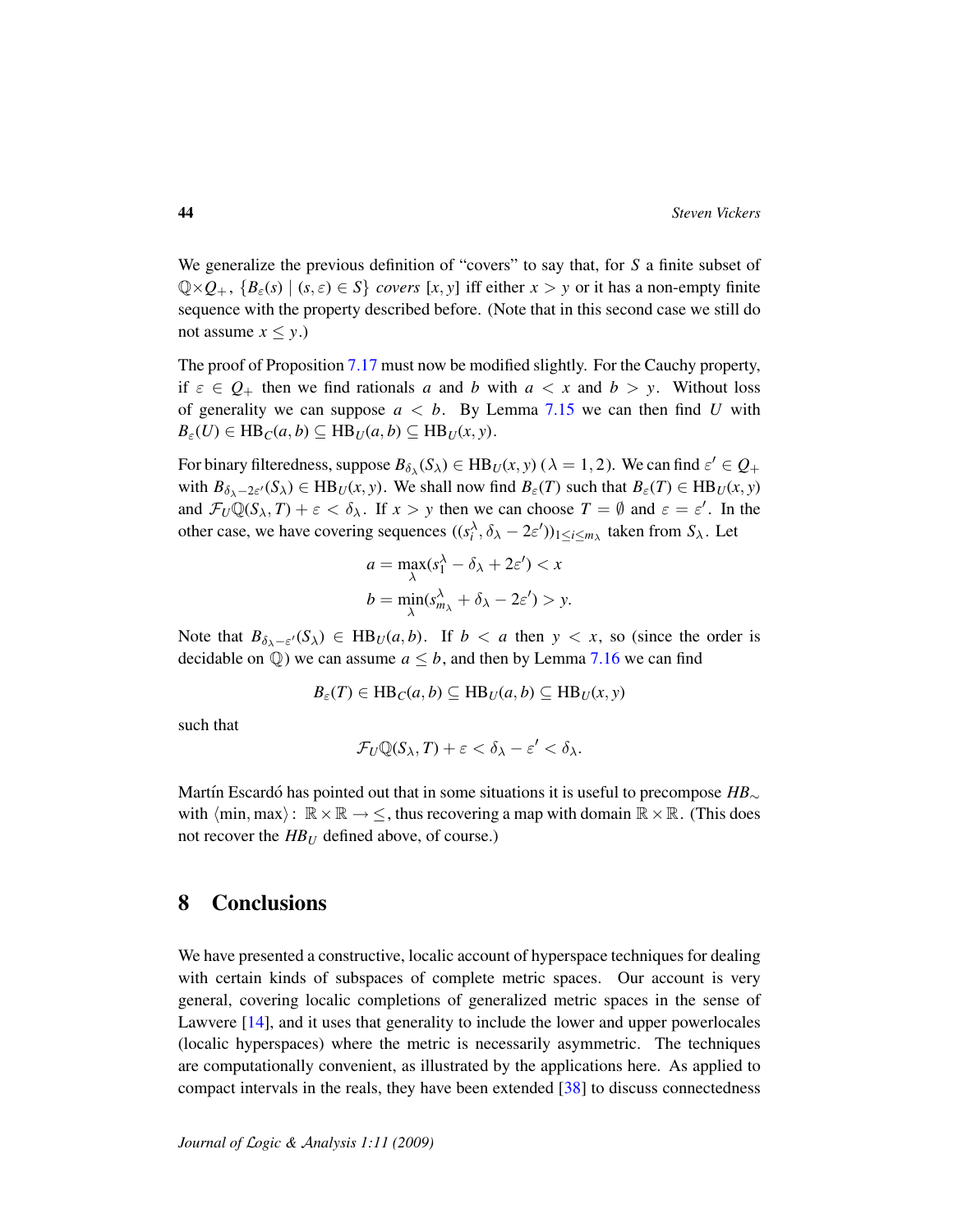We generalize the previous definition of "covers" to say that, for *S* a finite subset of  $\mathbb{Q}\times\mathcal{Q}_+$ ,  $\{B_\varepsilon(s) \mid (s,\varepsilon) \in S\}$  *covers* [*x*, *y*] iff either  $x > y$  or it has a non-empty finite sequence with the property described before. (Note that in this second case we still do not assume  $x \leq y$ .)

The proof of Proposition [7.17](#page-41-3) must now be modified slightly. For the Cauchy property, if  $\varepsilon \in Q_+$  then we find rationals *a* and *b* with  $a < x$  and  $b > y$ . Without loss of generality we can suppose  $a < b$ . By Lemma [7.15](#page-40-1) we can then find *U* with  $B_{\varepsilon}(U) \in \text{HB}_C(a, b) \subseteq \text{HB}_U(a, b) \subseteq \text{HB}_U(x, y).$ 

For binary filteredness, suppose  $B_{\delta_{\lambda}}(S_{\lambda}) \in HB_U(x, y)$  ( $\lambda = 1, 2$ ). We can find  $\varepsilon' \in Q_+$ with  $B_{\delta_{\lambda}-2\varepsilon'}(S_{\lambda}) \in HB_U(x, y)$ . We shall now find  $B_{\varepsilon}(T)$  such that  $B_{\varepsilon}(T) \in HB_U(x, y)$ and  $\mathcal{F}_U \mathbb{Q}(S_\lambda, T) + \varepsilon < \delta_\lambda$ . If  $x > y$  then we can choose  $T = \emptyset$  and  $\varepsilon = \varepsilon'$ . In the other case, we have covering sequences  $((s_i^{\lambda}, \delta_{\lambda} - 2\varepsilon'))_{1 \le i \le m_{\lambda}}$  taken from  $S_{\lambda}$ . Let

$$
a = \max_{\lambda} (s_1^{\lambda} - \delta_{\lambda} + 2\varepsilon') < x
$$
\n
$$
b = \min_{\lambda} (s_{m_{\lambda}}^{\lambda} + \delta_{\lambda} - 2\varepsilon') > y.
$$

Note that  $B_{\delta_{\lambda}-\varepsilon}(S_{\lambda}) \in HB_U(a,b)$ . If  $b < a$  then  $y < x$ , so (since the order is decidable on  $\mathbb{Q}$ ) we can assume  $a \leq b$ , and then by Lemma [7.16](#page-41-0) we can find

$$
B_{\varepsilon}(T) \in \mathrm{HB}_C(a,b) \subseteq \mathrm{HB}_U(a,b) \subseteq \mathrm{HB}_U(x,y)
$$

such that

$$
\mathcal{F}_U \mathbb{Q}(\mathcal{S}_\lambda, T) + \varepsilon < \delta_\lambda - \varepsilon' < \delta_\lambda.
$$

Martín Escardó has pointed out that in some situations it is useful to precompose  $HB_{\sim}$ with  $\langle \min, \max \rangle : \mathbb{R} \times \mathbb{R} \to \leq$ , thus recovering a map with domain  $\mathbb{R} \times \mathbb{R}$ . (This does not recover the *HB<sup>U</sup>* defined above, of course.)

### 8 Conclusions

We have presented a constructive, localic account of hyperspace techniques for dealing with certain kinds of subspaces of complete metric spaces. Our account is very general, covering localic completions of generalized metric spaces in the sense of Lawvere [\[14\]](#page-46-0), and it uses that generality to include the lower and upper powerlocales (localic hyperspaces) where the metric is necessarily asymmetric. The techniques are computationally convenient, as illustrated by the applications here. As applied to compact intervals in the reals, they have been extended [\[38\]](#page-47-4) to discuss connectedness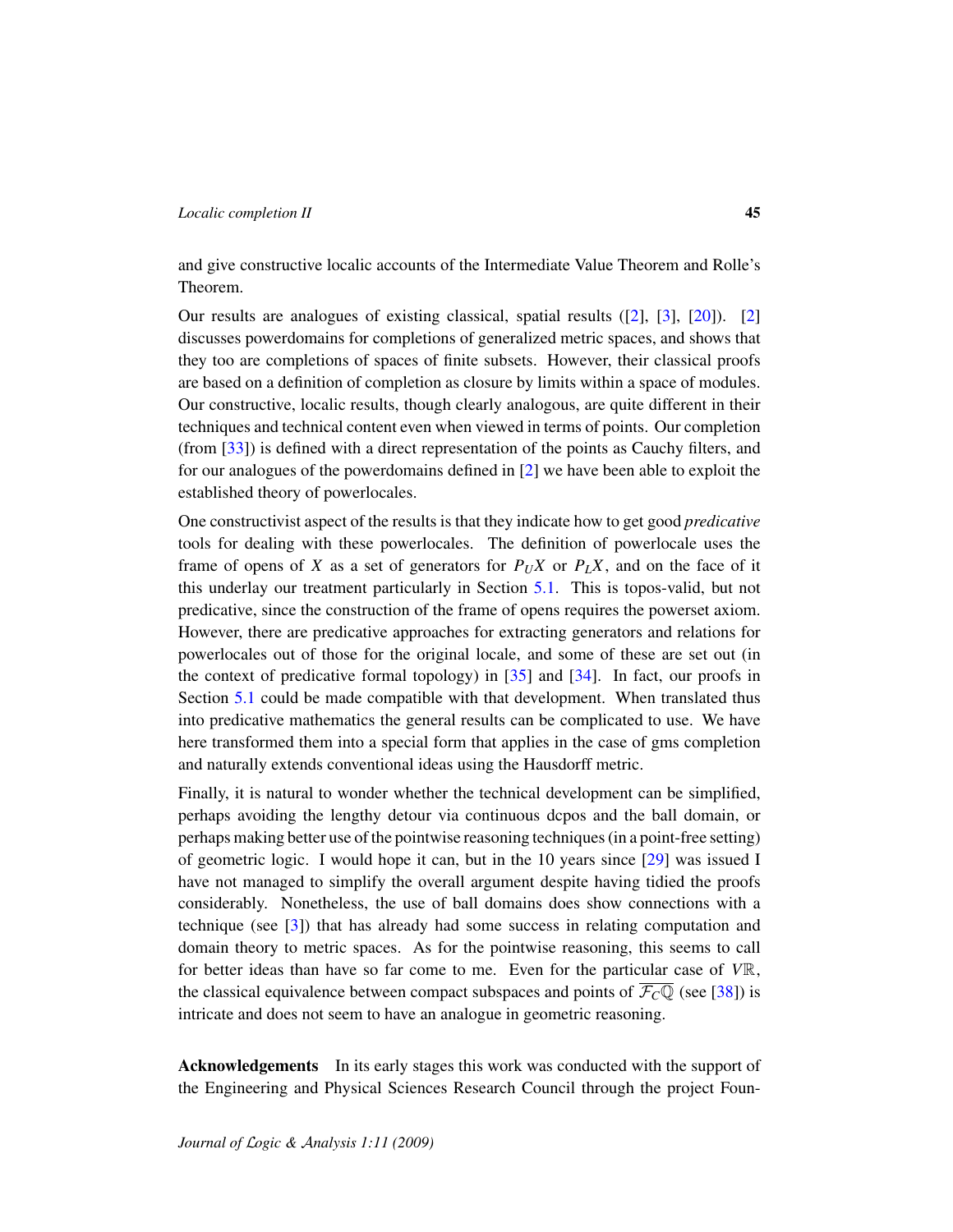and give constructive localic accounts of the Intermediate Value Theorem and Rolle's Theorem.

Our results are analogues of existing classical, spatial results ([\[2\]](#page-45-2), [\[3\]](#page-45-3), [\[20\]](#page-46-1)). [\[2\]](#page-45-2) discusses powerdomains for completions of generalized metric spaces, and shows that they too are completions of spaces of finite subsets. However, their classical proofs are based on a definition of completion as closure by limits within a space of modules. Our constructive, localic results, though clearly analogous, are quite different in their techniques and technical content even when viewed in terms of points. Our completion (from [\[33\]](#page-47-1)) is defined with a direct representation of the points as Cauchy filters, and for our analogues of the powerdomains defined in [\[2\]](#page-45-2) we have been able to exploit the established theory of powerlocales.

One constructivist aspect of the results is that they indicate how to get good *predicative* tools for dealing with these powerlocales. The definition of powerlocale uses the frame of opens of *X* as a set of generators for  $P_U X$  or  $P_L X$ , and on the face of it this underlay our treatment particularly in Section [5.1.](#page-24-0) This is topos-valid, but not predicative, since the construction of the frame of opens requires the powerset axiom. However, there are predicative approaches for extracting generators and relations for powerlocales out of those for the original locale, and some of these are set out (in the context of predicative formal topology) in [\[35\]](#page-47-11) and [\[34\]](#page-47-12). In fact, our proofs in Section [5.1](#page-24-0) could be made compatible with that development. When translated thus into predicative mathematics the general results can be complicated to use. We have here transformed them into a special form that applies in the case of gms completion and naturally extends conventional ideas using the Hausdorff metric.

Finally, it is natural to wonder whether the technical development can be simplified, perhaps avoiding the lengthy detour via continuous dcpos and the ball domain, or perhaps making better use of the pointwise reasoning techniques (in a point-free setting) of geometric logic. I would hope it can, but in the 10 years since [\[29\]](#page-47-2) was issued I have not managed to simplify the overall argument despite having tidied the proofs considerably. Nonetheless, the use of ball domains does show connections with a technique (see [\[3\]](#page-45-3)) that has already had some success in relating computation and domain theory to metric spaces. As for the pointwise reasoning, this seems to call for better ideas than have so far come to me. Even for the particular case of *V*R, the classical equivalence between compact subspaces and points of  $\overline{\mathcal{F}_CQ}$  (see [\[38\]](#page-47-4)) is intricate and does not seem to have an analogue in geometric reasoning.

Acknowledgements In its early stages this work was conducted with the support of the Engineering and Physical Sciences Research Council through the project Foun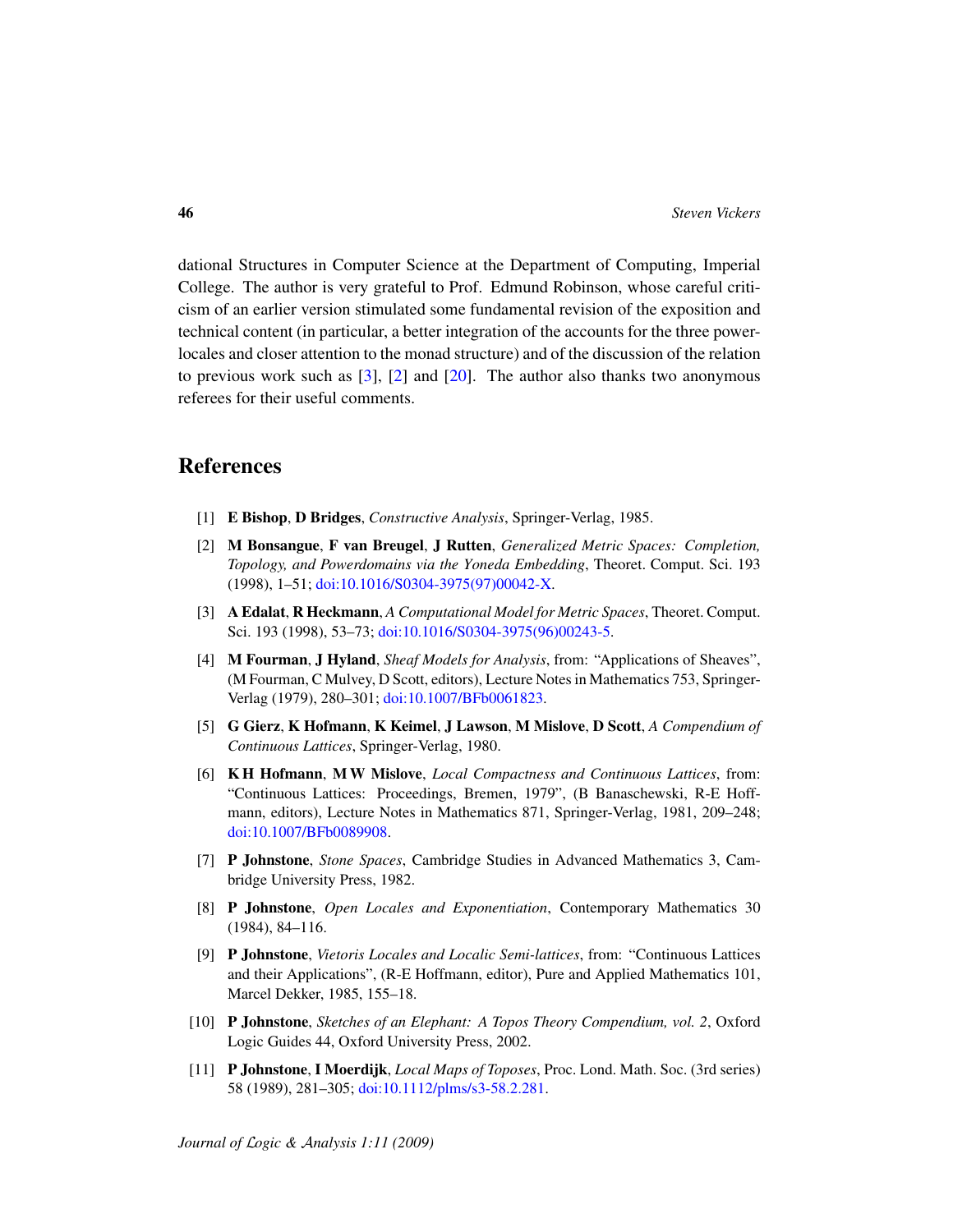dational Structures in Computer Science at the Department of Computing, Imperial College. The author is very grateful to Prof. Edmund Robinson, whose careful criticism of an earlier version stimulated some fundamental revision of the exposition and technical content (in particular, a better integration of the accounts for the three powerlocales and closer attention to the monad structure) and of the discussion of the relation to previous work such as  $[3]$ ,  $[2]$  and  $[20]$ . The author also thanks two anonymous referees for their useful comments.

## References

- <span id="page-45-7"></span>[1] E Bishop, D Bridges, *Constructive Analysis*, Springer-Verlag, 1985.
- <span id="page-45-2"></span>[2] M Bonsangue, F van Breugel, J Rutten, *Generalized Metric Spaces: Completion, Topology, and Powerdomains via the Yoneda Embedding*, Theoret. Comput. Sci. 193 (1998), 1–51; [doi:10.1016/S0304-3975\(97\)00042-X.](http://dx.doi.org/10.1016/S0304-3975(97)00042-X)
- <span id="page-45-3"></span>[3] A Edalat, R Heckmann, *A Computational Model for Metric Spaces*, Theoret. Comput. Sci. 193 (1998), 53-73; [doi:10.1016/S0304-3975\(96\)00243-5.](http://dx.doi.org/10.1016/S0304-3975(96)00243-5)
- <span id="page-45-4"></span>[4] M Fourman, J Hyland, *Sheaf Models for Analysis*, from: "Applications of Sheaves", (M Fourman, C Mulvey, D Scott, editors), Lecture Notes in Mathematics 753, Springer-Verlag (1979), 280–301; [doi:10.1007/BFb0061823.](http://dx.doi.org/10.1007/BFb0061823)
- <span id="page-45-6"></span>[5] G Gierz, K Hofmann, K Keimel, J Lawson, M Mislove, D Scott, *A Compendium of Continuous Lattices*, Springer-Verlag, 1980.
- <span id="page-45-5"></span>[6] K H Hofmann, M W Mislove, *Local Compactness and Continuous Lattices*, from: "Continuous Lattices: Proceedings, Bremen, 1979", (B Banaschewski, R-E Hoffmann, editors), Lecture Notes in Mathematics 871, Springer-Verlag, 1981, 209–248; [doi:10.1007/BFb0089908.](http://dx.doi.org/10.1007/BFb0089908)
- <span id="page-45-0"></span>[7] P Johnstone, *Stone Spaces*, Cambridge Studies in Advanced Mathematics 3, Cambridge University Press, 1982.
- <span id="page-45-10"></span>[8] P Johnstone, *Open Locales and Exponentiation*, Contemporary Mathematics 30 (1984), 84–116.
- <span id="page-45-1"></span>[9] P Johnstone, *Vietoris Locales and Localic Semi-lattices*, from: "Continuous Lattices and their Applications", (R-E Hoffmann, editor), Pure and Applied Mathematics 101, Marcel Dekker, 1985, 155–18.
- <span id="page-45-9"></span>[10] P Johnstone, *Sketches of an Elephant: A Topos Theory Compendium, vol. 2*, Oxford Logic Guides 44, Oxford University Press, 2002.
- <span id="page-45-8"></span>[11] P Johnstone, I Moerdijk, *Local Maps of Toposes*, Proc. Lond. Math. Soc. (3rd series) 58 (1989), 281–305; [doi:10.1112/plms/s3-58.2.281.](http://dx.doi.org/10.1112/plms/s3-58.2.281)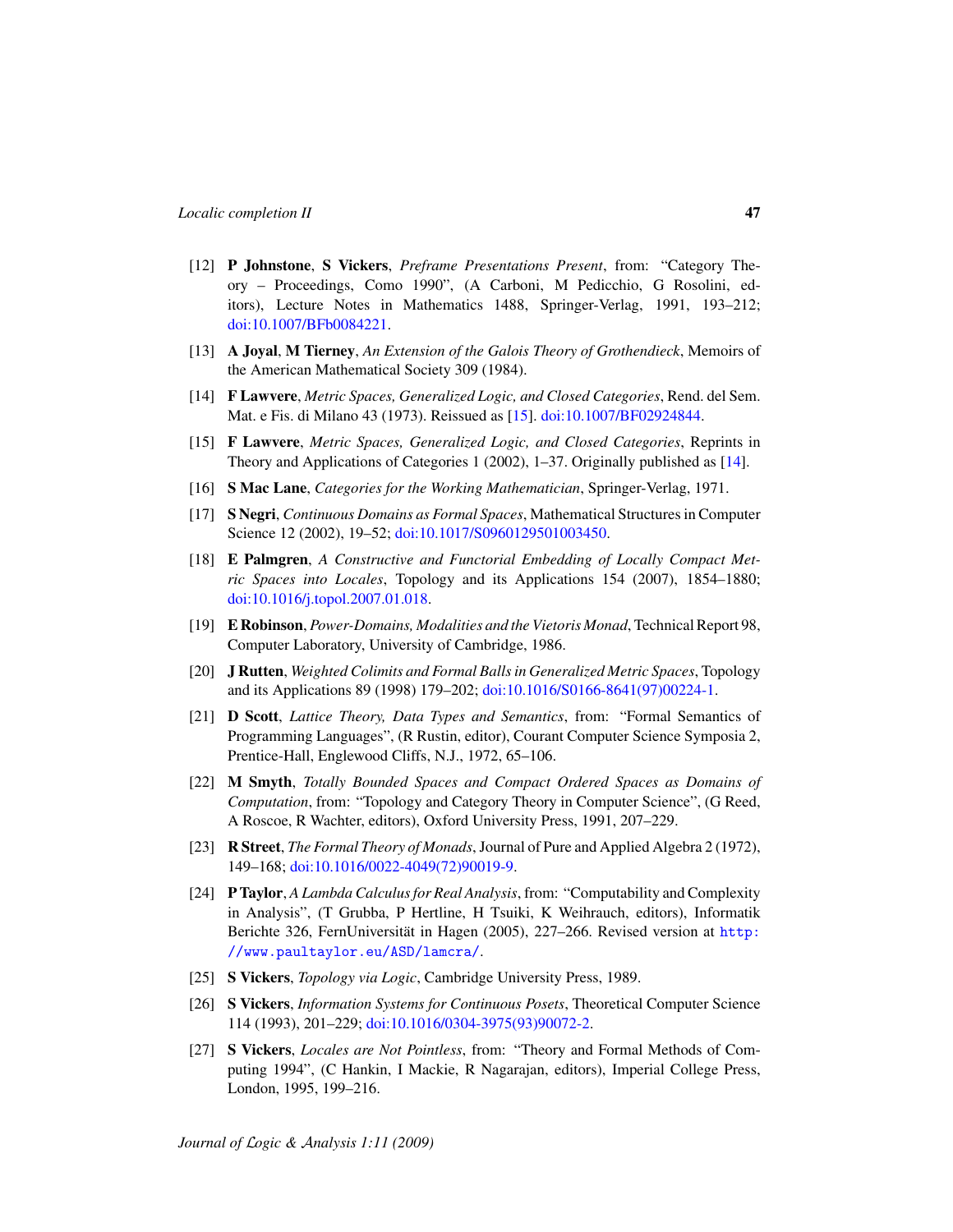- <span id="page-46-10"></span>[12] P Johnstone, S Vickers, *Preframe Presentations Present*, from: "Category Theory – Proceedings, Como 1990", (A Carboni, M Pedicchio, G Rosolini, editors), Lecture Notes in Mathematics 1488, Springer-Verlag, 1991, 193–212; [doi:10.1007/BFb0084221.](http://dx.doi.org/10.1007/BFb0084221)
- <span id="page-46-9"></span>[13] A Joyal, M Tierney, *An Extension of the Galois Theory of Grothendieck*, Memoirs of the American Mathematical Society 309 (1984).
- <span id="page-46-0"></span>[14] F Lawvere, *Metric Spaces, Generalized Logic, and Closed Categories*, Rend. del Sem. Mat. e Fis. di Milano 43 (1973). Reissued as [\[15\]](#page-46-15). [doi:10.1007/BF02924844.](http://dx.doi.org/10.1007/BF02924844)
- <span id="page-46-15"></span>[15] F Lawvere, *Metric Spaces, Generalized Logic, and Closed Categories*, Reprints in Theory and Applications of Categories 1 (2002), 1–37. Originally published as [\[14\]](#page-46-0).
- <span id="page-46-4"></span>[16] S Mac Lane, *Categories for the Working Mathematician*, Springer-Verlag, 1971.
- <span id="page-46-13"></span>[17] S Negri, *Continuous Domains as Formal Spaces*, Mathematical Structures in Computer Science 12 (2002), 19–52; [doi:10.1017/S0960129501003450.](http://dx.doi.org/10.1017/S0960129501003450)
- <span id="page-46-11"></span>[18] E Palmgren, *A Constructive and Functorial Embedding of Locally Compact Metric Spaces into Locales*, Topology and its Applications 154 (2007), 1854–1880; [doi:10.1016/j.topol.2007.01.018.](http://dx.doi.org/10.1016/j.topol.2007.01.018)
- <span id="page-46-7"></span>[19] E Robinson, *Power-Domains, Modalities and the Vietoris Monad*, Technical Report 98, Computer Laboratory, University of Cambridge, 1986.
- <span id="page-46-1"></span>[20] J Rutten, *Weighted Colimits and Formal Balls in Generalized Metric Spaces*, Topology and its Applications 89 (1998) 179–202; [doi:10.1016/S0166-8641\(97\)00224-1.](http://dx.doi.org/10.1016/S0166-8641(97)00224-1)
- <span id="page-46-2"></span>[21] D Scott, *Lattice Theory, Data Types and Semantics*, from: "Formal Semantics of Programming Languages", (R Rustin, editor), Courant Computer Science Symposia 2, Prentice-Hall, Englewood Cliffs, N.J., 1972, 65–106.
- <span id="page-46-12"></span>[22] M Smyth, *Totally Bounded Spaces and Compact Ordered Spaces as Domains of Computation*, from: "Topology and Category Theory in Computer Science", (G Reed, A Roscoe, R Wachter, editors), Oxford University Press, 1991, 207–229.
- <span id="page-46-5"></span>[23] R Street, *The Formal Theory of Monads*, Journal of Pure and Applied Algebra 2 (1972), 149–168; [doi:10.1016/0022-4049\(72\)90019-9.](http://dx.doi.org/10.1016/0022-4049(72)90019-9)
- <span id="page-46-14"></span>[24] P Taylor, *A Lambda Calculus for Real Analysis*, from: "Computability and Complexity in Analysis", (T Grubba, P Hertline, H Tsuiki, K Weihrauch, editors), Informatik Berichte 326, FernUniversität in Hagen (2005), 227–266. Revised version at [http:](http://www.paultaylor.eu/ASD/lamcra/) [//www.paultaylor.eu/ASD/lamcra/](http://www.paultaylor.eu/ASD/lamcra/).
- <span id="page-46-6"></span>[25] S Vickers, *Topology via Logic*, Cambridge University Press, 1989.
- <span id="page-46-3"></span>[26] S Vickers, *Information Systems for Continuous Posets*, Theoretical Computer Science 114 (1993), 201–229; [doi:10.1016/0304-3975\(93\)90072-2.](http://dx.doi.org/10.1016/0304-3975(93)90072-2)
- <span id="page-46-8"></span>[27] S Vickers, *Locales are Not Pointless*, from: "Theory and Formal Methods of Computing 1994", (C Hankin, I Mackie, R Nagarajan, editors), Imperial College Press, London, 1995, 199–216.